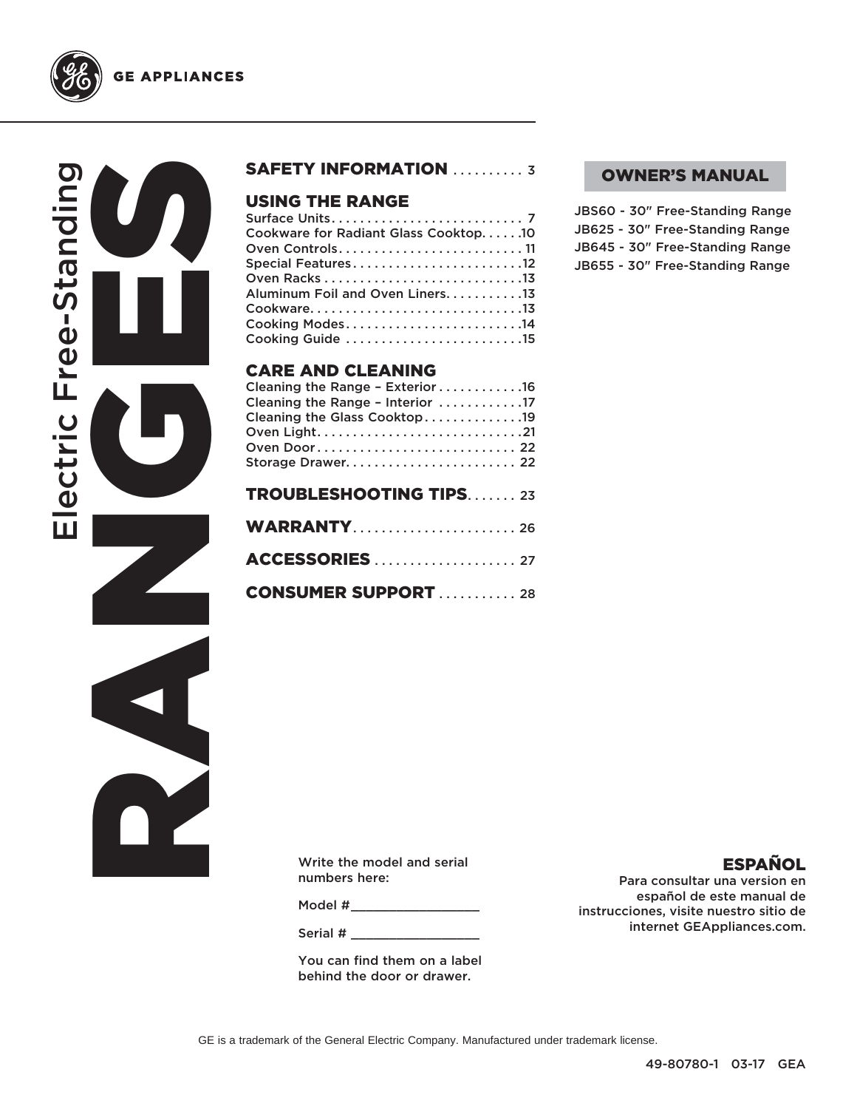

RANGES CONTROLL Electric Free-Standing ectric Free-Standing



#### USING THE RANGE

| Cookware for Radiant Glass Cooktop10 |
|--------------------------------------|
| Oven Controls11                      |
| Special Features12                   |
|                                      |
| Aluminum Foil and Oven Liners. 13    |
|                                      |
|                                      |
| Cooking Guide 15                     |

#### CARE AND CLEANING

| Cleaning the Range - Exterior 16<br>Cleaning the Range - Interior 17 |
|----------------------------------------------------------------------|
| Cleaning the Glass Cooktop19                                         |
|                                                                      |
| Oven Door 22                                                         |
| Storage Drawer 22                                                    |
| <b>TROUBLESHOOTING TIPS23</b>                                        |

| <b>CONSUMER SUPPORT</b> 28 |
|----------------------------|

#### OWNER'S MANUAL

JBS60 - 30" Free-Standing Range JB625 - 30" Free-Standing Range JB645 - 30" Free-Standing Range JB655 - 30" Free-Standing Range

Write the model and serial numbers here:

Model #

Serial #

You can find them on a label behind the door or drawer.

#### ESPAÑOL

Para consultar una version en español de este manual de instrucciones, visite nuestro sitio de internet GEAppliances.com.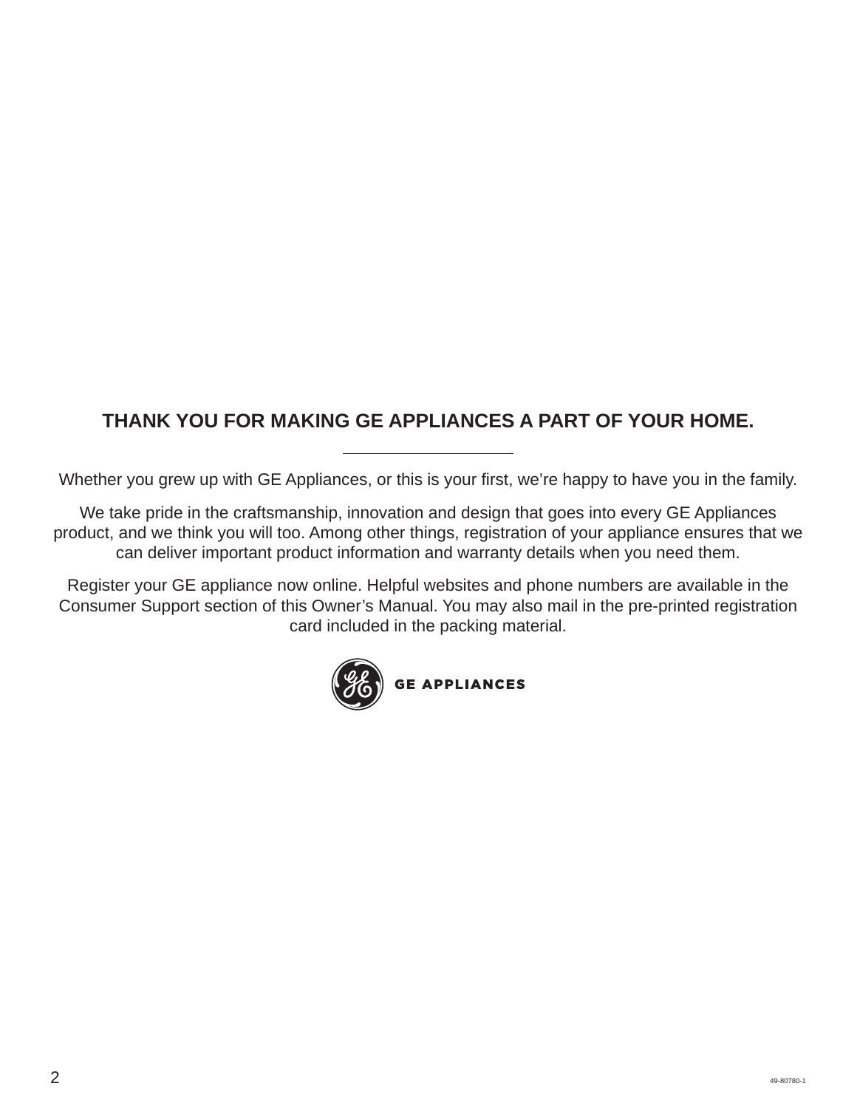## **THANK YOU FOR MAKING GE APPLIANCES A PART OF YOUR HOME.**

Whether you grew up with GE Appliances, or this is your first, we're happy to have you in the family.

We take pride in the craftsmanship, innovation and design that goes into every GE Appliances product, and we think you will too. Among other things, registration of your appliance ensures that we can deliver important product information and warranty details when you need them.

Register your GE appliance now online. Helpful websites and phone numbers are available in the Consumer Support section of this Owner's Manual. You may also mail in the pre-printed registration card included in the packing material.

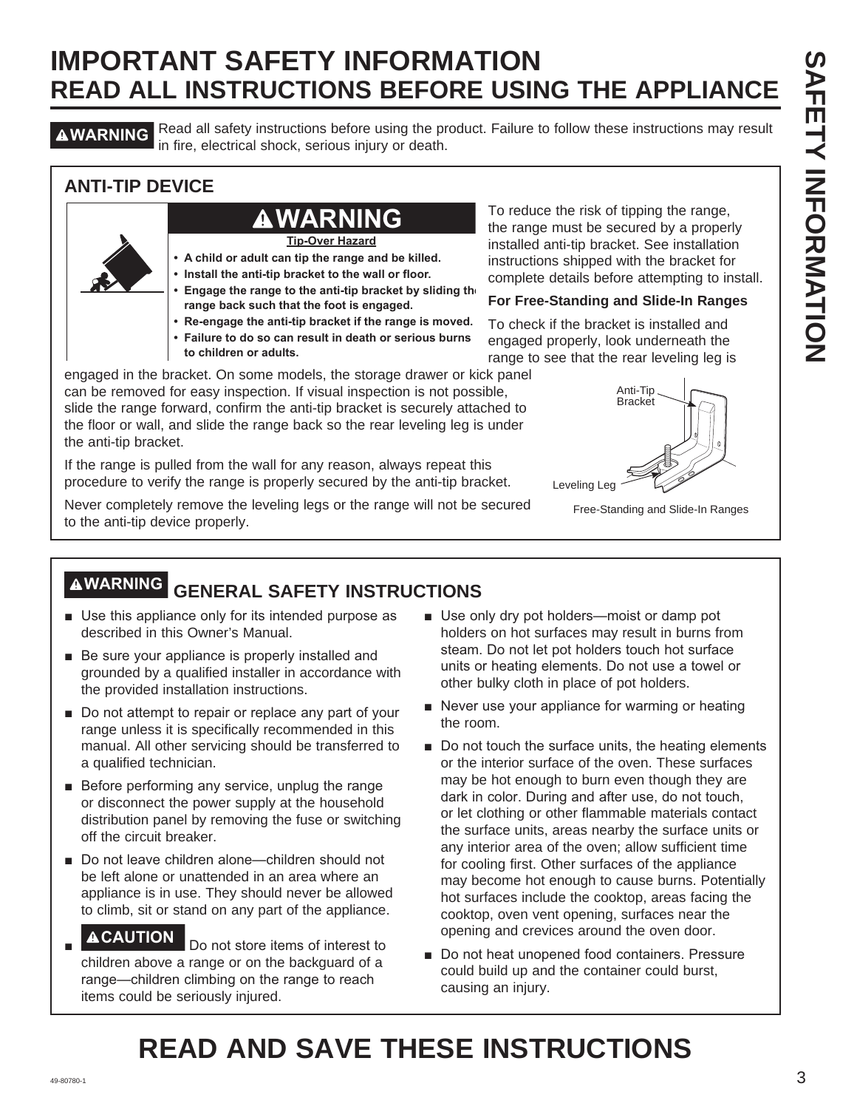**AWARNING** Read all safety instructions before using the product. Failure to follow these instructions may result in fire, electrical shock, serious injury or death.

#### **ANTI-TIP DEVICE**

## **WARNING**

**Tip-Over Hazard**

- **A child or adult can tip the range and be killed.**
- **Install the anti-tip bracket to the wall or floor.**
- **Engage the range to the anti-tip bracket by sliding the range back such that the foot is engaged.**
- **Re-engage the anti-tip bracket if the range is moved.**
- **Failure to do so can result in death or serious burns**
- **to children or adults.**

engaged in the bracket. On some models, the storage drawer or kick panel can be removed for easy inspection. If visual inspection is not possible, slide the range forward, confirm the anti-tip bracket is securely attached to the floor or wall, and slide the range back so the rear leveling leg is under the anti-tip bracket.

If the range is pulled from the wall for any reason, always repeat this procedure to verify the range is properly secured by the anti-tip bracket.

Never completely remove the leveling legs or the range will not be secured to the anti-tip device properly.

To reduce the risk of tipping the range, the range must be secured by a properly installed anti-tip bracket. See installation instructions shipped with the bracket for complete details before attempting to install.

#### **For Free-Standing and Slide-In Ranges**

To check if the bracket is installed and engaged properly, look underneath the range to see that the rear leveling leg is



Free-Standing and Slide-In Ranges

## **WARNING GENERAL SAFETY INSTRUCTIONS**

- Use this appliance only for its intended purpose as described in this Owner's Manual.
- $\blacksquare$  Be sure your appliance is properly installed and grounded by a qualified installer in accordance with the provided installation instructions.
- $\blacksquare$  Do not attempt to repair or replace any part of your range unless it is specifically recommended in this manual. All other servicing should be transferred to a qualified technician.
- $\blacksquare$  Before performing any service, unplug the range or disconnect the power supply at the household distribution panel by removing the fuse or switching off the circuit breaker.
- Do not leave children alone—children should not be left alone or unattended in an area where an appliance is in use. They should never be allowed to climb, sit or stand on any part of the appliance.
- Ŷ **ACAUTION** Do not store items of interest to children above a range or on the backguard of a range—children climbing on the range to reach items could be seriously injured.
- Use only dry pot holders-moist or damp pot holders on hot surfaces may result in burns from steam. Do not let pot holders touch hot surface units or heating elements. Do not use a towel or other bulky cloth in place of pot holders.
- $\blacksquare$  Never use your appliance for warming or heating the room.
- Do not touch the surface units, the heating elements or the interior surface of the oven. These surfaces may be hot enough to burn even though they are dark in color. During and after use, do not touch, or let clothing or other flammable materials contact the surface units, areas nearby the surface units or any interior area of the oven; allow sufficient time for cooling first. Other surfaces of the appliance may become hot enough to cause burns. Potentially hot surfaces include the cooktop, areas facing the cooktop, oven vent opening, surfaces near the opening and crevices around the oven door.
- Do not heat unopened food containers. Pressure could build up and the container could burst, causing an injury.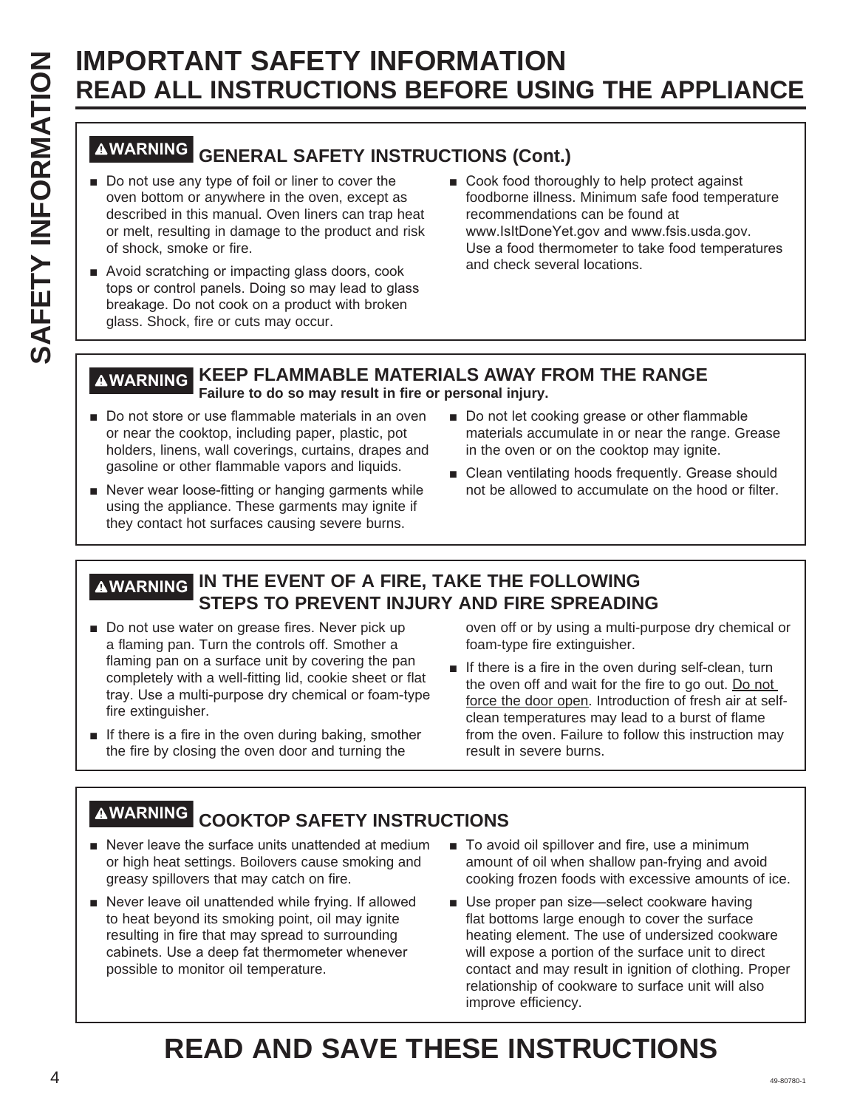# **WARNING GENERAL SAFETY INSTRUCTIONS (Cont.)**

- Do not use any type of foil or liner to cover the oven bottom or anywhere in the oven, except as described in this manual. Oven liners can trap heat or melt, resulting in damage to the product and risk of shock, smoke or fire.
- Avoid scratching or impacting glass doors, cook tops or control panels. Doing so may lead to glass breakage. Do not cook on a product with broken glass. Shock, fire or cuts may occur.
- Cook food thoroughly to help protect against foodborne illness. Minimum safe food temperature recommendations can be found at www.lsltDoneYet.gov and www.fsis.usda.gov. Use a food thermometer to take food temperatures and check several locations.

#### **WARNING KEEP FLAMMABLE MATERIALS AWAY FROM THE RANGE Failure to do so may result in fire or personal injury.**

- Do not store or use flammable materials in an oven or near the cooktop, including paper, plastic, pot holders, linens, wall coverings, curtains, drapes and gasoline or other flammable vapors and liquids.
- Never wear loose-fitting or hanging garments while using the appliance. These garments may ignite if they contact hot surfaces causing severe burns.
- Do not let cooking grease or other flammable materials accumulate in or near the range. Grease in the oven or on the cooktop may ignite.
- $\blacksquare$  Clean ventilating hoods frequently. Grease should not be allowed to accumulate on the hood or filter.

### **WARNING IN THE EVENT OF A FIRE, TAKE THE FOLLOWING STEPS TO PREVENT INJURY AND FIRE SPREADING**

- Do not use water on grease fires. Never pick up a flaming pan. Turn the controls off. Smother a flaming pan on a surface unit by covering the pan completely with a well-fitting lid, cookie sheet or flat tray. Use a multi-purpose dry chemical or foam-type fire extinguisher.
- $\blacksquare$  If there is a fire in the oven during baking, smother the fire by closing the oven door and turning the

oven off or by using a multi-purpose dry chemical or foam-type fire extinguisher.

 $\blacksquare$  If there is a fire in the oven during self-clean, turn the oven off and wait for the fire to go out. Do not force the door open. Introduction of fresh air at selfclean temperatures may lead to a burst of flame from the oven. Failure to follow this instruction may result in severe burns.

## **WARNING COOKTOP SAFETY INSTRUCTIONS**

- $\blacksquare$  Never leave the surface units unattended at medium or high heat settings. Boilovers cause smoking and greasy spillovers that may catch on fire.
- Never leave oil unattended while frying. If allowed to heat beyond its smoking point, oil may ignite resulting in fire that may spread to surrounding cabinets. Use a deep fat thermometer whenever possible to monitor oil temperature.
- To avoid oil spillover and fire, use a minimum amount of oil when shallow pan-frying and avoid cooking frozen foods with excessive amounts of ice.
- Use proper pan size-select cookware having flat bottoms large enough to cover the surface heating element. The use of undersized cookware will expose a portion of the surface unit to direct contact and may result in ignition of clothing. Proper relationship of cookware to surface unit will also improve efficiency.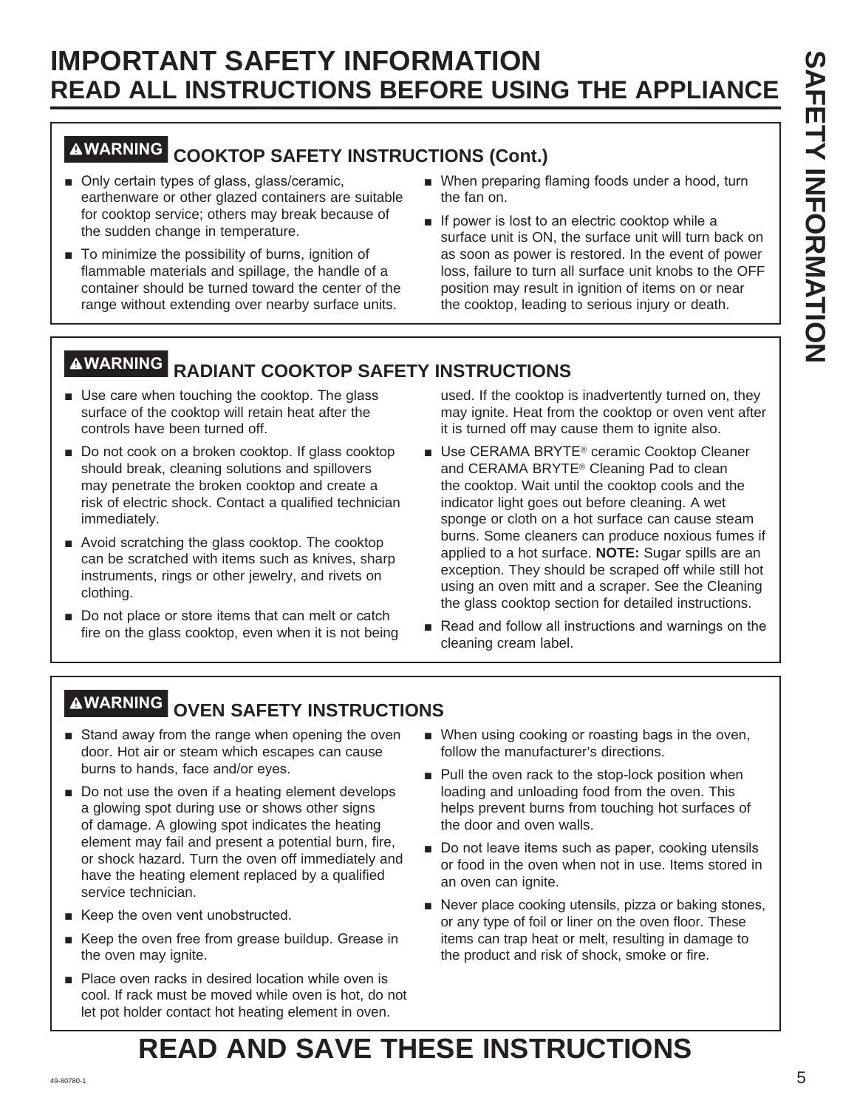## **WARNING COOKTOP SAFETY INSTRUCTIONS (Cont.)**

- Only certain types of glass, glass/ceramic, earthenware or other glazed containers are suitable for cooktop service; others may break because of the sudden change in temperature.
- $\blacksquare$  To minimize the possibility of burns, ignition of flammable materials and spillage, the handle of a container should be turned toward the center of the range without extending over nearby surface units.
- When preparing flaming foods under a hood, turn the fan on.
- $\blacksquare$  If power is lost to an electric cooktop while a surface unit is ON, the surface unit will turn back on as soon as power is restored. In the event of power loss, failure to turn all surface unit knobs to the OFF position may result in ignition of items on or near the cooktop, leading to serious injury or death.

## **WARNING RADIANT COOKTOP SAFETY INSTRUCTIONS**

- Use care when touching the cooktop. The glass surface of the cooktop will retain heat after the controls have been turned off.
- Do not cook on a broken cooktop. If glass cooktop should break, cleaning solutions and spillovers may penetrate the broken cooktop and create a risk of electric shock. Contact a qualified technician immediately.
- $\blacksquare$  Avoid scratching the glass cooktop. The cooktop can be scratched with items such as knives, sharp instruments, rings or other jewelry, and rivets on clothing.
- $\blacksquare$  Do not place or store items that can melt or catch fire on the glass cooktop, even when it is not being

used. If the cooktop is inadvertently turned on, they may ignite. Heat from the cooktop or oven vent after it is turned off may cause them to ignite also.

- Use CERAMA BRYTE<sup>®</sup> ceramic Cooktop Cleaner and CERAMA BRYTE® Cleaning Pad to clean the cooktop. Wait until the cooktop cools and the indicator light goes out before cleaning. A wet sponge or cloth on a hot surface can cause steam burns. Some cleaners can produce noxious fumes if applied to a hot surface. **NOTE:** Sugar spills are an exception. They should be scraped off while still hot using an oven mitt and a scraper. See the Cleaning the glass cooktop section for detailed instructions.
- Read and follow all instructions and warnings on the cleaning cream label.

## **WARNING OVEN SAFETY INSTRUCTIONS**

- Stand away from the range when opening the oven door. Hot air or steam which escapes can cause burns to hands, face and/or eyes.
- $\blacksquare$  Do not use the oven if a heating element develops a glowing spot during use or shows other signs of damage. A glowing spot indicates the heating element may fail and present a potential burn, fire, or shock hazard. Turn the oven off immediately and have the heating element replaced by a qualified service technician.
- Keep the oven vent unobstructed.
- Keep the oven free from grease buildup. Grease in the oven may ignite.
- Place oven racks in desired location while oven is cool. If rack must be moved while oven is hot, do not let pot holder contact hot heating element in oven.
- When using cooking or roasting bags in the oven, follow the manufacturer's directions.
- $\blacksquare$  Pull the oven rack to the stop-lock position when loading and unloading food from the oven. This helps prevent burns from touching hot surfaces of the door and oven walls.
- Do not leave items such as paper, cooking utensils or food in the oven when not in use. Items stored in an oven can ignite.
- Never place cooking utensils, pizza or baking stones, or any type of foil or liner on the oven floor. These items can trap heat or melt, resulting in damage to the product and risk of shock, smoke or fire.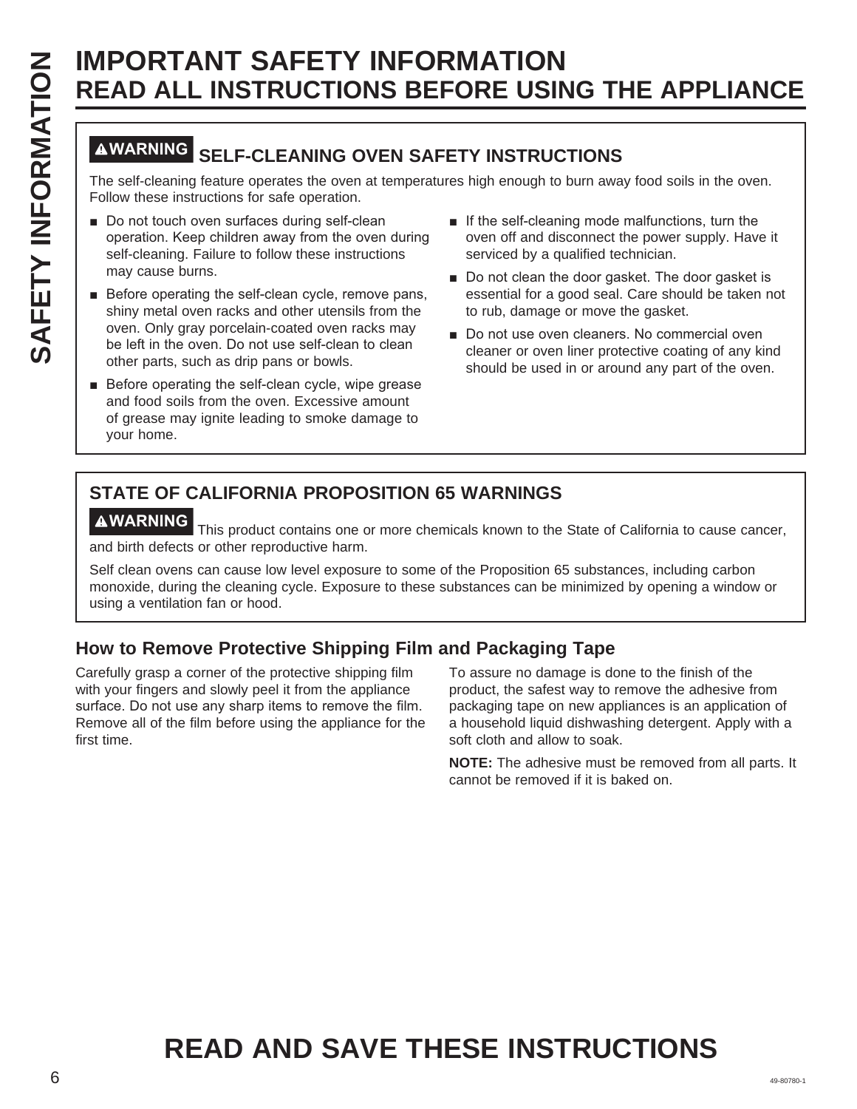## **WARNING SELF-CLEANING OVEN SAFETY INSTRUCTIONS**

The self-cleaning feature operates the oven at temperatures high enough to burn away food soils in the oven. Follow these instructions for safe operation.

- Do not touch oven surfaces during self-clean operation. Keep children away from the oven during self-cleaning. Failure to follow these instructions may cause burns.
- Before operating the self-clean cycle, remove pans, shiny metal oven racks and other utensils from the oven. Only gray porcelain-coated oven racks may be left in the oven. Do not use self-clean to clean other parts, such as drip pans or bowls.
- Before operating the self-clean cycle, wipe grease and food soils from the oven. Excessive amount of grease may ignite leading to smoke damage to your home.
- $\blacksquare$  If the self-cleaning mode malfunctions, turn the oven off and disconnect the power supply. Have it serviced by a qualified technician.
- Do not clean the door gasket. The door gasket is essential for a good seal. Care should be taken not to rub, damage or move the gasket.
- Do not use oven cleaners. No commercial oven cleaner or oven liner protective coating of any kind should be used in or around any part of the oven.

## **STATE OF CALIFORNIA PROPOSITION 65 WARNINGS**

**AWARNING** This product contains one or more chemicals known to the State of California to cause cancer, and birth defects or other reproductive harm.

Self clean ovens can cause low level exposure to some of the Proposition 65 substances, including carbon monoxide, during the cleaning cycle. Exposure to these substances can be minimized by opening a window or using a ventilation fan or hood.

### **How to Remove Protective Shipping Film and Packaging Tape**

Carefully grasp a corner of the protective shipping film with your fingers and slowly peel it from the appliance surface. Do not use any sharp items to remove the film. Remove all of the film before using the appliance for the first time.

To assure no damage is done to the finish of the product, the safest way to remove the adhesive from packaging tape on new appliances is an application of a household liquid dishwashing detergent. Apply with a soft cloth and allow to soak.

**NOTE:** The adhesive must be removed from all parts. It cannot be removed if it is baked on.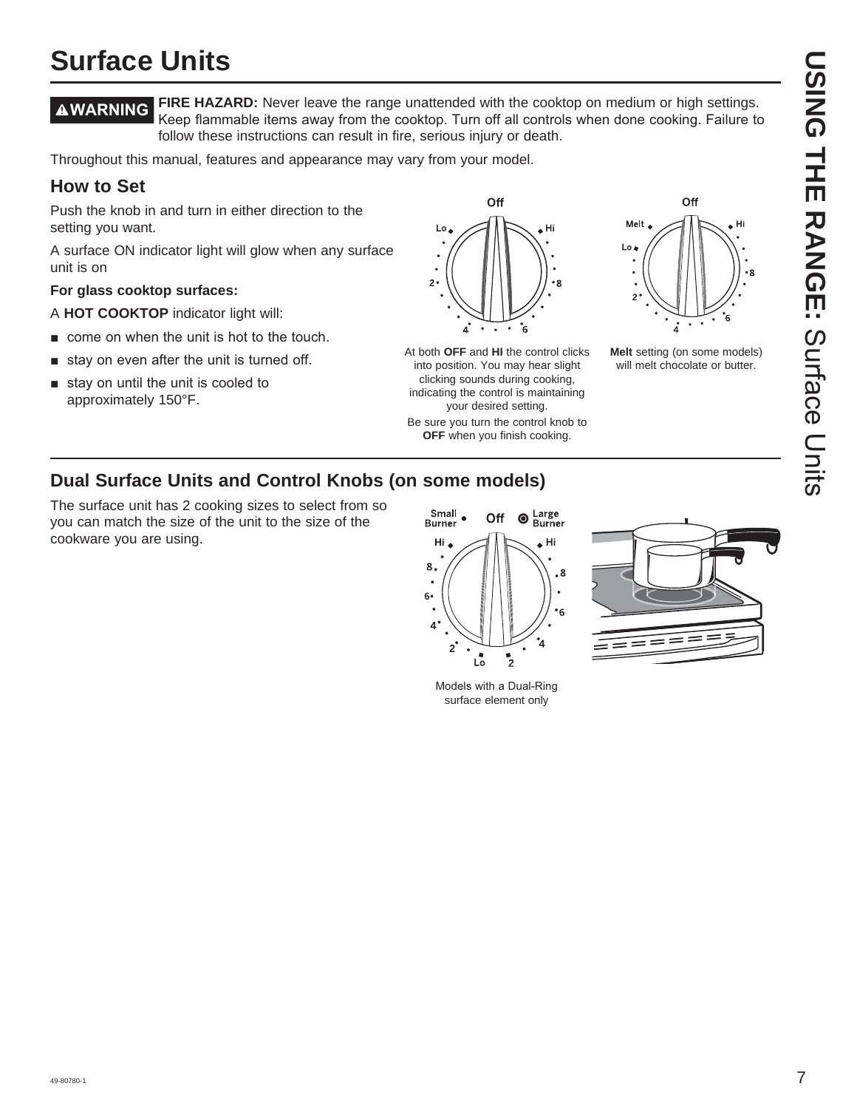# **USING THE RANGE:DING HIE RANGE:** Surface Chits Surface Units

## **Surface Units**

**WARNING FIRE HAZARD:** Never leave the range unattended with the cooktop on medium or high settings. Keep flammable items away from the cooktop. Turn off all controls when done cooking. Failure to follow these instructions can result in fire, serious injury or death.

Throughout this manual, features and appearance may vary from your model.

#### **How to Set**

Push the knob in and turn in either direction to the setting you want.

A surface ON indicator light will glow when any surface unit is on

#### **For glass cooktop surfaces:**

A **HOT COOKTOP** indicator light will:

- $\blacksquare$  come on when the unit is hot to the touch.
- $\blacksquare$  stay on even after the unit is turned off.
- $\blacksquare$  stay on until the unit is cooled to approximately 150°F.



At both **OFF** and **HI** the control clicks into position. You may hear slight clicking sounds during cooking, indicating the control is maintaining your desired setting.

Be sure you turn the control knob to **OFF** when you finish cooking.



**Melt** setting (on some models) will melt chocolate or butter.

#### **Dual Surface Units and Control Knobs (on some models)**

The surface unit has 2 cooking sizes to select from so you can match the size of the unit to the size of the cookware you are using.



Models with a Dual-Ring surface element only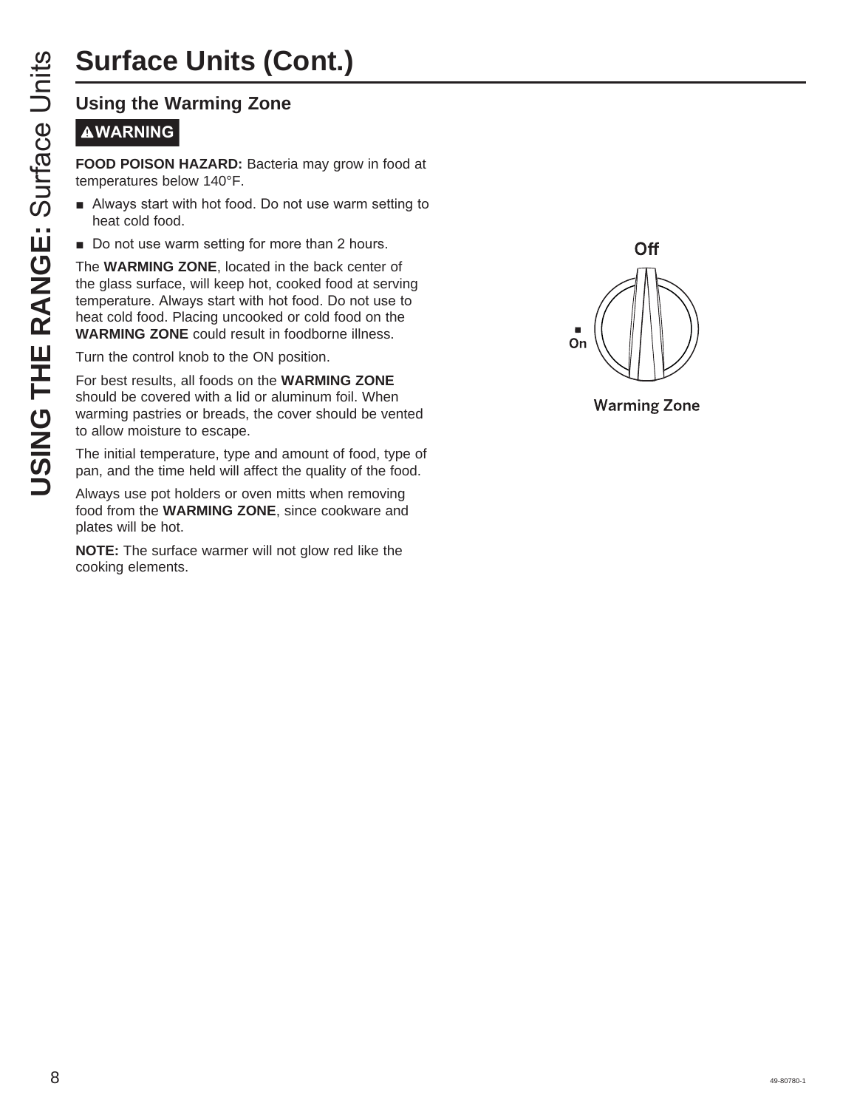## **Surface Units (Cont.)**

# **WARNING**

**FOOD POISON HAZARD:** Bacteria may grow in food at temperatures below 140°F.

- **E** Always start with hot food. Do not use warm setting to heat cold food.
- Do not use warm setting for more than 2 hours.

**USING THE RANGE STATES CONCRETED THE RANGE STATES THE RANGE STATES THE PRODUCED TO DO THE RANGE STATES STARBUTE ON THE WARMING ZONE, located in 1<br>the glass surface, will keep hot, contract cold food.<br>The WARMING ZONE, loc** The **WARMING ZONE**, located in the back center of the glass surface, will keep hot, cooked food at serving temperature. Always start with hot food. Do not use to heat cold food. Placing uncooked or cold food on the **WARMING ZONE** could result in foodborne illness.

Turn the control knob to the ON position.

For best results, all foods on the **WARMING ZONE** should be covered with a lid or aluminum foil. When warming pastries or breads, the cover should be vented to allow moisture to escape.

The initial temperature, type and amount of food, type of pan, and the time held will affect the quality of the food.

Always use pot holders or oven mitts when removing food from the **WARMING ZONE**, since cookware and plates will be hot.

**NOTE:** The surface warmer will not glow red like the cooking elements.



**Warming Zone**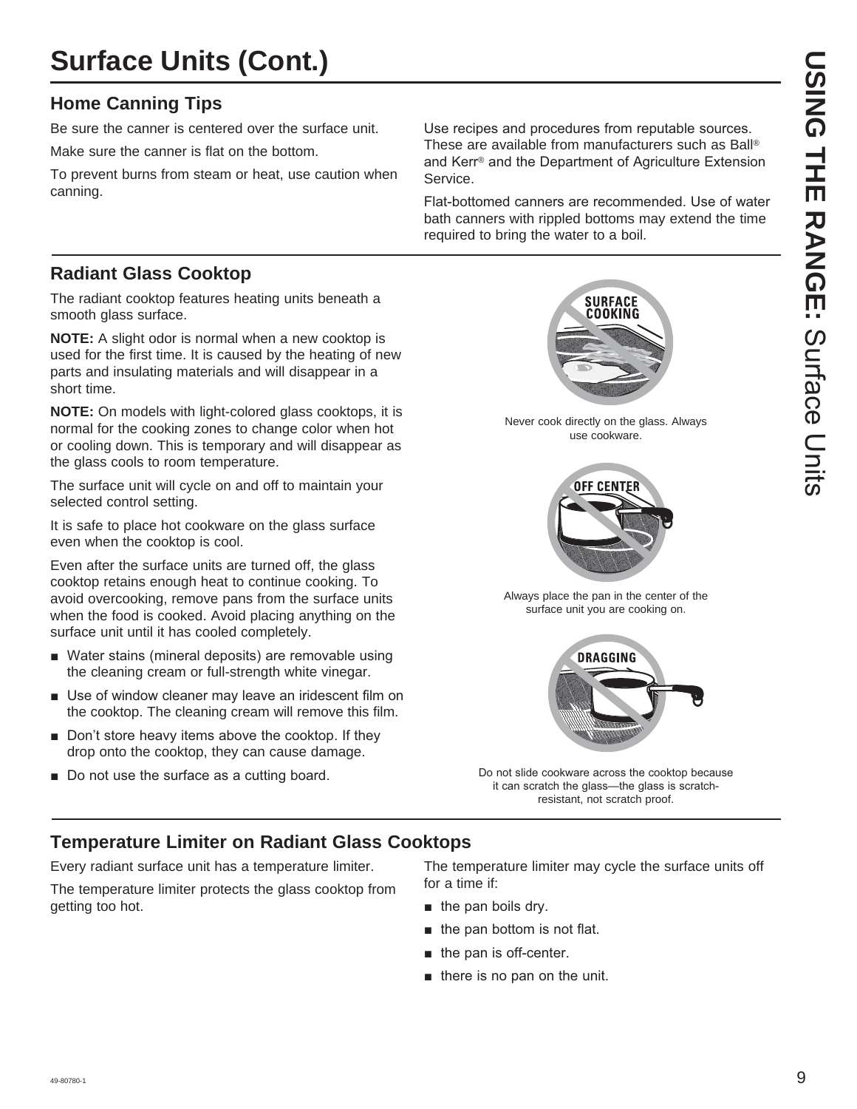## **Surface Units (Cont.)**

#### **Home Canning Tips**

Be sure the canner is centered over the surface unit.

Make sure the canner is flat on the bottom.

To prevent burns from steam or heat, use caution when canning.

Use recipes and procedures from reputable sources. These are available from manufacturers such as Ball® and Kerr<sup>®</sup> and the Department of Agriculture Extension Service.

Flat-bottomed canners are recommended. Use of water bath canners with rippled bottoms may extend the time required to bring the water to a boil.

#### **Radiant Glass Cooktop**

The radiant cooktop features heating units beneath a smooth glass surface.

**NOTE:** A slight odor is normal when a new cooktop is used for the first time. It is caused by the heating of new parts and insulating materials and will disappear in a short time.

**NOTE:** On models with light-colored glass cooktops, it is normal for the cooking zones to change color when hot or cooling down. This is temporary and will disappear as the glass cools to room temperature.

The surface unit will cycle on and off to maintain your selected control setting.

It is safe to place hot cookware on the glass surface even when the cooktop is cool.

Even after the surface units are turned off, the glass cooktop retains enough heat to continue cooking. To avoid overcooking, remove pans from the surface units when the food is cooked. Avoid placing anything on the surface unit until it has cooled completely.

- Water stains (mineral deposits) are removable using the cleaning cream or full-strength white vinegar.
- $\blacksquare$  Use of window cleaner may leave an iridescent film on the cooktop. The cleaning cream will remove this film.
- $\blacksquare$  Don't store heavy items above the cooktop. If they drop onto the cooktop, they can cause damage.
- Do not use the surface as a cutting board.

**SURFACE** COOKING

Never cook directly on the glass. Always use cookware.



Always place the pan in the center of the surface unit you are cooking on.



Do not slide cookware across the cooktop because it can scratch the glass-the glass is scratchresistant, not scratch proof.

#### **Temperature Limiter on Radiant Glass Cooktops**

Every radiant surface unit has a temperature limiter.

The temperature limiter protects the glass cooktop from getting too hot.

The temperature limiter may cycle the surface units off for a time if:

- $\blacksquare$  the pan boils dry.
- $\blacksquare$  the pan bottom is not flat.
- $\blacksquare$  the pan is off-center.
- $\blacksquare$  there is no pan on the unit.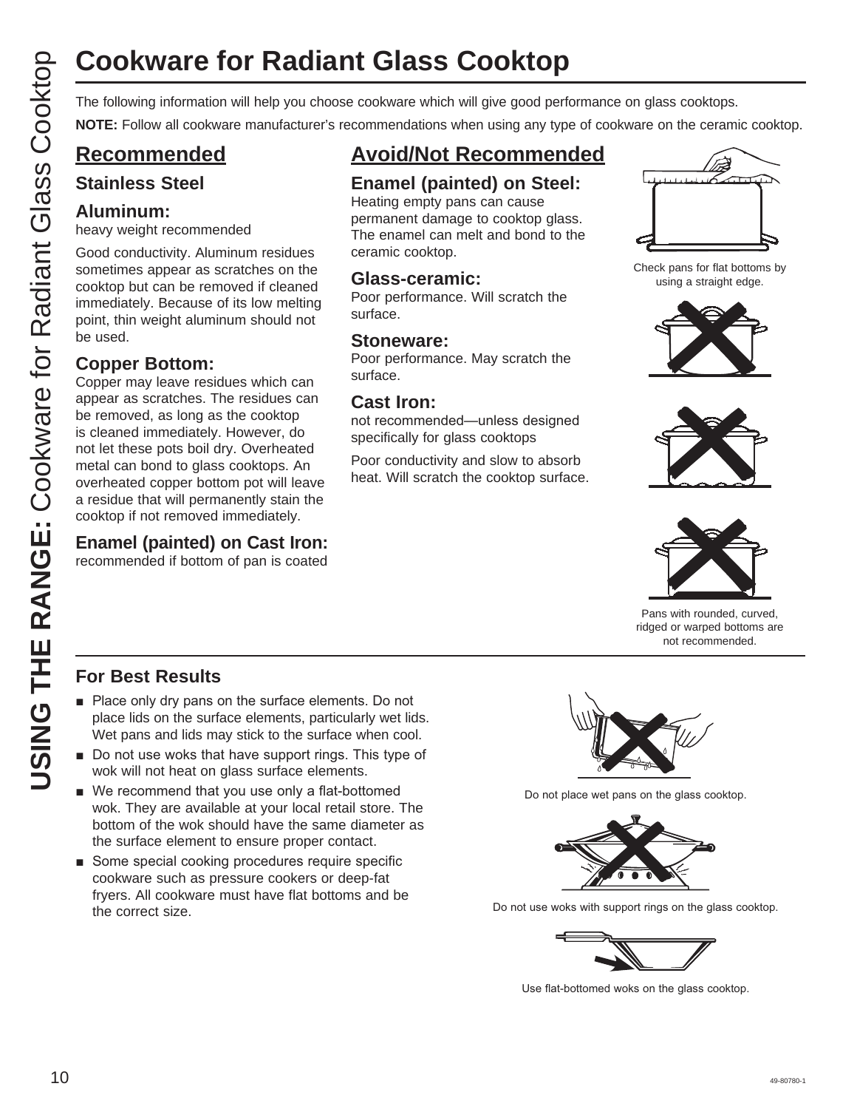# **Cookware for Radiant Glass Cooktop**

**NOTE:** Follow all cookware manufacturer's recommendations when using any type of cookware on the ceramic cooktop.

### **Recommended**

#### **Stainless Steel**

#### **Aluminum:**

heavy weight recommended

Good conductivity. Aluminum residues sometimes appear as scratches on the cooktop but can be removed if cleaned immediately. Because of its low melting point, thin weight aluminum should not be used.

#### **Copper Bottom:**

COOKWATE for Radiant Glass Cooktop<br>
The following information will help you choose cookware which will give good performance on glass cookdop.<br>
CO Recommended Example (painted cook will give good performance on glass Cook Copper may leave residues which can appear as scratches. The residues can be removed, as long as the cooktop is cleaned immediately. However, do not let these pots boil dry. Overheated metal can bond to glass cooktops. An overheated copper bottom pot will leave a residue that will permanently stain the cooktop if not removed immediately.

#### **Enamel (painted) on Cast Iron:**

recommended if bottom of pan is coated

## **Avoid/Not Recommended**

#### **Enamel (painted) on Steel:**

Heating empty pans can cause permanent damage to cooktop glass. The enamel can melt and bond to the ceramic cooktop.

#### **Glass-ceramic:**

Poor performance. Will scratch the surface.

#### **Stoneware:**

Poor performance. May scratch the surface.

#### **Cast Iron:**

not recommended—unless designed specifically for glass cooktops

Poor conductivity and slow to absorb heat. Will scratch the cooktop surface.



Check pans for flat bottoms by using a straight edge.







Pans with rounded, curved, ridged or warped bottoms are not recommended.

#### **For Best Results**

- $\blacksquare$  Place only dry pans on the surface elements. Do not place lids on the surface elements, particularly wet lids. Wet pans and lids may stick to the surface when cool.
- $\blacksquare$  Do not use woks that have support rings. This type of wok will not heat on glass surface elements.
- $\blacksquare$  We recommend that you use only a flat-bottomed wok. They are available at your local retail store. The bottom of the wok should have the same diameter as the surface element to ensure proper contact.
- Some special cooking procedures require specific cookware such as pressure cookers or deep-fat fryers. All cookware must have flat bottoms and be the correct size.



Do not place wet pans on the glass cooktop.



Do not use woks with support rings on the glass cooktop.



Use flat-bottomed woks on the glass cooktop.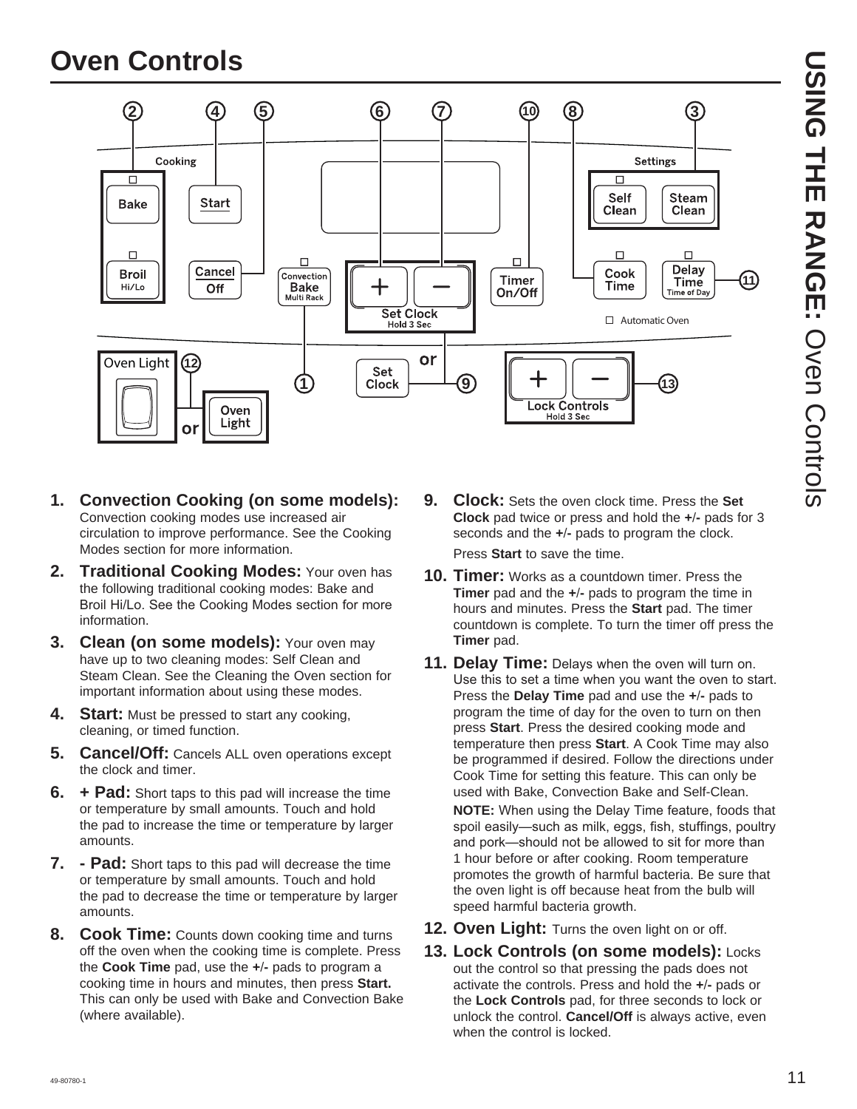## **Oven Controls**



- **1. Convection Cooking (on some models):** Convection cooking modes use increased air circulation to improve performance. See the Cooking Modes section for more information.
- **2. Traditional Cooking Modes:** Your oven has the following traditional cooking modes: Bake and Broil Hi/Lo. See the Cooking Modes section for more information.
- **3. Clean (on some models):** Your oven may have up to two cleaning modes: Self Clean and Steam Clean. See the Cleaning the Oven section for important information about using these modes.
- **4.** Start: Must be pressed to start any cooking, cleaning, or timed function.
- **5. Cancel/Off:** Cancels ALL oven operations except the clock and timer.
- **6. + Pad:** Short taps to this pad will increase the time or temperature by small amounts. Touch and hold the pad to increase the time or temperature by larger amounts.
- **7. Pad:** Short taps to this pad will decrease the time or temperature by small amounts. Touch and hold the pad to decrease the time or temperature by larger amounts.
- **8. Cook Time:** Counts down cooking time and turns off the oven when the cooking time is complete. Press the **Cook Time** pad, use the **+-** pads to program a cooking time in hours and minutes, then press **Start.** This can only be used with Bake and Convection Bake (where available).

**9. Clock:** Sets the oven clock time. Press the **Set Clock** pad twice or press and hold the **+-** pads for 3 seconds and the **+-** pads to program the clock.

Press **Start** to save the time.

- **10. Timer:** Works as a countdown timer. Press the **Timer** pad and the **+-** pads to program the time in hours and minutes. Press the **Start** pad. The timer countdown is complete. To turn the timer off press the **Timer** pad.
- **11. Delay Time:** Delays when the oven will turn on. Use this to set a time when you want the oven to start. Press the **Delay Time** pad and use the **+-** pads to program the time of day for the oven to turn on then press **Start**. Press the desired cooking mode and temperature then press **Start**. A Cook Time may also be programmed if desired. Follow the directions under Cook Time for setting this feature. This can only be used with Bake, Convection Bake and Self-Clean.

**NOTE:** When using the Delay Time feature, foods that spoil easily-such as milk, eggs, fish, stuffings, poultry and pork—should not be allowed to sit for more than 1 hour before or after cooking. Room temperature promotes the growth of harmful bacteria. Be sure that the oven light is off because heat from the bulb will speed harmful bacteria growth.

- **12. Oven Light:** Turns the oven light on or off.
- **13. Lock Controls (on some models):** Locks out the control so that pressing the pads does not activate the controls. Press and hold the **+-** pads or the **Lock Controls** pad, for three seconds to lock or unlock the control. **Cancel/Off** is always active, even when the control is locked.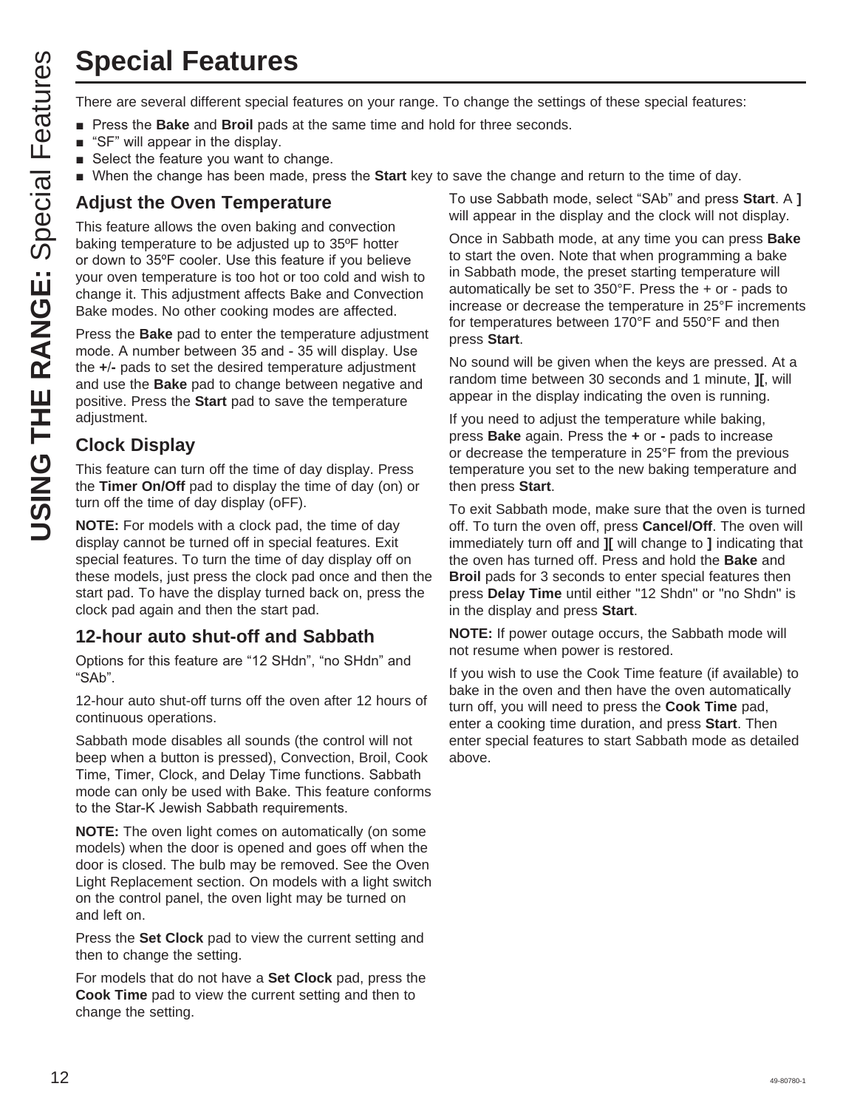## **Special Features**

- **Pease 3DKV 3DK** 3NHV **Bake** and **Broil** pads at the same time and hold for three seconds.
- $\blacksquare$  "SF" will appear in the display.
- $\blacksquare$  Select the feature you want to change.
- **N** When the change has been made, press the Start key to save the change and return to the time of day.

#### **Adjust the Oven Temperature**

**USING THE RANGE SET ART THE RANGE SET WAT THE RANGE THE RANGE THE RANGE THE RANGE THE RANGE THE RANGE THE RANGE THE RANGE THE RANGE THE RANGE THE RANGE THE RANGE THE RANGE THE RANGE THE RANGE THE RANGE THE RANGE THE RANGE** This feature allows the oven baking and convection baking temperature to be adjusted up to 35ºF hotter or down to 35°F cooler. Use this feature if you believe your oven temperature is too hot or too cold and wish to change it. This adjustment affects Bake and Convection Bake modes. No other cooking modes are affected.

Press the **Bake** pad to enter the temperature adjustment mode. A number between 35 and - 35 will display. Use the **+-** pads to set the desired temperature adjustment and use the **Bake** pad to change between negative and positive. Press the **Start** pad to save the temperature adjustment.

#### **Clock Display**

This feature can turn off the time of day display. Press the **Timer On/Off** pad to display the time of day (on) or turn off the time of day display (oFF).

**NOTE:** For models with a clock pad, the time of day display cannot be turned off in special features. Exit special features. To turn the time of day display off on these models, just press the clock pad once and then the start pad. To have the display turned back on, press the clock pad again and then the start pad.

#### **12-hour auto shut-off and Sabbath**

Options for this feature are "12 SHdn", "no SHdn" and "SAb".

12-hour auto shut-off turns off the oven after 12 hours of continuous operations.

Sabbath mode disables all sounds (the control will not beep when a button is pressed), Convection, Broil, Cook Time, Timer, Clock, and Delay Time functions. Sabbath mode can only be used with Bake. This feature conforms to the Star-K Jewish Sabbath requirements.

**NOTE:** The oven light comes on automatically (on some models) when the door is opened and goes off when the door is closed. The bulb may be removed. See the Oven Light Replacement section. On models with a light switch on the control panel, the oven light may be turned on and left on.

Press the **Set Clock** pad to view the current setting and then to change the setting.

For models that do not have a **Set Clock** pad, press the **Cook Time** pad to view the current setting and then to change the setting.

To use Sabbath mode, select "SAb" and press **Start**. A **]** will appear in the display and the clock will not display.

Once in Sabbath mode, at any time you can press **Bake** to start the oven. Note that when programming a bake in Sabbath mode, the preset starting temperature will automatically be set to 350°F. Press the + or - pads to increase or decrease the temperature in 25°F increments for temperatures between 170°F and 550°F and then press **Start**.

No sound will be given when the keys are pressed. At a random time between 30 seconds and 1 minute, **][**, will appear in the display indicating the oven is running.

If you need to adjust the temperature while baking, press **Bake** again. Press the **+** or **-** pads to increase or decrease the temperature in 25°F from the previous temperature you set to the new baking temperature and then press **Start**.

To exit Sabbath mode, make sure that the oven is turned off. To turn the oven off, press **Cancel/Off**. The oven will immediately turn off and **][** will change to **]** indicating that the oven has turned off. Press and hold the **Bake** and **Broil** pads for 3 seconds to enter special features then press **Delay Time** until either "12 Shdn" or "no Shdn" is in the display and press **Start**.

**NOTE:** If power outage occurs, the Sabbath mode will not resume when power is restored.

If you wish to use the Cook Time feature (if available) to bake in the oven and then have the oven automatically turn off, you will need to press the **Cook Time** pad, enter a cooking time duration, and press **Start**. Then enter special features to start Sabbath mode as detailed above.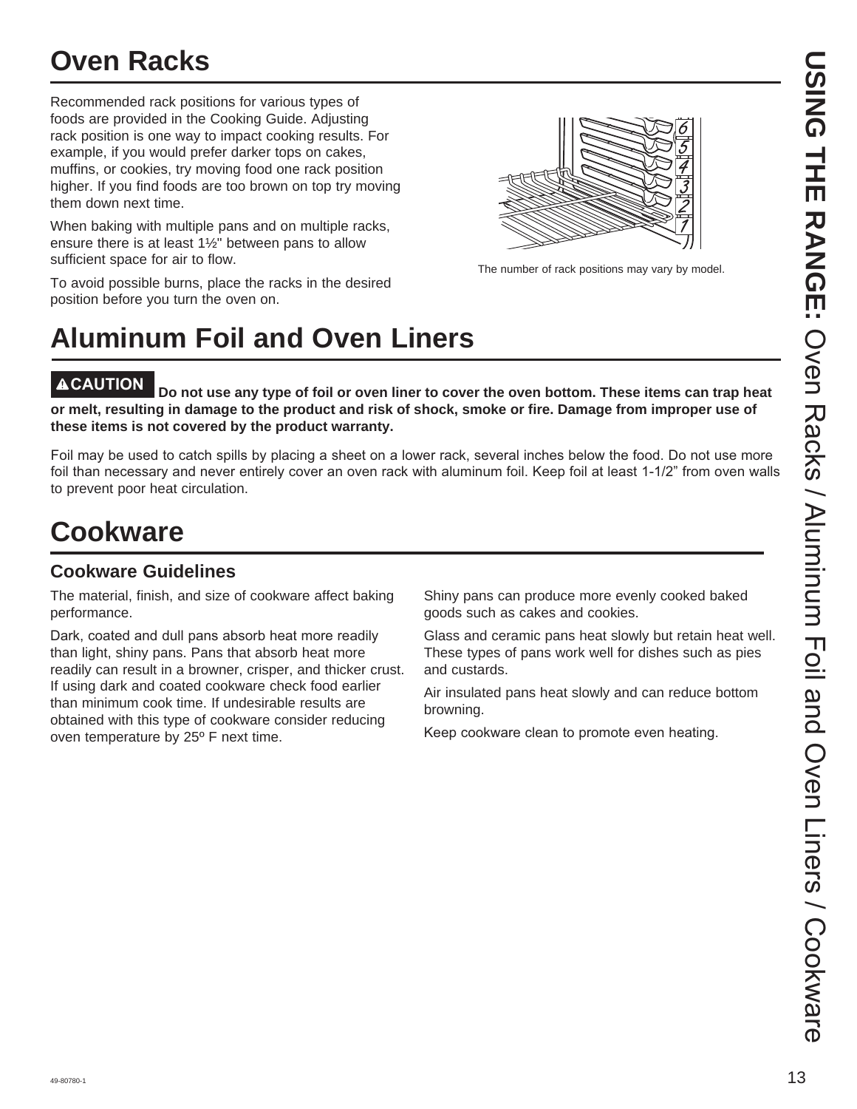## **Oven Racks**

Recommended rack positions for various types of foods are provided in the Cooking Guide. Adjusting rack position is one way to impact cooking results. For example, if you would prefer darker tops on cakes, muffins, or cookies, try moving food one rack position higher. If you find foods are too brown on top try moving them down next time.

When baking with multiple pans and on multiple racks, ensure there is at least 1½" between pans to allow sufficient space for air to flow.

To avoid possible burns, place the racks in the desired position before you turn the oven on.



The number of rack positions may vary by model.

# **Aluminum Foil and Oven Liners**

**CAUTION Do not use any type of foil or oven liner to cover the oven bottom. These items can trap heat or melt, resulting in damage to the product and risk of shock, smoke or fire. Damage from improper use of these items is not covered by the product warranty.** 

Foil may be used to catch spills by placing a sheet on a lower rack, several inches below the food. Do not use more foil than necessary and never entirely cover an oven rack with aluminum foil. Keep foil at least 1-1/2" from oven walls to prevent poor heat circulation.

## **Cookware**

#### **Cookware Guidelines**

The material, finish, and size of cookware affect baking performance.

Dark, coated and dull pans absorb heat more readily than light, shiny pans. Pans that absorb heat more readily can result in a browner, crisper, and thicker crust. If using dark and coated cookware check food earlier than minimum cook time. If undesirable results are obtained with this type of cookware consider reducing oven temperature by 25º F next time.

Shiny pans can produce more evenly cooked baked goods such as cakes and cookies.

Glass and ceramic pans heat slowly but retain heat well. These types of pans work well for dishes such as pies and custards.

Air insulated pans heat slowly and can reduce bottom browning.

Keep cookware clean to promote even heating.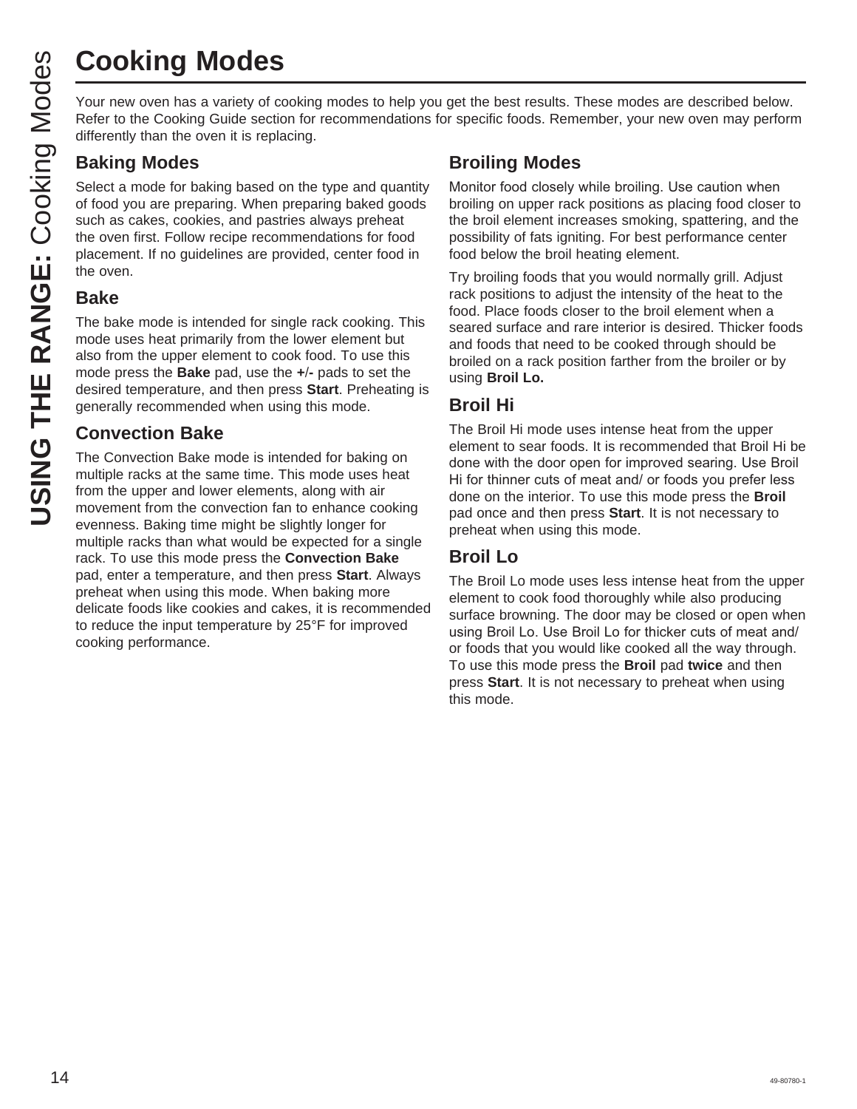# **Cooking Modes**

Your new oven has a variety of cooking modes to help you get the best results. These modes are described below. Refer to the Cooking Guide section for recommendations for specific foods. Remember, your new oven may perform differently than the oven it is replacing.

#### **Baking Modes**

Select a mode for baking based on the type and quantity of food you are preparing. When preparing baked goods such as cakes, cookies, and pastries always preheat the oven first. Follow recipe recommendations for food placement. If no guidelines are provided, center food in the oven.

#### **Bake**

The bake mode is intended for single rack cooking. This mode uses heat primarily from the lower element but also from the upper element to cook food. To use this mode press the **Bake** pad, use the **+-** pads to set the desired temperature, and then press **Start**. Preheating is generally recommended when using this mode.

#### **Convection Bake**

The Convection Bake mode is intended for baking on multiple racks at the same time. This mode uses heat from the upper and lower elements, along with air movement from the convection fan to enhance cooking evenness. Baking time might be slightly longer for multiple racks than what would be expected for a single rack. To use this mode press the **Convection Bake**  pad, enter a temperature, and then press **Start**. Always preheat when using this mode. When baking more delicate foods like cookies and cakes, it is recommended to reduce the input temperature by 25°F for improved cooking performance.

#### **Broiling Modes**

Monitor food closely while broiling. Use caution when broiling on upper rack positions as placing food closer to the broil element increases smoking, spattering, and the possibility of fats igniting. For best performance center food below the broil heating element.

Try broiling foods that you would normally grill. Adjust rack positions to adjust the intensity of the heat to the food. Place foods closer to the broil element when a seared surface and rare interior is desired. Thicker foods and foods that need to be cooked through should be broiled on a rack position farther from the broiler or by using **Broil Lo.**

## **Broil Hi**

The Broil Hi mode uses intense heat from the upper element to sear foods. It is recommended that Broil Hi be done with the door open for improved searing. Use Broil Hi for thinner cuts of meat and/ or foods you prefer less done on the interior. To use this mode press the **Broil** pad once and then press **Start**. It is not necessary to preheat when using this mode.

#### **Broil Lo**

The Broil Lo mode uses less intense heat from the upper element to cook food thoroughly while also producing surface browning. The door may be closed or open when using Broil Lo. Use Broil Lo for thicker cuts of meat and/ or foods that you would like cooked all the way through. To use this mode press the **Broil** pad **twice** and then press **Start**. It is not necessary to preheat when using this mode.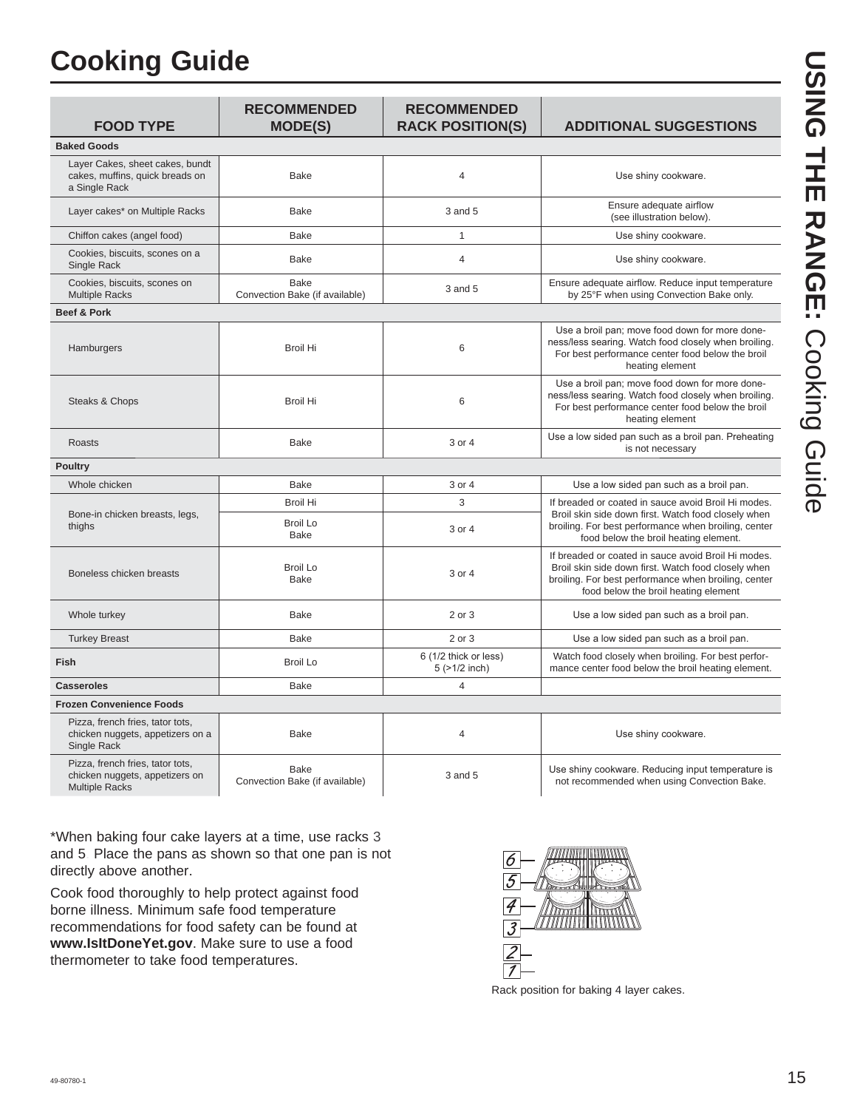## **Cooking Guide**

| <b>FOOD TYPE</b>                                                                            | <b>RECOMMENDED</b><br><b>MODE(S)</b>          | <b>RECOMMENDED</b><br><b>RACK POSITION(S)</b> | <b>ADDITIONAL SUGGESTIONS</b>                                                                                                                                                                              |
|---------------------------------------------------------------------------------------------|-----------------------------------------------|-----------------------------------------------|------------------------------------------------------------------------------------------------------------------------------------------------------------------------------------------------------------|
| <b>Baked Goods</b>                                                                          |                                               |                                               |                                                                                                                                                                                                            |
| Layer Cakes, sheet cakes, bundt<br>cakes, muffins, quick breads on<br>a Single Rack         | Bake                                          | $\overline{4}$                                | Use shiny cookware.                                                                                                                                                                                        |
| Layer cakes* on Multiple Racks                                                              | <b>Bake</b>                                   | 3 and 5                                       | Ensure adequate airflow<br>(see illustration below).                                                                                                                                                       |
| Chiffon cakes (angel food)                                                                  | <b>Bake</b>                                   | $\mathbf{1}$                                  | Use shiny cookware.                                                                                                                                                                                        |
| Cookies, biscuits, scones on a<br>Single Rack                                               | <b>Bake</b>                                   | $\overline{4}$                                | Use shiny cookware.                                                                                                                                                                                        |
| Cookies, biscuits, scones on<br><b>Multiple Racks</b>                                       | <b>Bake</b><br>Convection Bake (if available) | 3 and 5                                       | Ensure adequate airflow. Reduce input temperature<br>by 25°F when using Convection Bake only.                                                                                                              |
| Beef & Pork                                                                                 |                                               |                                               |                                                                                                                                                                                                            |
| Hamburgers                                                                                  | <b>Broil Hi</b>                               | 6                                             | Use a broil pan; move food down for more done-<br>ness/less searing. Watch food closely when broiling.<br>For best performance center food below the broil<br>heating element                              |
| Steaks & Chops                                                                              | <b>Broil Hi</b>                               | 6                                             | Use a broil pan; move food down for more done-<br>ness/less searing. Watch food closely when broiling.<br>For best performance center food below the broil<br>heating element                              |
| Roasts                                                                                      | Bake                                          | 3 or 4                                        | Use a low sided pan such as a broil pan. Preheating<br>is not necessary                                                                                                                                    |
| <b>Poultry</b>                                                                              |                                               |                                               |                                                                                                                                                                                                            |
| Whole chicken                                                                               | Bake                                          | 3 or 4                                        | Use a low sided pan such as a broil pan.                                                                                                                                                                   |
|                                                                                             | <b>Broil Hi</b>                               | 3                                             | If breaded or coated in sauce avoid Broil Hi modes.<br>Broil skin side down first. Watch food closely when                                                                                                 |
| Bone-in chicken breasts, legs,<br>thighs                                                    | <b>Broil Lo</b><br><b>Bake</b>                | 3 or 4                                        | broiling. For best performance when broiling, center<br>food below the broil heating element.                                                                                                              |
| Boneless chicken breasts                                                                    | <b>Broil Lo</b><br><b>Bake</b>                | 3 or 4                                        | If breaded or coated in sauce avoid Broil Hi modes.<br>Broil skin side down first. Watch food closely when<br>broiling. For best performance when broiling, center<br>food below the broil heating element |
| Whole turkey                                                                                | <b>Bake</b>                                   | 2 or 3                                        | Use a low sided pan such as a broil pan.                                                                                                                                                                   |
| <b>Turkey Breast</b>                                                                        | <b>Bake</b>                                   | 2 or 3                                        | Use a low sided pan such as a broil pan.                                                                                                                                                                   |
| Fish                                                                                        | <b>Broil Lo</b>                               | 6 (1/2 thick or less)<br>$5$ ( $>1/2$ inch)   | Watch food closely when broiling. For best perfor-<br>mance center food below the broil heating element.                                                                                                   |
| <b>Casseroles</b>                                                                           | Bake                                          | $\overline{4}$                                |                                                                                                                                                                                                            |
| <b>Frozen Convenience Foods</b>                                                             |                                               |                                               |                                                                                                                                                                                                            |
| Pizza, french fries, tator tots,<br>chicken nuggets, appetizers on a<br>Single Rack         | <b>Bake</b>                                   | $\overline{4}$                                | Use shiny cookware.                                                                                                                                                                                        |
| Pizza, french fries, tator tots,<br>chicken nuggets, appetizers on<br><b>Multiple Racks</b> | <b>Bake</b><br>Convection Bake (if available) | $3$ and $5$                                   | Use shiny cookware. Reducing input temperature is<br>not recommended when using Convection Bake.                                                                                                           |

\*When baking four cake layers at a time, use racks 3 and 5. Place the pans as shown so that one pan is not directly above another.

Cook food thoroughly to help protect against food borne illness. Minimum safe food temperature recommendations for food safety can be found at **www.IsItDoneYet.gov**. Make sure to use a food thermometer to take food temperatures.



Rack position for baking 4 layer cakes.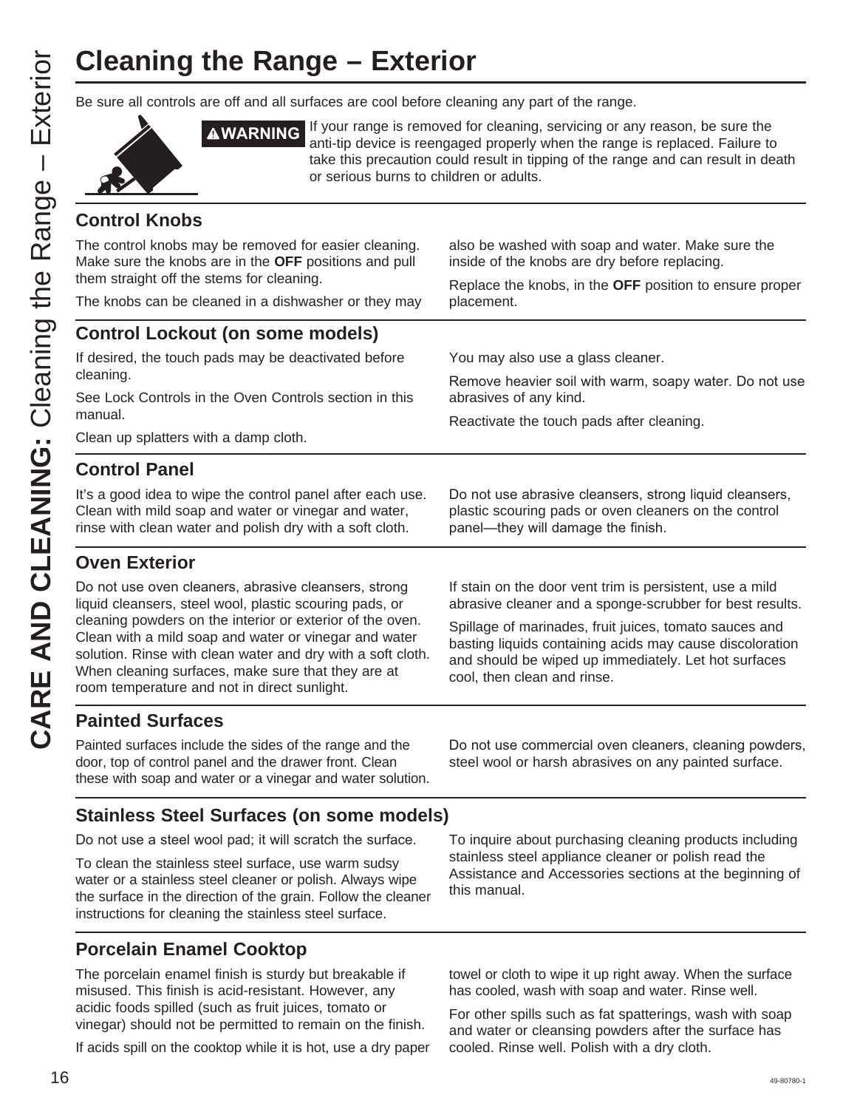# **Cleaning the Range – Exterior**

Be sure all controls are off and all surfaces are cool before cleaning any part of the range.



**AWARNING** If your range is removed for cleaning, servicing or any reason, be sure the anti-tip device is reengaged properly when the range is replaced. Failure to take this precaution could result in tipping of the range and can result in death or serious burns to children or adults.

#### **Control Knobs**

The control knobs may be removed for easier cleaning. Make sure the knobs are in the **OFF** positions and pull them straight off the stems for cleaning.

also be washed with soap and water. Make sure the inside of the knobs are dry before replacing.

Replace the knobs, in the **OFF** position to ensure proper placement.

#### The knobs can be cleaned in a dishwasher or they may

#### **Control Lockout (on some models)**

If desired, the touch pads may be deactivated before cleaning.

See Lock Controls in the Oven Controls section in this manual.

Clean up splatters with a damp cloth.

#### **Control Panel**

It's a good idea to wipe the control panel after each use. Clean with mild soap and water or vinegar and water, rinse with clean water and polish dry with a soft cloth.

#### **Oven Exterior**

Do not use oven cleaners, abrasive cleansers, strong liquid cleansers, steel wool, plastic scouring pads, or cleaning powders on the interior or exterior of the oven. Clean with a mild soap and water or vinegar and water solution. Rinse with clean water and dry with a soft cloth. When cleaning surfaces, make sure that they are at room temperature and not in direct sunlight.

You may also use a glass cleaner.

Remove heavier soil with warm, soapy water. Do not use abrasives of any kind.

Reactivate the touch pads after cleaning.

Do not use abrasive cleansers, strong liquid cleansers, plastic scouring pads or oven cleaners on the control panel—they will damage the finish.

If stain on the door vent trim is persistent, use a mild abrasive cleaner and a sponge-scrubber for best results.

Spillage of marinades, fruit juices, tomato sauces and basting liquids containing acids may cause discoloration and should be wiped up immediately. Let hot surfaces cool, then clean and rinse.

#### **Painted Surfaces**

Painted surfaces include the sides of the range and the door, top of control panel and the drawer front. Clean these with soap and water or a vinegar and water solution.

Do not use commercial oven cleaners, cleaning powders, steel wool or harsh abrasives on any painted surface.

#### **Stainless Steel Surfaces (on some models)**

Do not use a steel wool pad; it will scratch the surface.

To clean the stainless steel surface, use warm sudsy water or a stainless steel cleaner or polish. Always wipe the surface in the direction of the grain. Follow the cleaner instructions for cleaning the stainless steel surface.

#### **Porcelain Enamel Cooktop**

The porcelain enamel finish is sturdy but breakable if misused. This finish is acid-resistant. However, any acidic foods spilled (such as fruit juices, tomato or vinegar) should not be permitted to remain on the finish.

If acids spill on the cooktop while it is hot, use a dry paper

To inquire about purchasing cleaning products including stainless steel appliance cleaner or polish read the Assistance and Accessories sections at the beginning of this manual.

towel or cloth to wipe it up right away. When the surface has cooled, wash with soap and water. Rinse well.

For other spills such as fat spatterings, wash with soap and water or cleansing powders after the surface has cooled. Rinse well. Polish with a dry cloth.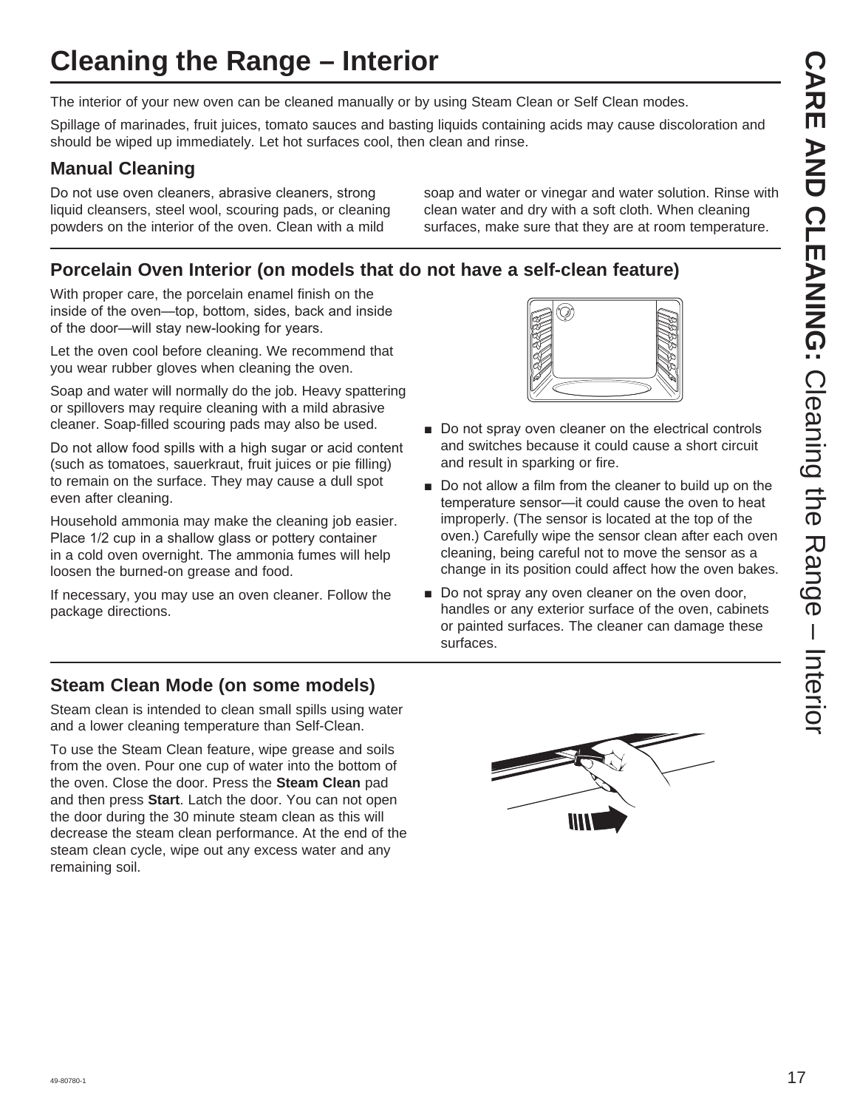## **Cleaning the Range – Interior**

The interior of your new oven can be cleaned manually or by using Steam Clean or Self Clean modes.

Spillage of marinades, fruit juices, tomato sauces and basting liquids containing acids may cause discoloration and should be wiped up immediately. Let hot surfaces cool, then clean and rinse.

## **Manual Cleaning**

Do not use oven cleaners, abrasive cleaners, strong liquid cleansers, steel wool, scouring pads, or cleaning powders on the interior of the oven. Clean with a mild

soap and water or vinegar and water solution. Rinse with clean water and dry with a soft cloth. When cleaning surfaces, make sure that they are at room temperature.

## **Porcelain Oven Interior (on models that do not have a self-clean feature)**

With proper care, the porcelain enamel finish on the inside of the oven-top, bottom, sides, back and inside of the door—will stay new-looking for years.

Let the oven cool before cleaning. We recommend that you wear rubber gloves when cleaning the oven.

Soap and water will normally do the job. Heavy spattering or spillovers may require cleaning with a mild abrasive cleaner. Soap-filled scouring pads may also be used.

Do not allow food spills with a high sugar or acid content (such as tomatoes, sauerkraut, fruit juices or pie filling) to remain on the surface. They may cause a dull spot even after cleaning.

Household ammonia may make the cleaning job easier. Place 1/2 cup in a shallow glass or pottery container in a cold oven overnight. The ammonia fumes will help loosen the burned-on grease and food.

If necessary, you may use an oven cleaner. Follow the package directions.



- Do not spray oven cleaner on the electrical controls and switches because it could cause a short circuit and result in sparking or fire.
- Do not allow a film from the cleaner to build up on the temperature sensor—it could cause the oven to heat improperly. (The sensor is located at the top of the oven.) Carefully wipe the sensor clean after each oven cleaning, being careful not to move the sensor as a change in its position could affect how the oven bakes.
- Do not spray any oven cleaner on the oven door, handles or any exterior surface of the oven, cabinets or painted surfaces. The cleaner can damage these surfaces.

#### **Steam Clean Mode (on some models)**

Steam clean is intended to clean small spills using water and a lower cleaning temperature than Self-Clean.

To use the Steam Clean feature, wipe grease and soils from the oven. Pour one cup of water into the bottom of the oven. Close the door. Press the **Steam Clean** pad and then press **Start**. Latch the door. You can not open the door during the 30 minute steam clean as this will decrease the steam clean performance. At the end of the steam clean cycle, wipe out any excess water and any remaining soil.

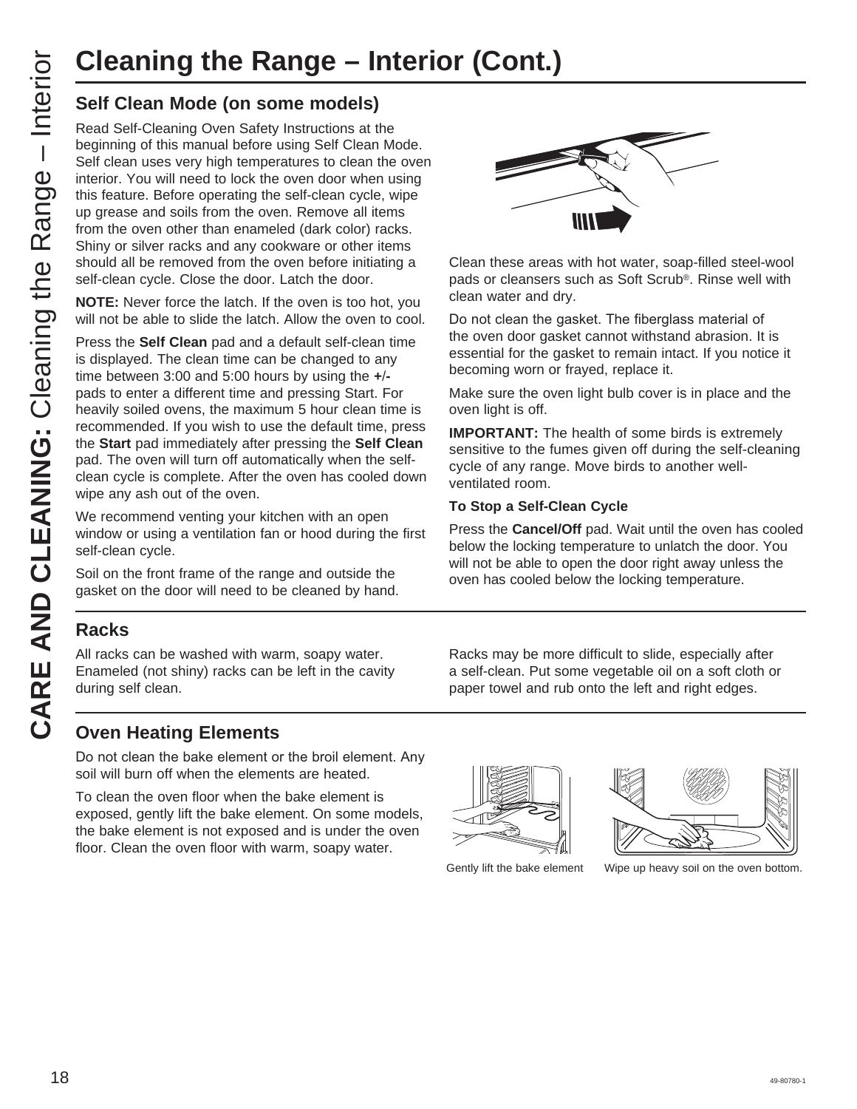## **Cleaning the Range – Interior (Cont.)**

Cleaning the Range – Interior Self Clean Mode (on some models)<br>
Read Self-Cleaning Oven Safety Instructions at Regiming of this manual before using Self Clean<br>
Celf clean Self Cleaning Oven Safety Instructions at Regiming Read Self-Cleaning Oven Safety Instructions at the beginning of this manual before using Self Clean Mode. Self clean uses very high temperatures to clean the oven interior. You will need to lock the oven door when using this feature. Before operating the self-clean cycle, wipe up grease and soils from the oven. Remove all items from the oven other than enameled (dark color) racks. Shiny or silver racks and any cookware or other items should all be removed from the oven before initiating a self-clean cycle. Close the door. Latch the door.

**NOTE:** Never force the latch. If the oven is too hot, you will not be able to slide the latch. Allow the oven to cool.

Press the **Self Clean** pad and a default self-clean time is displayed. The clean time can be changed to any time between 3:00 and 5:00 hours by using the **+** pads to enter a different time and pressing Start. For heavily soiled ovens, the maximum 5 hour clean time is recommended. If you wish to use the default time, press the **Start** pad immediately after pressing the **Self Clean** pad. The oven will turn off automatically when the selfclean cycle is complete. After the oven has cooled down wipe any ash out of the oven.

We recommend venting your kitchen with an open window or using a ventilation fan or hood during the first self-clean cycle.

Soil on the front frame of the range and outside the gasket on the door will need to be cleaned by hand.

#### **Racks**

All racks can be washed with warm, soapy water. Enameled (not shiny) racks can be left in the cavity during self clean.



Clean these areas with hot water, soap-filled steel-wool pads or cleansers such as Soft Scrub®. Rinse well with clean water and dry.

Do not clean the gasket. The fiberglass material of the oven door gasket cannot withstand abrasion. It is essential for the gasket to remain intact. If you notice it becoming worn or frayed, replace it.

Make sure the oven light bulb cover is in place and the oven light is off.

**IMPORTANT:** The health of some birds is extremely sensitive to the fumes given off during the self-cleaning cycle of any range. Move birds to another wellventilated room.

#### **To Stop a Self-Clean Cycle**

Press the **Cancel/Off** pad. Wait until the oven has cooled below the locking temperature to unlatch the door. You will not be able to open the door right away unless the oven has cooled below the locking temperature.

Racks may be more difficult to slide, especially after a self-clean. Put some vegetable oil on a soft cloth or paper towel and rub onto the left and right edges.

#### **Oven Heating Elements**

Do not clean the bake element or the broil element. Any soil will burn off when the elements are heated.

To clean the oven floor when the bake element is exposed, gently lift the bake element. On some models, the bake element is not exposed and is under the oven floor. Clean the oven floor with warm, soapy water.



Gently lift the bake element Wipe up heavy soil on the oven bottom.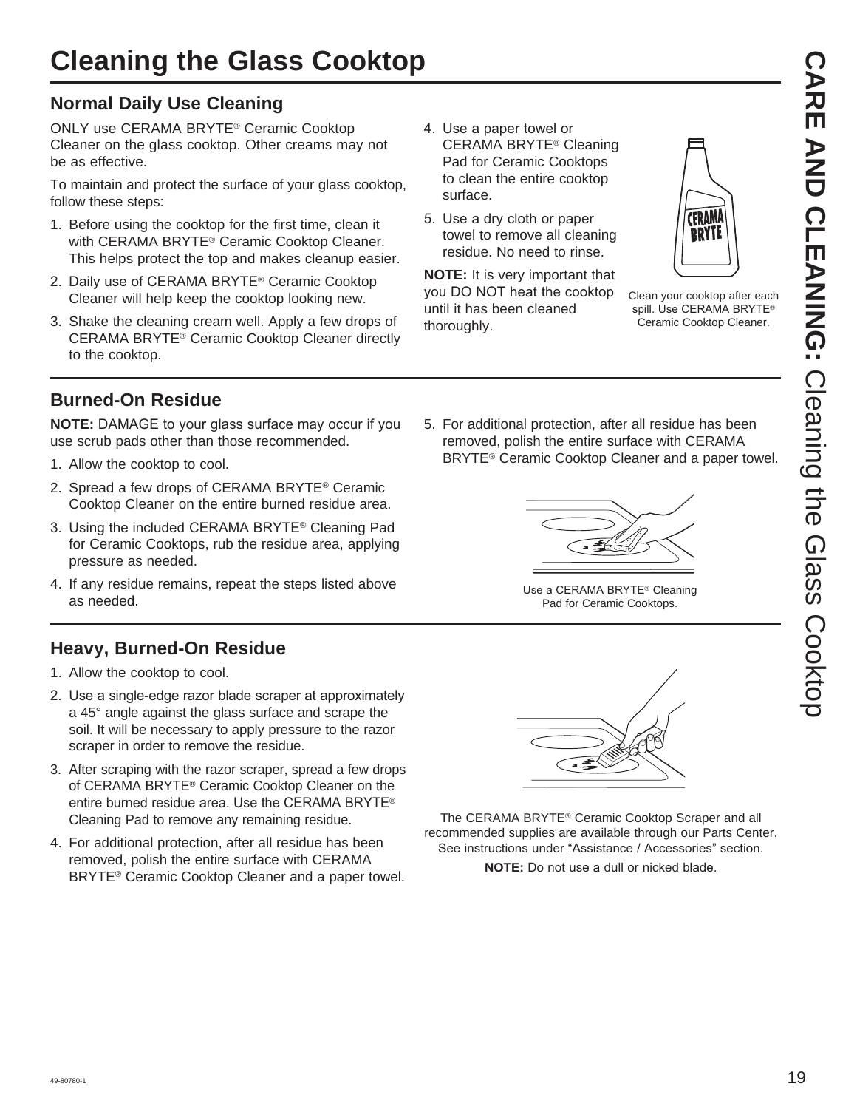## **Normal Daily Use Cleaning**

ONLY use CERAMA BRYTE® Ceramic Cooktop Cleaner on the glass cooktop. Other creams may not be as effective.

To maintain and protect the surface of your glass cooktop, follow these steps:

- 1. Before using the cooktop for the first time, clean it with CERAMA BRYTE® Ceramic Cooktop Cleaner. This helps protect the top and makes cleanup easier.
- 2. Daily use of CERAMA BRYTE<sup>®</sup> Ceramic Cooktop Cleaner will help keep the cooktop looking new.
- 3. Shake the cleaning cream well. Apply a few drops of CERAMA BRYTE® Ceramic Cooktop Cleaner directly to the cooktop.
- 4. Use a paper towel or CERAMA BRYTE® Cleaning Pad for Ceramic Cooktops to clean the entire cooktop surface.
- 5. Use a dry cloth or paper towel to remove all cleaning residue. No need to rinse.

**NOTE:** It is very important that you DO NOT heat the cooktop until it has been cleaned thoroughly.



Clean your cooktop after each spill. Use CERAMA BRYTE® Ceramic Cooktop Cleaner.

### **Burned-On Residue**

**NOTE:** DAMAGE to your glass surface may occur if you use scrub pads other than those recommended.

- 1. Allow the cooktop to cool.
- 2. Spread a few drops of CERAMA BRYTE® Ceramic Cooktop Cleaner on the entire burned residue area.
- 3. Using the included CERAMA BRYTE<sup>®</sup> Cleaning Pad for Ceramic Cooktops, rub the residue area, applying pressure as needed.
- 4. If any residue remains, repeat the steps listed above as needed.

### **Heavy, Burned-On Residue**

- 1. Allow the cooktop to cool.
- 2. Use a single-edge razor blade scraper at approximately a 45° angle against the glass surface and scrape the soil. It will be necessary to apply pressure to the razor scraper in order to remove the residue.
- 3. After scraping with the razor scraper, spread a few drops of CERAMA BRYTE® Ceramic Cooktop Cleaner on the entire burned residue area. Use the CERAMA BRYTE<sup>®</sup> Cleaning Pad to remove any remaining residue.
- 4. For additional protection, after all residue has been removed, polish the entire surface with CERAMA BRYTE® Ceramic Cooktop Cleaner and a paper towel.

5. For additional protection, after all residue has been removed, polish the entire surface with CERAMA BRYTE® Ceramic Cooktop Cleaner and a paper towel.



Use a CERAMA BRYTE® Cleaning Pad for Ceramic Cooktops.



The CERAMA BRYTE® Ceramic Cooktop Scraper and all recommended supplies are available through our Parts Center. See instructions under "Assistance / Accessories" section.

**NOTE:** Do not use a dull or nicked blade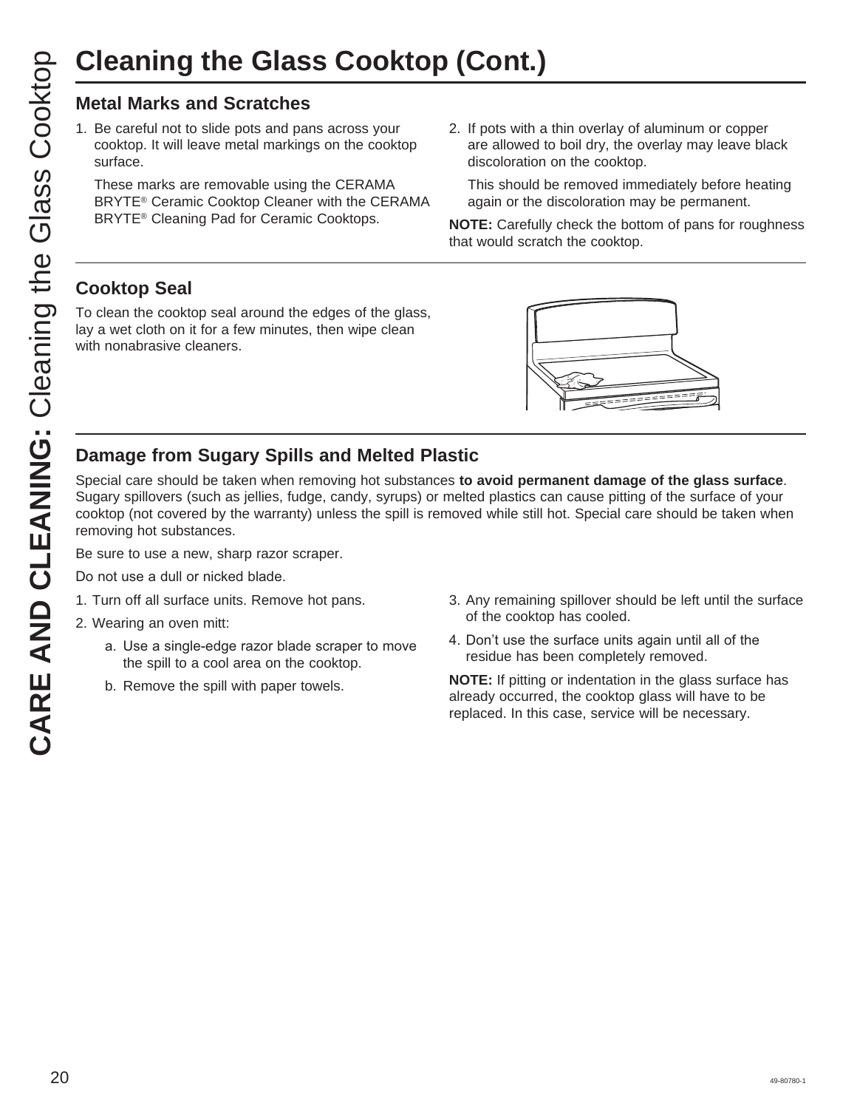#### **Metal Marks and Scratches**

1. Be careful not to slide pots and pans across your cooktop. It will leave metal markings on the cooktop surface.

 These marks are removable using the CERAMA BRYTE® Ceramic Cooktop Cleaner with the CERAMA BRYTE® Cleaning Pad for Ceramic Cooktops.

2. If pots with a thin overlay of aluminum or copper are allowed to boil dry, the overlay may leave black discoloration on the cooktop.

 This should be removed immediately before heating again or the discoloration may be permanent.

**NOTE:** Carefully check the bottom of pans for roughness that would scratch the cooktop.

#### **Cooktop Seal**

To clean the cooktop seal around the edges of the glass, lay a wet cloth on it for a few minutes, then wipe clean with nonabrasive cleaners.



#### **Damage from Sugary Spills and Melted Plastic**

Special care should be taken when removing hot substances **to avoid permanent damage of the glass surface**. Sugary spillovers (such as jellies, fudge, candy, syrups) or melted plastics can cause pitting of the surface of your cooktop (not covered by the warranty) unless the spill is removed while still hot. Special care should be taken when removing hot substances.

Be sure to use a new, sharp razor scraper.

Do not use a dull or nicked blade.

1. Turn off all surface units. Remove hot pans.

2. Wearing an oven mitt:

- a. Use a single-edge razor blade scraper to move the spill to a cool area on the cooktop.
- b. Remove the spill with paper towels.
- 3. Any remaining spillover should be left until the surface of the cooktop has cooled.
- 4. Don't use the surface units again until all of the residue has been completely removed.

**NOTE:** If pitting or indentation in the glass surface has already occurred, the cooktop glass will have to be replaced. In this case, service will be necessary.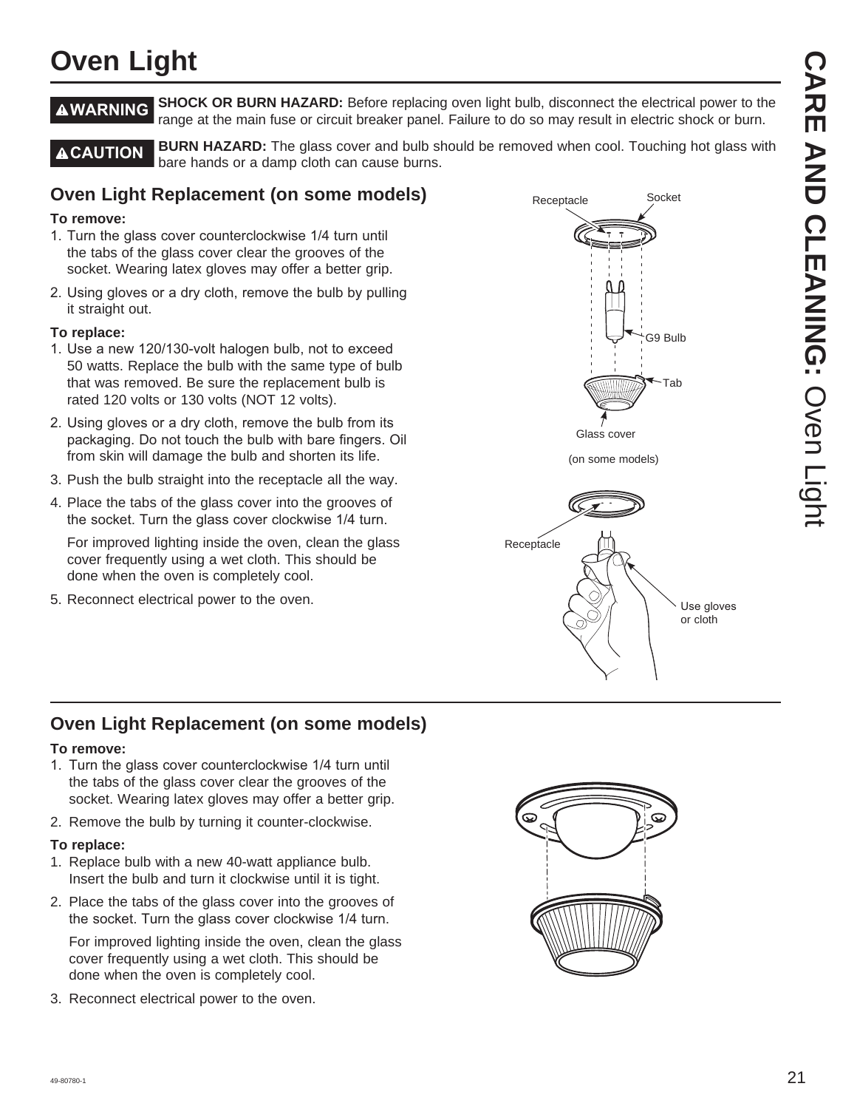## **Oven Light**

**AWARNING** SHOCK OR BURN HAZARD: Before replacing oven light bulb, disconnect the electrical power to the range at the main fuse or circuit breaker panel. Failure to do so may result in electric shock or burn.

**ACAUTION** BURN HAZARD: The glass cover and bulb should be removed when cool. Touching hot glass with bare hands or a damp cloth can cause burns.

#### **Oven Light Replacement (on some models)**

#### **To remove:**

- 1. Turn the glass cover counterclockwise 1/4 turn until the tabs of the glass cover clear the grooves of the socket. Wearing latex gloves may offer a better grip.
- 2. Using gloves or a dry cloth, remove the bulb by pulling it straight out.

#### **To replace:**

- 1. Use a new 120/130-volt halogen bulb, not to exceed 50 watts. Replace the bulb with the same type of bulb that was removed. Be sure the replacement bulb is rated 120 volts or 130 volts (NOT 12 volts).
- 2. Using gloves or a dry cloth, remove the bulb from its packaging. Do not touch the bulb with bare fingers. Oil from skin will damage the bulb and shorten its life.
- 3. Push the bulb straight into the receptacle all the way.
- 4. Place the tabs of the glass cover into the grooves of the socket. Turn the glass cover clockwise 1/4 turn.

 For improved lighting inside the oven, clean the glass cover frequently using a wet cloth. This should be done when the oven is completely cool.

5. Reconnect electrical power to the oven.



#### **Oven Light Replacement (on some models)**

#### **To remove:**

- 1. Turn the glass cover counterclockwise 1/4 turn until the tabs of the glass cover clear the grooves of the socket. Wearing latex gloves may offer a better grip.
- 2. Remove the bulb by turning it counter-clockwise.

#### **To replace:**

- 1. Replace bulb with a new 40-watt appliance bulb. Insert the bulb and turn it clockwise until it is tight.
- 2. Place the tabs of the glass cover into the grooves of the socket. Turn the glass cover clockwise 1/4 turn.

 For improved lighting inside the oven, clean the glass cover frequently using a wet cloth. This should be done when the oven is completely cool.

3. Reconnect electrical power to the oven.

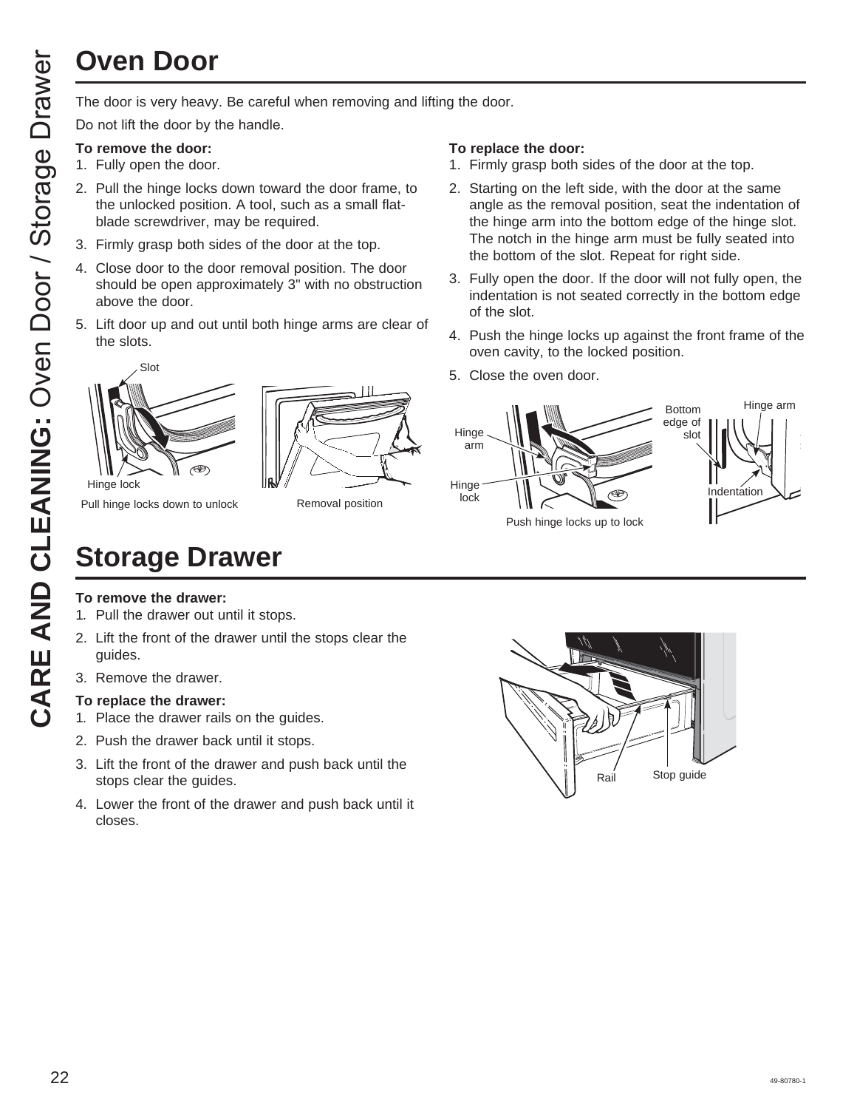## **Oven Door**

Do not lift the door by the handle.

#### **To remove the door:**

- 1. Fully open the door.
- 2. Pull the hinge locks down toward the door frame, to the unlocked position. A tool, such as a small flatblade screwdriver, may be required.
- 3. Firmly grasp both sides of the door at the top.
- 4. Close door to the door removal position. The door should be open approximately 3" with no obstruction above the door.
- 5. Lift door up and out until both hinge arms are clear of the slots.

# Hinge lock Slot



Pull hinge locks down to unlock

Removal position

#### **To replace the door:**

- 1. Firmly grasp both sides of the door at the top.
- 2. Starting on the left side, with the door at the same angle as the removal position, seat the indentation of the hinge arm into the bottom edge of the hinge slot. The notch in the hinge arm must be fully seated into the bottom of the slot. Repeat for right side.
- 3. Fully open the door. If the door will not fully open, the indentation is not seated correctly in the bottom edge of the slot.
- 4. Push the hinge locks up against the front frame of the oven cavity, to the locked position.
- 5. Close the oven door.



- **To remove the drawer:**
- 1. Pull the drawer out until it stops.

**Storage Drawer**

- 2. Lift the front of the drawer until the stops clear the guides.
- 3. Remove the drawer.

#### **To replace the drawer:**

- 1. Place the drawer rails on the guides.
- 2. Push the drawer back until it stops.
- 3. Lift the front of the drawer and push back until the stops clear the guides.
- 4. Lower the front of the drawer and push back until it closes.

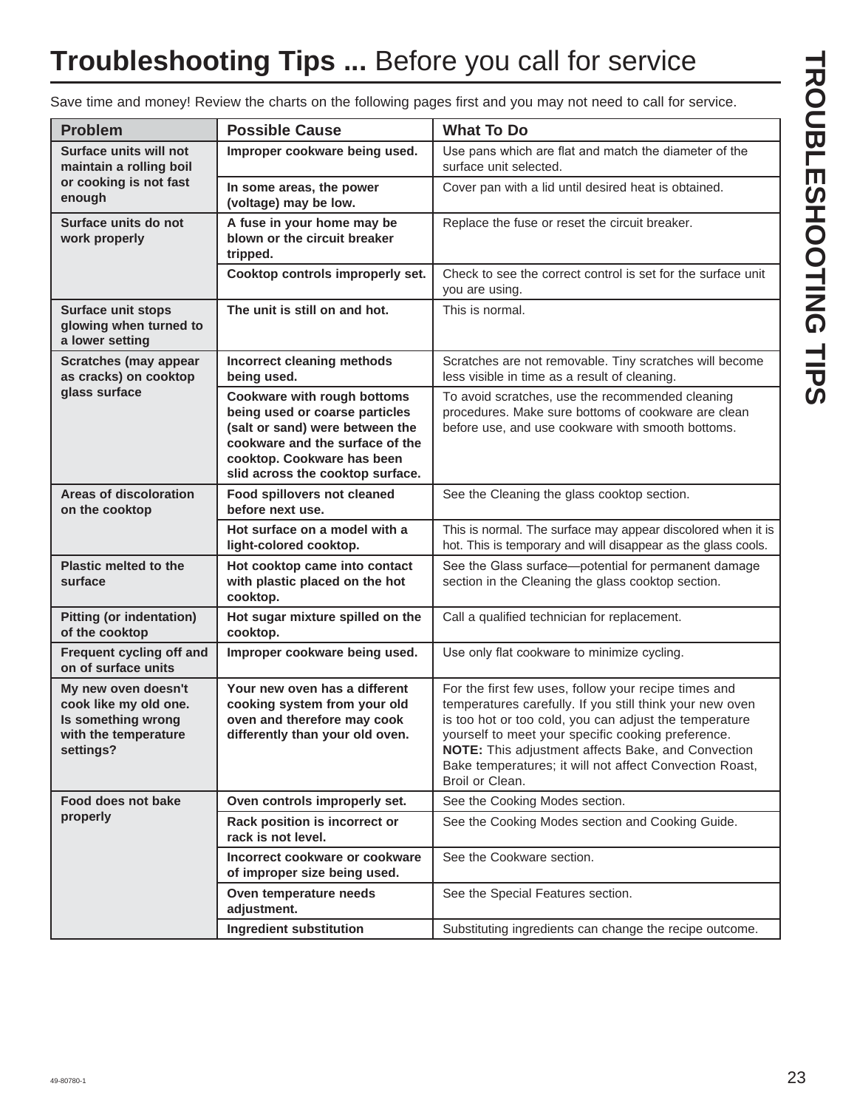## **Troubleshooting Tips ...** Before you call for service

| <b>Problem</b>                                                                                          | <b>Possible Cause</b>                                                                                                                                                                                        | <b>What To Do</b>                                                                                                                                                                                                                                                                                                                                                    |
|---------------------------------------------------------------------------------------------------------|--------------------------------------------------------------------------------------------------------------------------------------------------------------------------------------------------------------|----------------------------------------------------------------------------------------------------------------------------------------------------------------------------------------------------------------------------------------------------------------------------------------------------------------------------------------------------------------------|
| <b>Surface units will not</b><br>maintain a rolling boil                                                | Improper cookware being used.                                                                                                                                                                                | Use pans which are flat and match the diameter of the<br>surface unit selected.                                                                                                                                                                                                                                                                                      |
| or cooking is not fast<br>enough                                                                        | In some areas, the power<br>(voltage) may be low.                                                                                                                                                            | Cover pan with a lid until desired heat is obtained.                                                                                                                                                                                                                                                                                                                 |
| Surface units do not<br>work properly                                                                   | A fuse in your home may be<br>blown or the circuit breaker<br>tripped.                                                                                                                                       | Replace the fuse or reset the circuit breaker.                                                                                                                                                                                                                                                                                                                       |
|                                                                                                         | Cooktop controls improperly set.                                                                                                                                                                             | Check to see the correct control is set for the surface unit<br>you are using.                                                                                                                                                                                                                                                                                       |
| <b>Surface unit stops</b><br>glowing when turned to<br>a lower setting                                  | The unit is still on and hot.                                                                                                                                                                                | This is normal.                                                                                                                                                                                                                                                                                                                                                      |
| <b>Scratches (may appear</b><br>as cracks) on cooktop                                                   | Incorrect cleaning methods<br>being used.                                                                                                                                                                    | Scratches are not removable. Tiny scratches will become<br>less visible in time as a result of cleaning.                                                                                                                                                                                                                                                             |
| glass surface                                                                                           | <b>Cookware with rough bottoms</b><br>being used or coarse particles<br>(salt or sand) were between the<br>cookware and the surface of the<br>cooktop. Cookware has been<br>slid across the cooktop surface. | To avoid scratches, use the recommended cleaning<br>procedures. Make sure bottoms of cookware are clean<br>before use, and use cookware with smooth bottoms.                                                                                                                                                                                                         |
| Areas of discoloration<br>on the cooktop                                                                | Food spillovers not cleaned<br>before next use.                                                                                                                                                              | See the Cleaning the glass cooktop section.                                                                                                                                                                                                                                                                                                                          |
|                                                                                                         | Hot surface on a model with a<br>light-colored cooktop.                                                                                                                                                      | This is normal. The surface may appear discolored when it is<br>hot. This is temporary and will disappear as the glass cools.                                                                                                                                                                                                                                        |
| Plastic melted to the<br>surface                                                                        | Hot cooktop came into contact<br>with plastic placed on the hot<br>cooktop.                                                                                                                                  | See the Glass surface-potential for permanent damage<br>section in the Cleaning the glass cooktop section.                                                                                                                                                                                                                                                           |
| <b>Pitting (or indentation)</b><br>of the cooktop                                                       | Hot sugar mixture spilled on the<br>cooktop.                                                                                                                                                                 | Call a qualified technician for replacement.                                                                                                                                                                                                                                                                                                                         |
| Frequent cycling off and<br>on of surface units                                                         | Improper cookware being used.                                                                                                                                                                                | Use only flat cookware to minimize cycling.                                                                                                                                                                                                                                                                                                                          |
| My new oven doesn't<br>cook like my old one.<br>Is something wrong<br>with the temperature<br>settings? | Your new oven has a different<br>cooking system from your old<br>oven and therefore may cook<br>differently than your old oven.                                                                              | For the first few uses, follow your recipe times and<br>temperatures carefully. If you still think your new oven<br>is too hot or too cold, you can adjust the temperature<br>yourself to meet your specific cooking preference.<br>NOTE: This adjustment affects Bake, and Convection<br>Bake temperatures; it will not affect Convection Roast,<br>Broil or Clean. |
| Food does not bake                                                                                      | Oven controls improperly set.                                                                                                                                                                                | See the Cooking Modes section.                                                                                                                                                                                                                                                                                                                                       |
| properly                                                                                                | Rack position is incorrect or<br>rack is not level.                                                                                                                                                          | See the Cooking Modes section and Cooking Guide.                                                                                                                                                                                                                                                                                                                     |
|                                                                                                         | Incorrect cookware or cookware<br>of improper size being used.                                                                                                                                               | See the Cookware section.                                                                                                                                                                                                                                                                                                                                            |
|                                                                                                         | Oven temperature needs<br>adjustment.                                                                                                                                                                        | See the Special Features section.                                                                                                                                                                                                                                                                                                                                    |
|                                                                                                         | Ingredient substitution                                                                                                                                                                                      | Substituting ingredients can change the recipe outcome.                                                                                                                                                                                                                                                                                                              |

Save time and money! Review the charts on the following pages first and you may not need to call for service.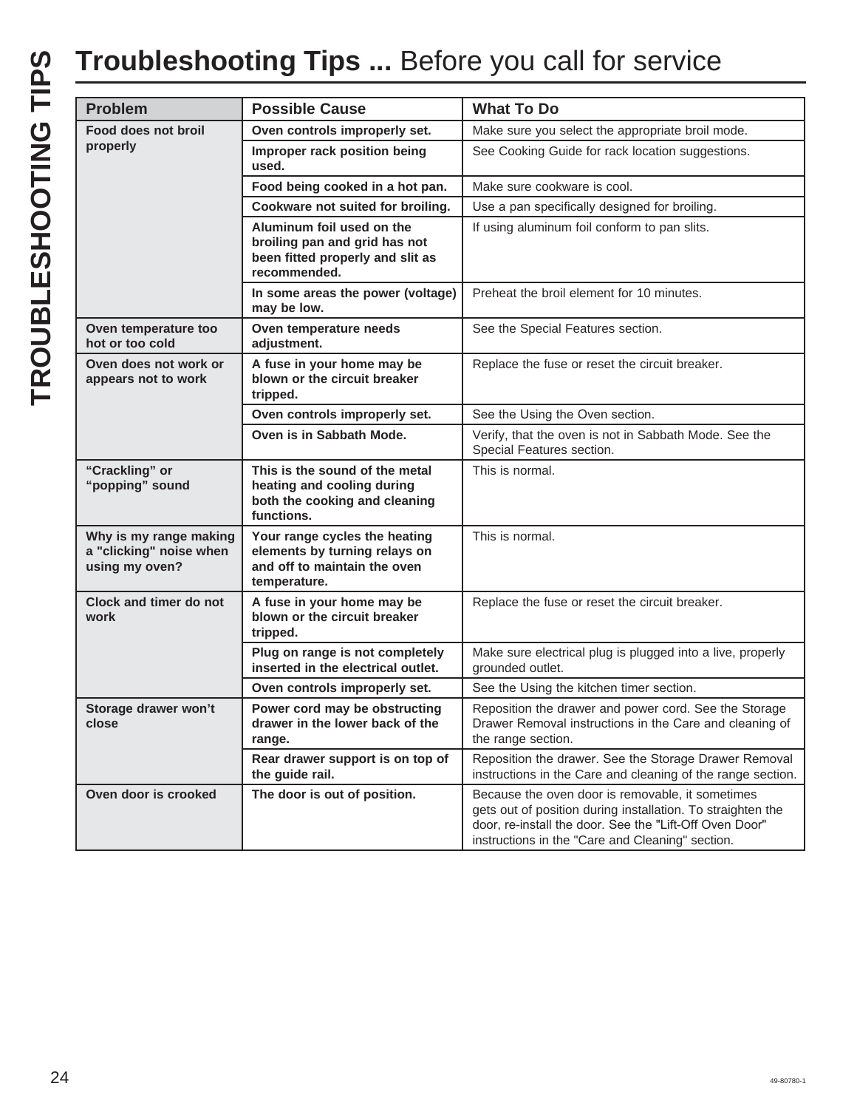|                                                                     | <b>Possible Cause</b>                                                                                          | <b>What To Do</b>                                                                                                                                                                                                              |
|---------------------------------------------------------------------|----------------------------------------------------------------------------------------------------------------|--------------------------------------------------------------------------------------------------------------------------------------------------------------------------------------------------------------------------------|
| Food does not broil                                                 | Oven controls improperly set.                                                                                  | Make sure you select the appropriate broil mode.                                                                                                                                                                               |
| properly                                                            | Improper rack position being<br>used.                                                                          | See Cooking Guide for rack location suggestions.                                                                                                                                                                               |
|                                                                     | Food being cooked in a hot pan.                                                                                | Make sure cookware is cool.                                                                                                                                                                                                    |
|                                                                     | Cookware not suited for broiling.                                                                              | Use a pan specifically designed for broiling.                                                                                                                                                                                  |
|                                                                     | Aluminum foil used on the<br>broiling pan and grid has not<br>been fitted properly and slit as<br>recommended. | If using aluminum foil conform to pan slits.                                                                                                                                                                                   |
|                                                                     | In some areas the power (voltage)<br>may be low.                                                               | Preheat the broil element for 10 minutes.                                                                                                                                                                                      |
| Oven temperature too<br>hot or too cold                             | Oven temperature needs<br>adjustment.                                                                          | See the Special Features section.                                                                                                                                                                                              |
| Oven does not work or<br>appears not to work                        | A fuse in your home may be<br>blown or the circuit breaker<br>tripped.                                         | Replace the fuse or reset the circuit breaker.                                                                                                                                                                                 |
|                                                                     | Oven controls improperly set.                                                                                  | See the Using the Oven section.                                                                                                                                                                                                |
|                                                                     | Oven is in Sabbath Mode.                                                                                       | Verify, that the oven is not in Sabbath Mode. See the<br>Special Features section.                                                                                                                                             |
| "Crackling" or<br>"popping" sound                                   | This is the sound of the metal<br>heating and cooling during<br>both the cooking and cleaning<br>functions.    | This is normal.                                                                                                                                                                                                                |
| Why is my range making<br>a "clicking" noise when<br>using my oven? | Your range cycles the heating<br>elements by turning relays on<br>and off to maintain the oven<br>temperature. | This is normal.                                                                                                                                                                                                                |
| Clock and timer do not<br>work                                      | A fuse in your home may be<br>blown or the circuit breaker<br>tripped.                                         | Replace the fuse or reset the circuit breaker.                                                                                                                                                                                 |
|                                                                     | Plug on range is not completely<br>inserted in the electrical outlet.                                          | Make sure electrical plug is plugged into a live, properly<br>grounded outlet.                                                                                                                                                 |
|                                                                     | Oven controls improperly set.                                                                                  | See the Using the kitchen timer section.                                                                                                                                                                                       |
| Storage drawer won't<br>close                                       | Power cord may be obstructing<br>drawer in the lower back of the<br>range.                                     | Reposition the drawer and power cord. See the Storage<br>Drawer Removal instructions in the Care and cleaning of<br>the range section.                                                                                         |
|                                                                     | Rear drawer support is on top of<br>the guide rail.                                                            | Reposition the drawer. See the Storage Drawer Removal<br>instructions in the Care and cleaning of the range section.                                                                                                           |
| Oven door is crooked                                                | The door is out of position.                                                                                   | Because the oven door is removable, it sometimes<br>gets out of position during installation. To straighten the<br>door, re-install the door. See the "Lift-Off Oven Door"<br>instructions in the "Care and Cleaning" section. |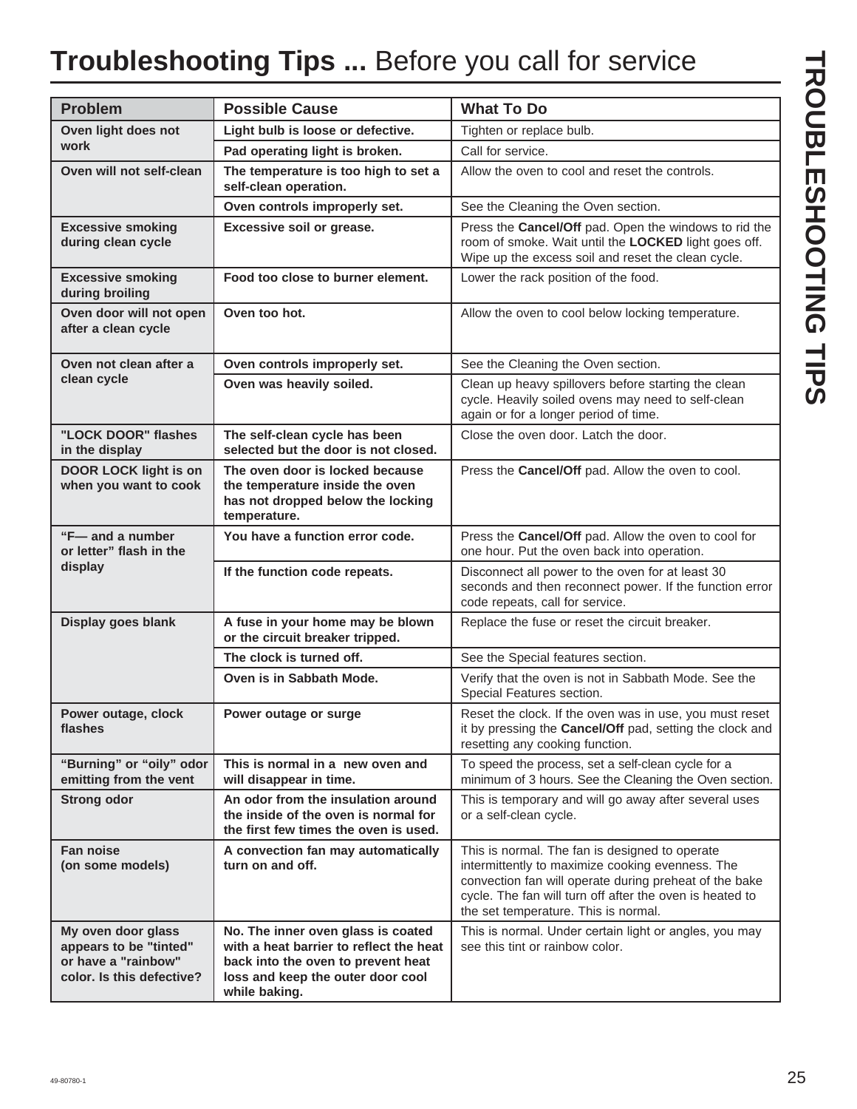## **Troubleshooting Tips ...** Before you call for service

| <b>Problem</b>                                                                                   | <b>Possible Cause</b>                                                                                                                                                     | <b>What To Do</b>                                                                                                                                                                                                                                                |
|--------------------------------------------------------------------------------------------------|---------------------------------------------------------------------------------------------------------------------------------------------------------------------------|------------------------------------------------------------------------------------------------------------------------------------------------------------------------------------------------------------------------------------------------------------------|
| Oven light does not                                                                              | Light bulb is loose or defective.                                                                                                                                         | Tighten or replace bulb.                                                                                                                                                                                                                                         |
| work                                                                                             | Pad operating light is broken.                                                                                                                                            | Call for service.                                                                                                                                                                                                                                                |
| Oven will not self-clean                                                                         | The temperature is too high to set a<br>self-clean operation.                                                                                                             | Allow the oven to cool and reset the controls.                                                                                                                                                                                                                   |
|                                                                                                  | Oven controls improperly set.                                                                                                                                             | See the Cleaning the Oven section.                                                                                                                                                                                                                               |
| <b>Excessive smoking</b><br>during clean cycle                                                   | Excessive soil or grease.                                                                                                                                                 | Press the Cancel/Off pad. Open the windows to rid the<br>room of smoke. Wait until the LOCKED light goes off.<br>Wipe up the excess soil and reset the clean cycle.                                                                                              |
| <b>Excessive smoking</b><br>during broiling                                                      | Food too close to burner element.                                                                                                                                         | Lower the rack position of the food.                                                                                                                                                                                                                             |
| Oven door will not open<br>after a clean cycle                                                   | Oven too hot.                                                                                                                                                             | Allow the oven to cool below locking temperature.                                                                                                                                                                                                                |
| Oven not clean after a                                                                           | Oven controls improperly set.                                                                                                                                             | See the Cleaning the Oven section.                                                                                                                                                                                                                               |
| clean cycle                                                                                      | Oven was heavily soiled.                                                                                                                                                  | Clean up heavy spillovers before starting the clean<br>cycle. Heavily soiled ovens may need to self-clean<br>again or for a longer period of time.                                                                                                               |
| "LOCK DOOR" flashes<br>in the display                                                            | The self-clean cycle has been<br>selected but the door is not closed.                                                                                                     | Close the oven door. Latch the door.                                                                                                                                                                                                                             |
| <b>DOOR LOCK light is on</b><br>when you want to cook                                            | The oven door is locked because<br>the temperature inside the oven<br>has not dropped below the locking<br>temperature.                                                   | Press the Cancel/Off pad. Allow the oven to cool.                                                                                                                                                                                                                |
| "F- and a number<br>or letter" flash in the<br>display                                           | You have a function error code.                                                                                                                                           | Press the Cancel/Off pad. Allow the oven to cool for<br>one hour. Put the oven back into operation.                                                                                                                                                              |
|                                                                                                  | If the function code repeats.                                                                                                                                             | Disconnect all power to the oven for at least 30<br>seconds and then reconnect power. If the function error<br>code repeats, call for service.                                                                                                                   |
| Display goes blank                                                                               | A fuse in your home may be blown<br>or the circuit breaker tripped.                                                                                                       | Replace the fuse or reset the circuit breaker.                                                                                                                                                                                                                   |
|                                                                                                  | The clock is turned off.                                                                                                                                                  | See the Special features section.                                                                                                                                                                                                                                |
|                                                                                                  | Oven is in Sabbath Mode.                                                                                                                                                  | Verify that the oven is not in Sabbath Mode. See the<br>Special Features section.                                                                                                                                                                                |
| Power outage, clock<br>flashes                                                                   | Power outage or surge                                                                                                                                                     | Reset the clock. If the oven was in use, you must reset<br>it by pressing the Cancel/Off pad, setting the clock and<br>resetting any cooking function.                                                                                                           |
| "Burning" or "oily" odor<br>emitting from the vent                                               | This is normal in a new oven and<br>will disappear in time.                                                                                                               | To speed the process, set a self-clean cycle for a<br>minimum of 3 hours. See the Cleaning the Oven section.                                                                                                                                                     |
| <b>Strong odor</b>                                                                               | An odor from the insulation around<br>the inside of the oven is normal for<br>the first few times the oven is used.                                                       | This is temporary and will go away after several uses<br>or a self-clean cycle.                                                                                                                                                                                  |
| <b>Fan noise</b><br>(on some models)                                                             | A convection fan may automatically<br>turn on and off.                                                                                                                    | This is normal. The fan is designed to operate<br>intermittently to maximize cooking evenness. The<br>convection fan will operate during preheat of the bake<br>cycle. The fan will turn off after the oven is heated to<br>the set temperature. This is normal. |
| My oven door glass<br>appears to be "tinted"<br>or have a "rainbow"<br>color. Is this defective? | No. The inner oven glass is coated<br>with a heat barrier to reflect the heat<br>back into the oven to prevent heat<br>loss and keep the outer door cool<br>while baking. | This is normal. Under certain light or angles, you may<br>see this tint or rainbow color.                                                                                                                                                                        |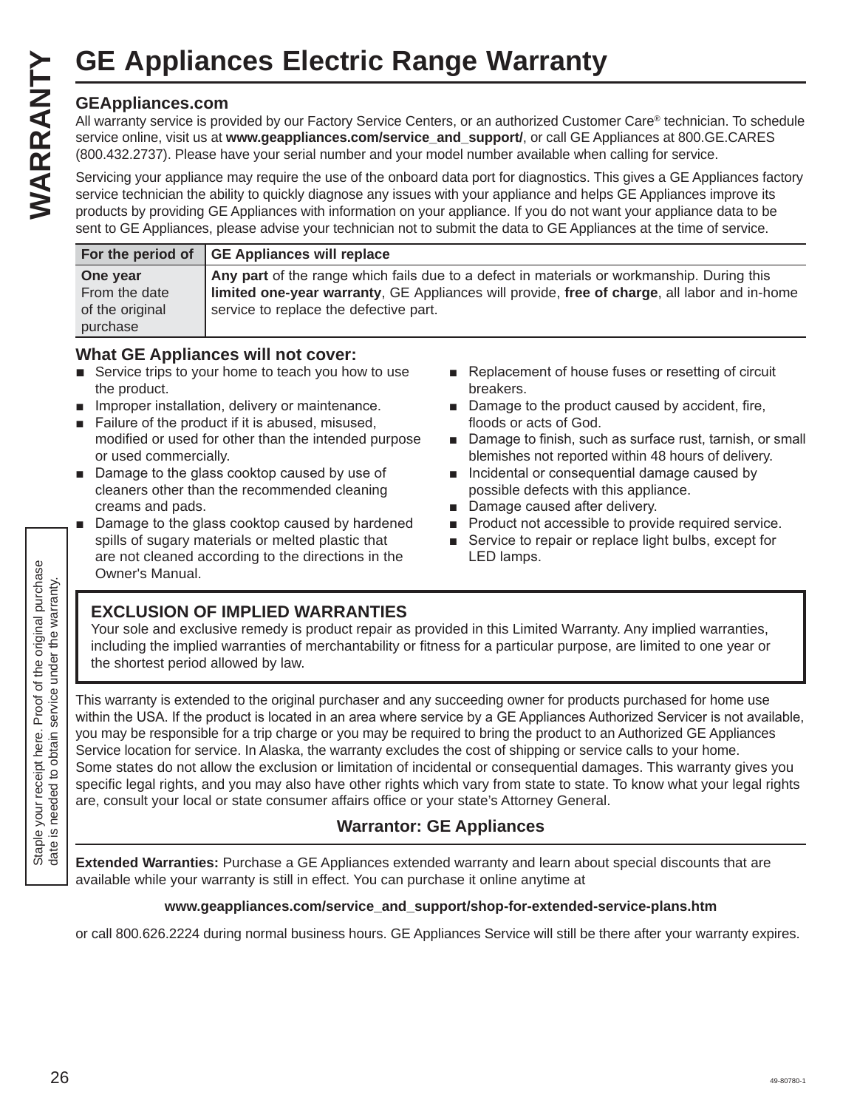#### **GEAppliances.com**

All warranty service is provided by our Factory Service Centers, or an authorized Customer Care® technician. To schedule service online, visit us at **www.geappliances.com/service\_and\_support/**, or call GE Appliances at 800.GE.CARES (800.432.2737). Please have your serial number and your model number available when calling for service.

Servicing your appliance may require the use of the onboard data port for diagnostics. This gives a GE Appliances factory service technician the ability to quickly diagnose any issues with your appliance and helps GE Appliances improve its products by providing GE Appliances with information on your appliance. If you do not want your appliance data to be sent to GE Appliances, please advise your technician not to submit the data to GE Appliances at the time of service.

|                 | For the period of GE Appliances will replace                                                 |
|-----------------|----------------------------------------------------------------------------------------------|
| One year        | Any part of the range which fails due to a defect in materials or workmanship. During this   |
| From the date   | limited one-year warranty, GE Appliances will provide, free of charge, all labor and in-home |
| of the original | service to replace the defective part.                                                       |
| purchase        |                                                                                              |

#### **What GE Appliances will not cover:**

- $\blacksquare$  Service trips to your home to teach you how to use the product.
- $\blacksquare$  Improper installation, delivery or maintenance.
- Failure of the product if it is abused, misused, modified or used for other than the intended purpose or used commercially.
- Damage to the glass cooktop caused by use of cleaners other than the recommended cleaning creams and pads.
- Damage to the glass cooktop caused by hardened spills of sugary materials or melted plastic that are not cleaned according to the directions in the Owner's Manual.
- Replacement of house fuses or resetting of circuit breakers.
- $\blacksquare$  Damage to the product caused by accident, fire, floods or acts of God.
- Damage to finish, such as surface rust, tarnish, or small blemishes not reported within 48 hours of delivery.
- **n** Incidental or consequential damage caused by possible defects with this appliance.
- Damage caused after delivery.
- **Product not accessible to provide required service.**
- Service to repair or replace light bulbs, except for LED lamps.

#### **EXCLUSION OF IMPLIED WARRANTIES**

Your sole and exclusive remedy is product repair as provided in this Limited Warranty. Any implied warranties, including the implied warranties of merchantability or fitness for a particular purpose, are limited to one year or the shortest period allowed by law.

This warranty is extended to the original purchaser and any succeeding owner for products purchased for home use within the USA. If the product is located in an area where service by a GE Appliances Authorized Servicer is not available, you may be responsible for a trip charge or you may be required to bring the product to an Authorized GE Appliances Service location for service. In Alaska, the warranty excludes the cost of shipping or service calls to your home. Some states do not allow the exclusion or limitation of incidental or consequential damages. This warranty gives you specific legal rights, and you may also have other rights which vary from state to state. To know what your legal rights are, consult your local or state consumer affairs office or your state's Attorney General. **GE Appliances Electric Range Warranty**<br> **GEAppliances** commuted by our Factory Service Centers, or an authorized Custom<br> **EVALUATE CONFIDENTS (SOLUTER)**<br>
Service points and the warranty of crial GEAP (Service points and s

#### **Warrantor: GE Appliances**

**Extended Warranties:** Purchase a GE Appliances extended warranty and learn about special discounts that are available while your warranty is still in effect. You can purchase it online anytime at

#### **www.geappliances.com/service\_and\_support/shop-for-extended-service-plans.htm**

or call 800.626.2224 during normal business hours. GE Appliances Service will still be there after your warranty expires.

Staple your receipt here. Proof of the original purchase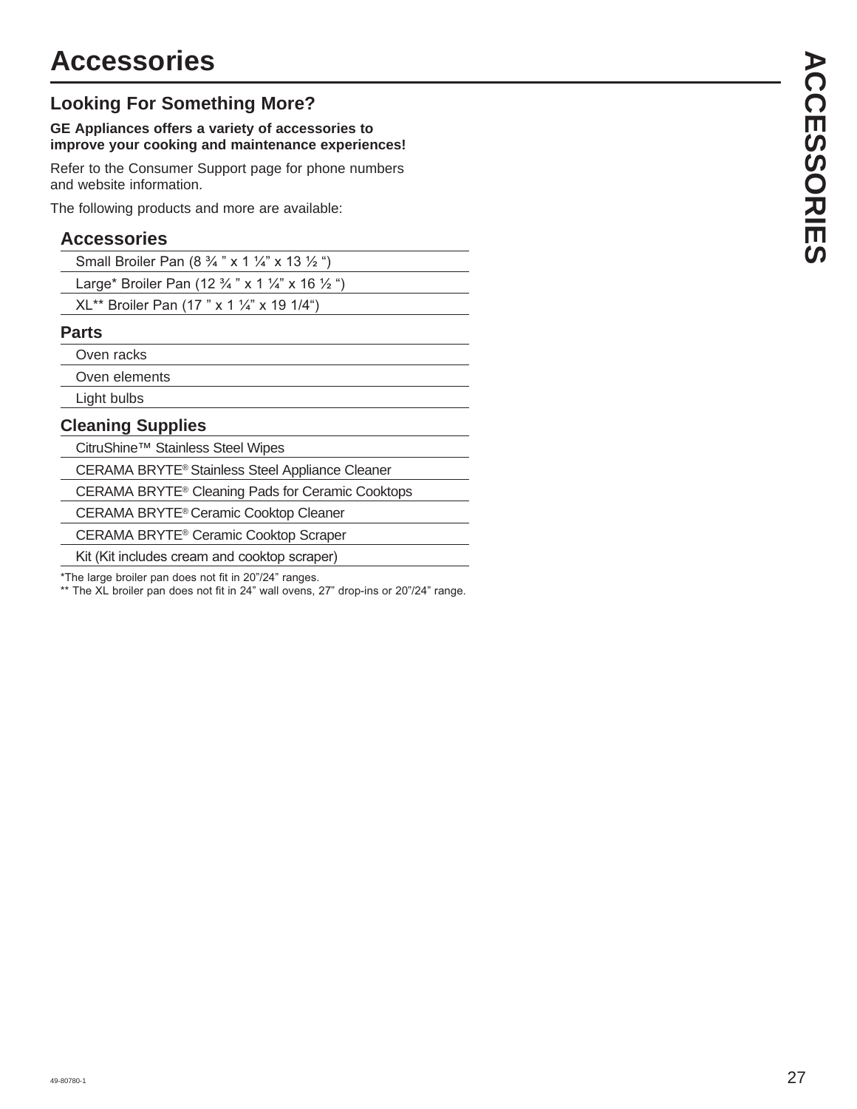#### **Looking For Something More?**

#### **GE Appliances offers a variety of accessories to improve your cooking and maintenance experiences!**

Refer to the Consumer Support page for phone numbers and website information.

The following products and more are available:

#### **Accessories**

| Small Broiler Pan $(8\frac{3}{4}$ " x 1 $\frac{1}{4}$ " x 13 $\frac{1}{2}$ ")    |  |
|----------------------------------------------------------------------------------|--|
| Large* Broiler Pan (12 $\frac{3}{4}$ " x 1 $\frac{1}{4}$ " x 16 $\frac{1}{2}$ ") |  |
| $XL^{**}$ Broiler Pan (17 " x 1 ¼" x 19 1/4")                                    |  |

#### **Parts**

Oven racks

Oven elements

Light bulbs

#### **Cleaning Supplies**

CitruShine™ Stainless Steel Wipes

CERAMA BRYTE® Stainless Steel Appliance Cleaner

CERAMA BRYTE® Cleaning Pads for Ceramic Cooktops

CERAMA BRYTE® Ceramic Cooktop Cleaner

CERAMA BRYTE® Ceramic Cooktop Scraper

Kit (Kit includes cream and cooktop scraper)

\*The large broiler pan does not fit in 20"/24" ranges.

\*\* The XL broiler pan does not fit in 24" wall ovens, 27" drop-ins or 20"/24" range.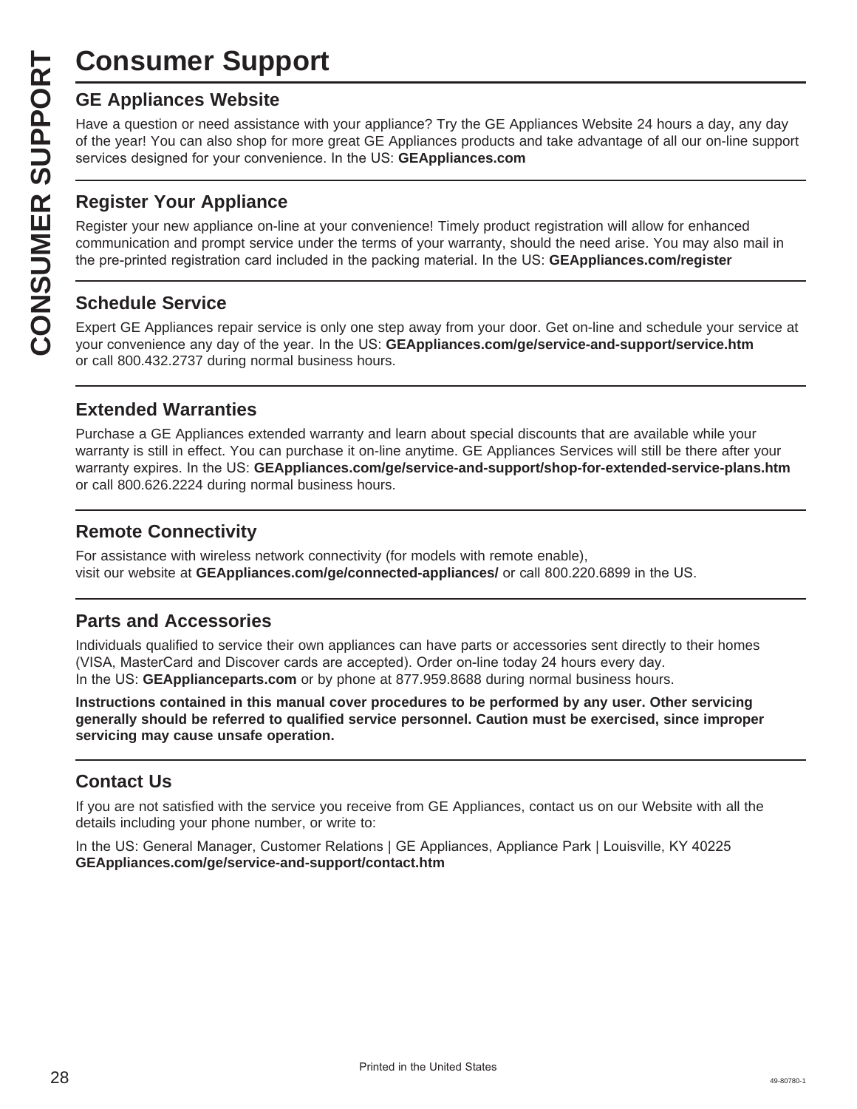## **Consumer Support**

Have a question or need assistance with your appliance? Try the GE Appliances Website 24 hours a day, any day of the year! You can also shop for more great GE Appliances products and take advantage of all our on-line support services designed for your convenience. In the US: **GEAppliances.com** 

#### **Register Your Appliance**

**CONSUMER SUP**<br> **GE Appliances Website**<br>
Have a question or need assistar<br>
of the year! You can also shop for<br>
services designed for your conver<br> **CONSUMER APPLIANCE SECTS**<br> **CONSUMER APPLIANCE APPLIANCE SCRED SCRED Expert** Register your new appliance on-line at your convenience! Timely product registration will allow for enhanced communication and prompt service under the terms of your warranty, should the need arise. You may also mail in the pre-printed registration card included in the packing material. In the US: **GEAppliances.com/register** 

#### **Schedule Service**

Expert GE Appliances repair service is only one step away from your door. Get on-line and schedule your service at your convenience any day of the year. In the US: **GEAppliances.com/ge/service-and-support/service.htm** or call 800.432.2737 during normal business hours.

#### **Extended Warranties**

Purchase a GE Appliances extended warranty and learn about special discounts that are available while your warranty is still in effect. You can purchase it on-line anytime. GE Appliances Services will still be there after your warranty expires. In the US: GEAppliances.com/ge/service-and-support/shop-for-extended-service-plans.htm or call 800.626.2224 during normal business hours.

#### **Remote Connectivity**

For assistance with wireless network connectivity (for models with remote enable), visit our website at **GEAppliances.com/ge/connected-appliances/** or call 800.220.6899 in the US.

#### **Parts and Accessories**

Individuals qualified to service their own appliances can have parts or accessories sent directly to their homes (VISA, MasterCard and Discover cards are accepted). Order on-line today 24 hours every day. In the US: **GEApplianceparts.com** or by phone at 877.959.8688 during normal business hours.

**Instructions contained in this manual cover procedures to be performed by any user. Other servicing generally should be referred to qualified service personnel. Caution must be exercised, since improper servicing may cause unsafe operation.**

#### **Contact Us**

If you are not satisfied with the service you receive from GE Appliances, contact us on our Website with all the details including your phone number, or write to:

In the US: General Manager, Customer Relations | GE Appliances, Appliance Park | Louisville, KY 40225 **GEAppliances.com/ge/service-and-support/contact.htm**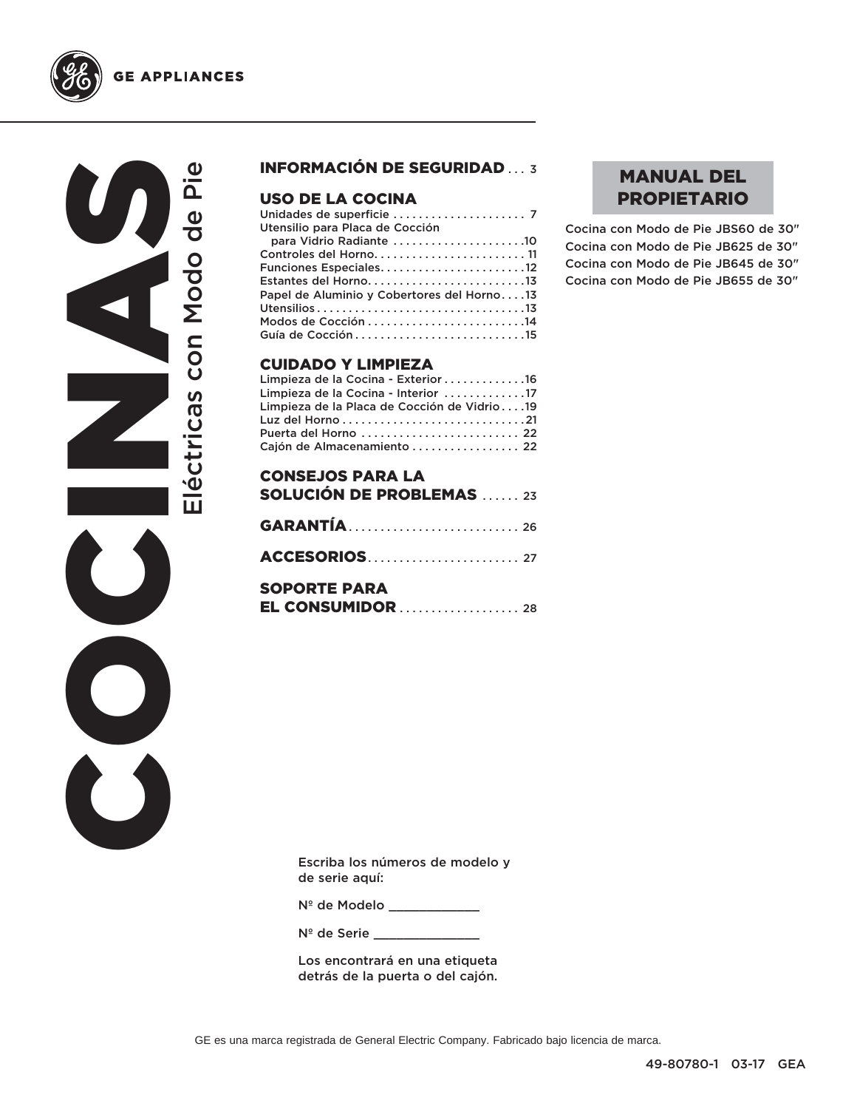

COCINAS Eléctricas con Modo de Pie Eléctricas con Modo de Pie  $\bigcirc$  $\overline{\mathbf{C}}$ 

#### INFORMACIÓN DE SEGURIDAD ... 3

#### USO DE LA COCINA

| Utensilio para Placa de Cocción            |  |
|--------------------------------------------|--|
| para Vidrio Radiante 10                    |  |
| Controles del Horno 11                     |  |
|                                            |  |
| Estantes del Horno13                       |  |
| Papel de Aluminio y Cobertores del Horno13 |  |
|                                            |  |
|                                            |  |
|                                            |  |
|                                            |  |

#### CUIDADO Y LIMPIEZA

| Limpieza de la Cocina - Exterior 16         |  |
|---------------------------------------------|--|
| Limpieza de la Cocina - Interior 17         |  |
| Limpieza de la Placa de Cocción de Vidrio19 |  |
|                                             |  |
| Puerta del Horno  22                        |  |
| Cajón de Almacenamiento  22                 |  |

| <b>CONSEJOS PARA LA</b><br><b>SOLUCIÓN DE PROBLEMAS</b> 23 |  |
|------------------------------------------------------------|--|
|                                                            |  |
|                                                            |  |
|                                                            |  |
| <b>SOPORTE PARA</b>                                        |  |
|                                                            |  |

#### MANUAL DEL PROPIETARIO

Cocina con Modo de Pie JBS60 de 30" Cocina con Modo de Pie JB625 de 30" Cocina con Modo de Pie JB645 de 30" Cocina con Modo de Pie JB655 de 30"

Escriba los números de modelo y de serie aquí:

Nº de Modelo \_\_\_\_\_\_\_\_\_\_\_\_

N<sup>º</sup> de Serie \_\_\_\_\_\_\_

Los encontrará en una etiqueta detrás de la puerta o del cajón.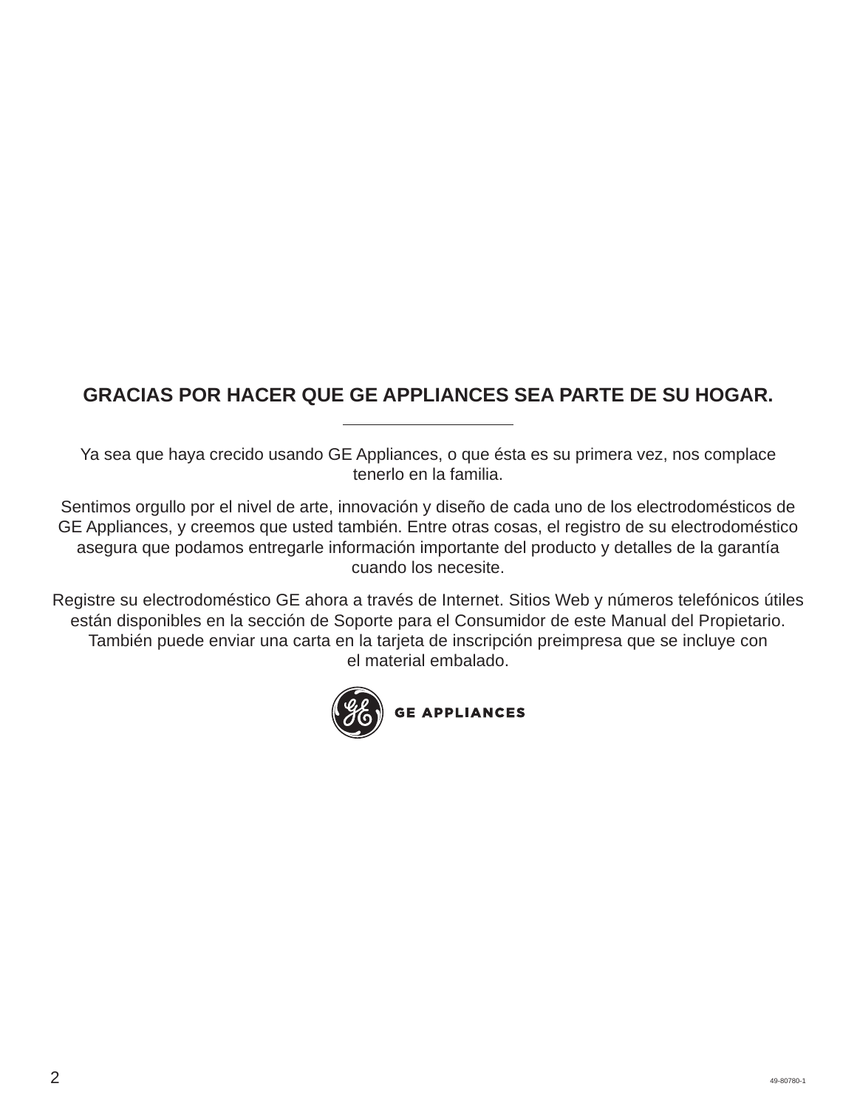## **GRACIAS POR HACER QUE GE APPLIANCES SEA PARTE DE SU HOGAR.**

Ya sea que haya crecido usando GE Appliances, o que ésta es su primera vez, nos complace tenerlo en la familia.

Sentimos orgullo por el nivel de arte, innovación y diseño de cada uno de los electrodomésticos de GE Appliances, y creemos que usted también. Entre otras cosas, el registro de su electrodoméstico asegura que podamos entregarle información importante del producto y detalles de la garantía cuando los necesite.

Registre su electrodoméstico GE ahora a través de Internet. Sitios Web y números telefónicos útiles están disponibles en la sección de Soporte para el Consumidor de este Manual del Propietario. También puede enviar una carta en la tarjeta de inscripción preimpresa que se incluye con el material embalado.

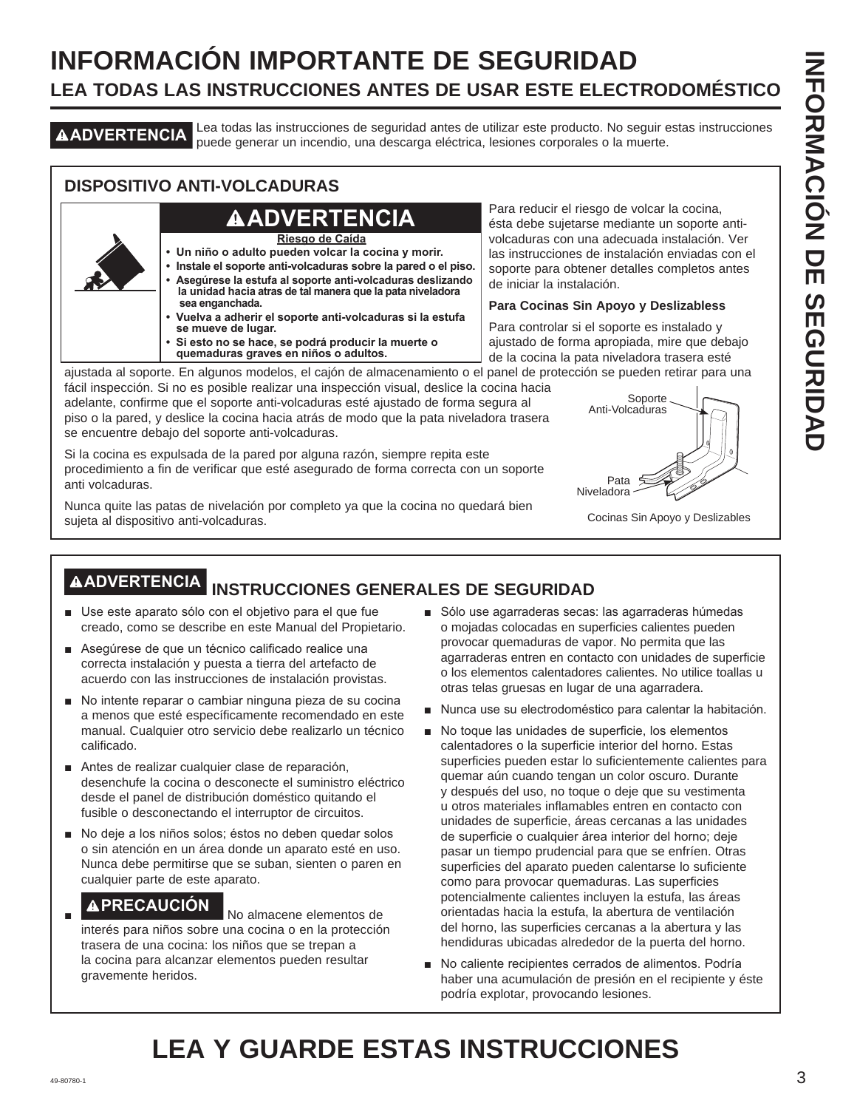## **INFORMACIÓN IMPORTANTE DE SEGURIDAD LEA TODAS LAS INSTRUCCIONES ANTES DE USAR ESTE ELECTRODOMÉSTICO**

**ADVERTENCIA** Lea todas las instrucciones de seguridad antes de utilizar este producto. No seguir estas instrucciones puede generar un incendio, una descarga eléctrica, lesiones corporales o la muerte.

#### **DISPOSITIVO ANTI-VOLCADURAS**

## **ADVERTENCIA**

**Riesgo de Caída**

- **Un niño o adulto pueden volcar la cocina y morir.**
- **Instale el soporte anti-volcaduras sobre la pared o el piso. • Asegúrese la estufa al soporte anti-volcaduras deslizando la unidad hacia atras de tal manera que la pata niveladora sea enganchada.**
- **Vuelva a adherir el soporte anti-volcaduras si la estufa se mueve de lugar.**
- **Si esto no se hace, se podrá producir la muerte o quemaduras graves en niños o adultos.**

Para reducir el riesgo de volcar la cocina, ésta debe sujetarse mediante un soporte antivolcaduras con una adecuada instalación. Ver las instrucciones de instalación enviadas con el soporte para obtener detalles completos antes de iniciar la instalación.

#### **Para Cocinas Sin Apoyo y Deslizabless**

Para controlar si el soporte es instalado y ajustado de forma apropiada, mire que debajo de la cocina la pata niveladora trasera esté

ajustada al soporte. En algunos modelos, el cajón de almacenamiento o el panel de protección se pueden retirar para una fácil inspección. Si no es posible realizar una inspección visual, deslice la cocina hacia

adelante, confirme que el soporte anti-volcaduras esté ajustado de forma segura al piso o la pared, y deslice la cocina hacia atrás de modo que la pata niveladora trasera se encuentre debajo del soporte anti-volcaduras.

Si la cocina es expulsada de la pared por alguna razón, siempre repita este procedimiento a fin de verificar que esté asegurado de forma correcta con un soporte anti volcaduras.

Nunca quite las patas de nivelación por completo ya que la cocina no quedará bien sujeta al dispositivo anti-volcaduras.



Cocinas Sin Apoyo y Deslizables

## **ADVERTENCIA INSTRUCCIONES GENERALES DE SEGURIDAD**

- Use este aparato sólo con el objetivo para el que fue creado, como se describe en este Manual del Propietario.
- Asegúrese de que un técnico calificado realice una correcta instalación y puesta a tierra del artefacto de acuerdo con las instrucciones de instalación provistas.
- No intente reparar o cambiar ninguna pieza de su cocina a menos que esté específicamente recomendado en este manual. Cualquier otro servicio debe realizarlo un técnico calificado.
- Antes de realizar cualquier clase de reparación, desenchufe la cocina o desconecte el suministro eléctrico desde el panel de distribución doméstico quitando el fusible o desconectando el interruptor de circuitos.
- No deje a los niños solos; éstos no deben quedar solos o sin atención en un área donde un aparato esté en uso. Nunca debe permitirse que se suban, sienten o paren en cualquier parte de este aparato.

## **A PRECAUCIÓN** No almacene elementos de

interés para niños sobre una cocina o en la protección trasera de una cocina: los niños que se trepan a la cocina para alcanzar elementos pueden resultar gravemente heridos.

- Sólo use agarraderas secas: las agarraderas húmedas o mojadas colocadas en superficies calientes pueden provocar quemaduras de vapor. No permita que las agarraderas entren en contacto con unidades de superficie o los elementos calentadores calientes. No utilice toallas u otras telas gruesas en lugar de una agarradera.
- Nunca use su electrodoméstico para calentar la habitación.
- No toque las unidades de superficie, los elementos calentadores o la superficie interior del horno. Estas superficies pueden estar lo suficientemente calientes para quemar aún cuando tengan un color oscuro. Durante y después del uso, no toque o deje que su vestimenta u otros materiales inflamables entren en contacto con unidades de superficie, áreas cercanas a las unidades de superficie o cualquier área interior del horno; deje pasar un tiempo prudencial para que se enfríen. Otras superficies del aparato pueden calentarse lo suficiente como para provocar quemaduras. Las superficies potencialmente calientes incluyen la estufa, las áreas orientadas hacia la estufa, la abertura de ventilación del horno, las superficies cercanas a la abertura y las hendiduras ubicadas alrededor de la puerta del horno.
- No caliente recipientes cerrados de alimentos. Podría haber una acumulación de presión en el recipiente y éste podría explotar, provocando lesiones.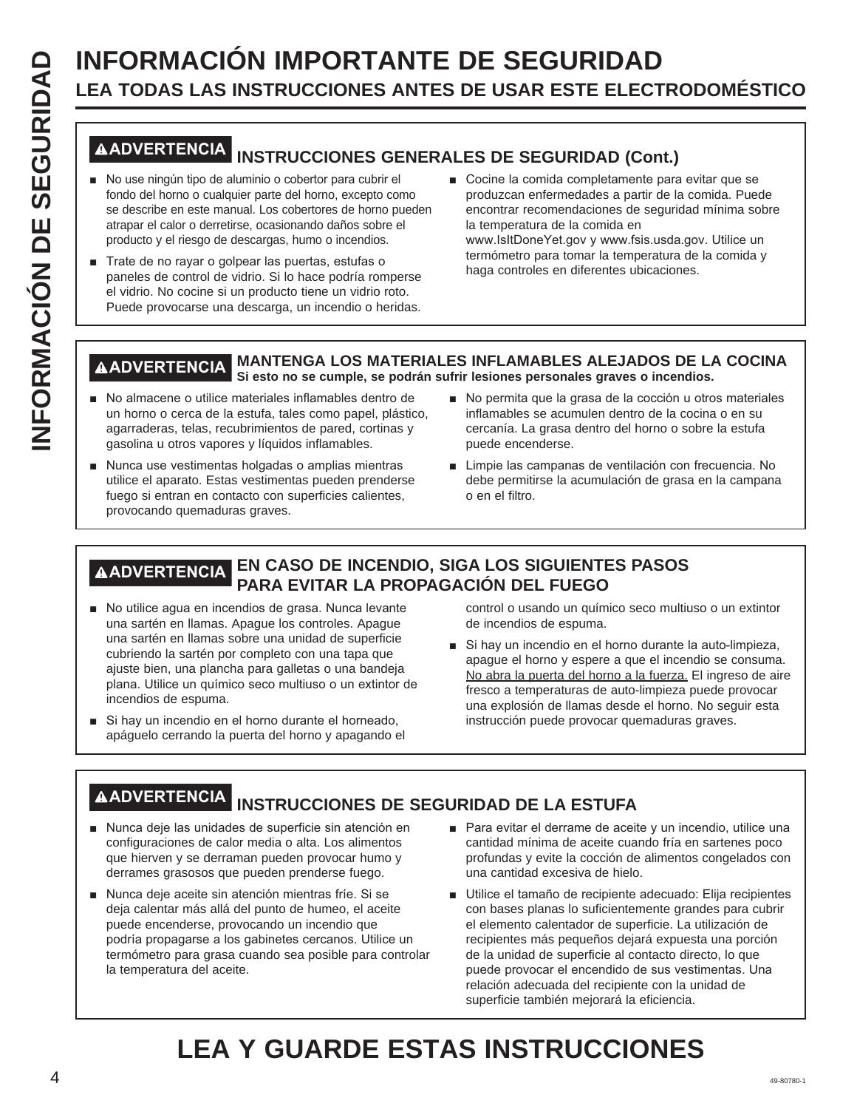# **INFORMACIÓN IMPORTANTE DE SEGURIDAD**<br> **INFORMACIÓN IMPORTANTE DE SEGURIDAD**<br> **INFORMACIÓN INSTRUCCIONES GENERALES DE SEGURIDAD (CON<br>
INFORMACIÓN INSTRUCCIONES GENERALES DE SEGURIDAD (CON<br>
<sup>1</sup> No use ningún tipo de alumini LEA TODAS LAS INSTRUCCIONES ANTES DE USAR ESTE ELECTRODOMÉSTICO**

## **ADVERTENCIA INSTRUCCIONES GENERALES DE SEGURIDAD (Cont.)**

- No use ningún tipo de aluminio o cobertor para cubrir el fondo del horno o cualquier parte del horno, excepto como se describe en este manual. Los cobertores de horno pueden atrapar el calor o derretirse, ocasionando daños sobre el producto y el riesgo de descargas, humo o incendios.
- Trate de no rayar o golpear las puertas, estufas o paneles de control de vidrio. Si lo hace podría romperse el vidrio. No cocine si un producto tiene un vidrio roto. Puede provocarse una descarga, un incendio o heridas.
- Cocine la comida completamente para evitar que se produzcan enfermedades a partir de la comida. Puede encontrar recomendaciones de seguridad mínima sobre la temperatura de la comida en www.IsItDoneYet.gov y www.fsis.usda.gov. Utilice un termómetro para tomar la temperatura de la comida y haga controles en diferentes ubicaciones.

#### **ADVERTENCIA MANTENGA LOS MATERIALES INFLAMABLES ALEJADOS DE LA COCINA Si esto no se cumple, se podrán sufrir lesiones personales graves o incendios.**

- No almacene o utilice materiales inflamables dentro de un horno o cerca de la estufa, tales como papel, plástico, agarraderas, telas, recubrimientos de pared, cortinas y gasolina u otros vapores y líquidos inflamables.
- Nunca use vestimentas holgadas o amplias mientras utilice el aparato. Estas vestimentas pueden prenderse fuego si entran en contacto con superficies calientes, provocando quemaduras graves.
- No permita que la grasa de la cocción u otros materiales inflamables se acumulen dentro de la cocina o en su cercanía. La grasa dentro del horno o sobre la estufa puede encenderse.
- Limpie las campanas de ventilación con frecuencia. No debe permitirse la acumulación de grasa en la campana o en el filtro.

#### **ADVERTENCIA EN CASO DE INCENDIO, SIGA LOS SIGUIENTES PASOS PARA EVITAR LA PROPAGACIÓN DEL FUEGO**

- No utilice agua en incendios de grasa. Nunca levante una sartén en llamas. Apague los controles. Apague una sartén en llamas sobre una unidad de superficie cubriendo la sartén por completo con una tapa que ajuste bien, una plancha para galletas o una bandeja plana. Utilice un químico seco multiuso o un extintor de incendios de espuma.
- Si hay un incendio en el horno durante el horneado, apáguelo cerrando la puerta del horno y apagando el

control o usando un químico seco multiuso o un extintor de incendios de espuma.

Si hay un incendio en el horno durante la auto-limpieza, apague el horno y espere a que el incendio se consuma. No abra la puerta del horno a la fuerza. El ingreso de aire fresco a temperaturas de auto-limpieza puede provocar una explosión de llamas desde el horno. No seguir esta instrucción puede provocar quemaduras graves.

## **ADVERTENCIA INSTRUCCIONES DE SEGURIDAD DE LA ESTUFA**

- Nunca deje las unidades de superficie sin atención en configuraciones de calor media o alta. Los alimentos que hierven y se derraman pueden provocar humo y derrames grasosos que pueden prenderse fuego.
- Nunca deje aceite sin atención mientras fríe. Si se deja calentar más allá del punto de humeo, el aceite puede encenderse, provocando un incendio que podría propagarse a los gabinetes cercanos. Utilice un termómetro para grasa cuando sea posible para controlar la temperatura del aceite.
- $\blacksquare$  Para evitar el derrame de aceite y un incendio, utilice una cantidad mínima de aceite cuando fría en sartenes poco profundas y evite la cocción de alimentos congelados con una cantidad excesiva de hielo.
- Utilice el tamaño de recipiente adecuado: Elija recipientes con bases planas lo suficientemente grandes para cubrir el elemento calentador de superficie. La utilización de recipientes más pequeños dejará expuesta una porción de la unidad de superficie al contacto directo, lo que puede provocar el encendido de sus vestimentas. Una relación adecuada del recipiente con la unidad de superficie también mejorará la eficiencia.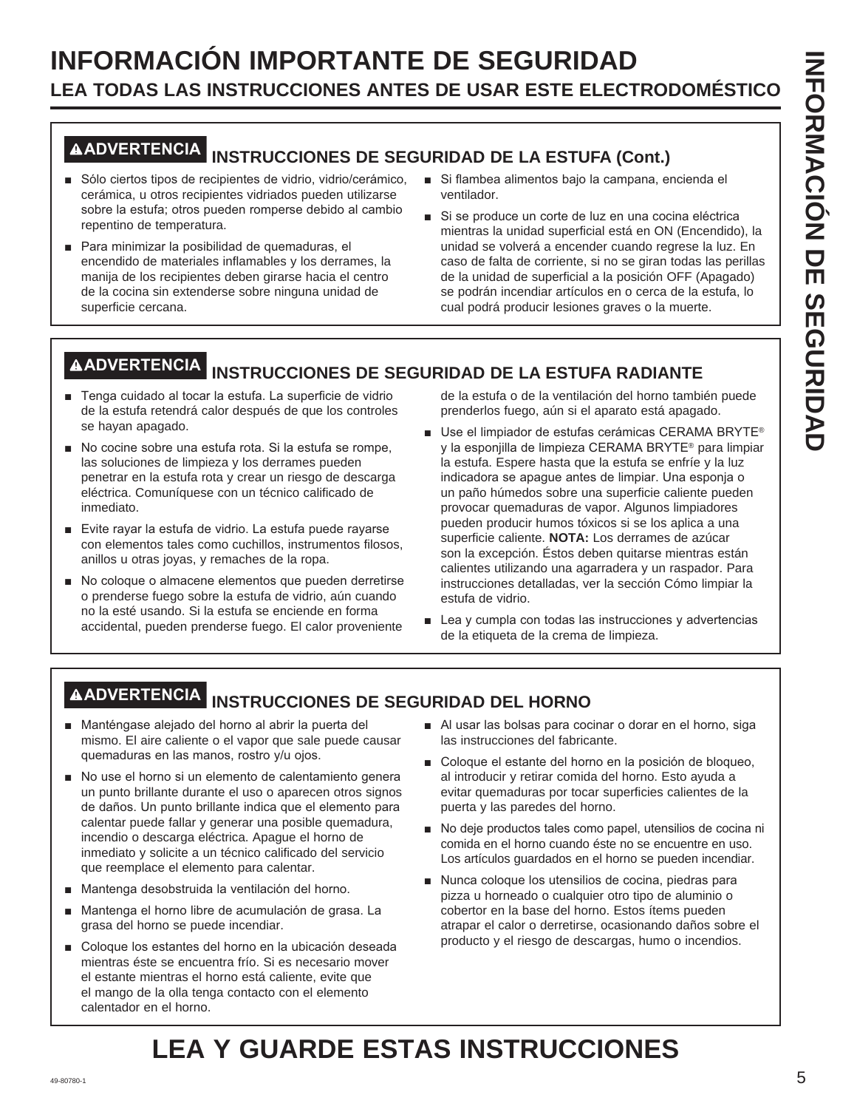## **INFORMACIÓN IMPORTANTE DE SEGURIDAD LEA TODAS LAS INSTRUCCIONES ANTES DE USAR ESTE ELECTRODOMÉSTICO**

# **ADVERTENCIA INSTRUCCIONES DE SEGURIDAD DE LA ESTUFA (Cont.)**

- Sólo ciertos tipos de recipientes de vidrio, vidrio/cerámico, cerámica, u otros recipientes vidriados pueden utilizarse sobre la estufa; otros pueden romperse debido al cambio repentino de temperatura.
- Para minimizar la posibilidad de quemaduras, el encendido de materiales inflamables y los derrames, la manija de los recipientes deben girarse hacia el centro de la cocina sin extenderse sobre ninguna unidad de superficie cercana.
- Si flambea alimentos bajo la campana, encienda el ventilador.
- Si se produce un corte de luz en una cocina eléctrica mientras la unidad superficial está en ON (Encendido), la unidad se volverá a encender cuando regrese la luz. En caso de falta de corriente, si no se giran todas las perillas de la unidad de superficial a la posición OFF (Apagado) se podrán incendiar artículos en o cerca de la estufa, lo cual podrá producir lesiones graves o la muerte.

## **ADVERTENCIA INSTRUCCIONES DE SEGURIDAD DE LA ESTUFA RADIANTE**

- F Tenga cuidado al tocar la estufa. La superficie de vidrio de la estufa retendrá calor después de que los controles se hayan apagado.
- No cocine sobre una estufa rota. Si la estufa se rompe, las soluciones de limpieza y los derrames pueden penetrar en la estufa rota y crear un riesgo de descarga eléctrica. Comuníquese con un técnico calificado de inmediato.
- Evite rayar la estufa de vidrio. La estufa puede rayarse con elementos tales como cuchillos, instrumentos filosos, anillos u otras joyas, y remaches de la ropa.
- No coloque o almacene elementos que pueden derretirse o prenderse fuego sobre la estufa de vidrio, aún cuando no la esté usando. Si la estufa se enciende en forma accidental, pueden prenderse fuego. El calor proveniente

de la estufa o de la ventilación del horno también puede prenderlos fuego, aún si el aparato está apagado.

- Use el limpiador de estufas cerámicas CERAMA BRYTE® y la esponjilla de limpieza CERAMA BRYTE<sup>®</sup> para limpiar la estufa. Espere hasta que la estufa se enfríe y la luz indicadora se apague antes de limpiar. Una esponja o un paño húmedos sobre una superficie caliente pueden provocar quemaduras de vapor. Algunos limpiadores pueden producir humos tóxicos si se los aplica a una superficie caliente. **NOTA:** Los derrames de azúcar son la excepción. Éstos deben quitarse mientras están calientes utilizando una agarradera y un raspador. Para instrucciones detalladas, ver la sección Cómo limpiar la estufa de vidrio.
- $\blacksquare$  Lea y cumpla con todas las instrucciones y advertencias de la etiqueta de la crema de limpieza.

## **ADVERTENCIA INSTRUCCIONES DE SEGURIDAD DEL HORNO**

- Manténgase alejado del horno al abrir la puerta del mismo. El aire caliente o el vapor que sale puede causar quemaduras en las manos, rostro y/u ojos.
- No use el horno si un elemento de calentamiento genera un punto brillante durante el uso o aparecen otros signos de daños. Un punto brillante indica que el elemento para calentar puede fallar y generar una posible quemadura, incendio o descarga eléctrica. Apague el horno de inmediato y solicite a un técnico calificado del servicio que reemplace el elemento para calentar.
- Mantenga desobstruida la ventilación del horno.
- Mantenga el horno libre de acumulación de grasa. La grasa del horno se puede incendiar.
- Coloque los estantes del horno en la ubicación deseada mientras éste se encuentra frío. Si es necesario mover el estante mientras el horno está caliente, evite que el mango de la olla tenga contacto con el elemento calentador en el horno.
- Al usar las bolsas para cocinar o dorar en el horno, siga las instrucciones del fabricante.
- Coloque el estante del horno en la posición de bloqueo, al introducir y retirar comida del horno. Esto ayuda a evitar quemaduras por tocar superficies calientes de la puerta y las paredes del horno.
- No deje productos tales como papel, utensilios de cocina ni comida en el horno cuando éste no se encuentre en uso. Los artículos guardados en el horno se pueden incendiar.
- Nunca coloque los utensilios de cocina, piedras para pizza u horneado o cualquier otro tipo de aluminio o cobertor en la base del horno. Estos ítems pueden atrapar el calor o derretirse, ocasionando daños sobre el producto y el riesgo de descargas, humo o incendios.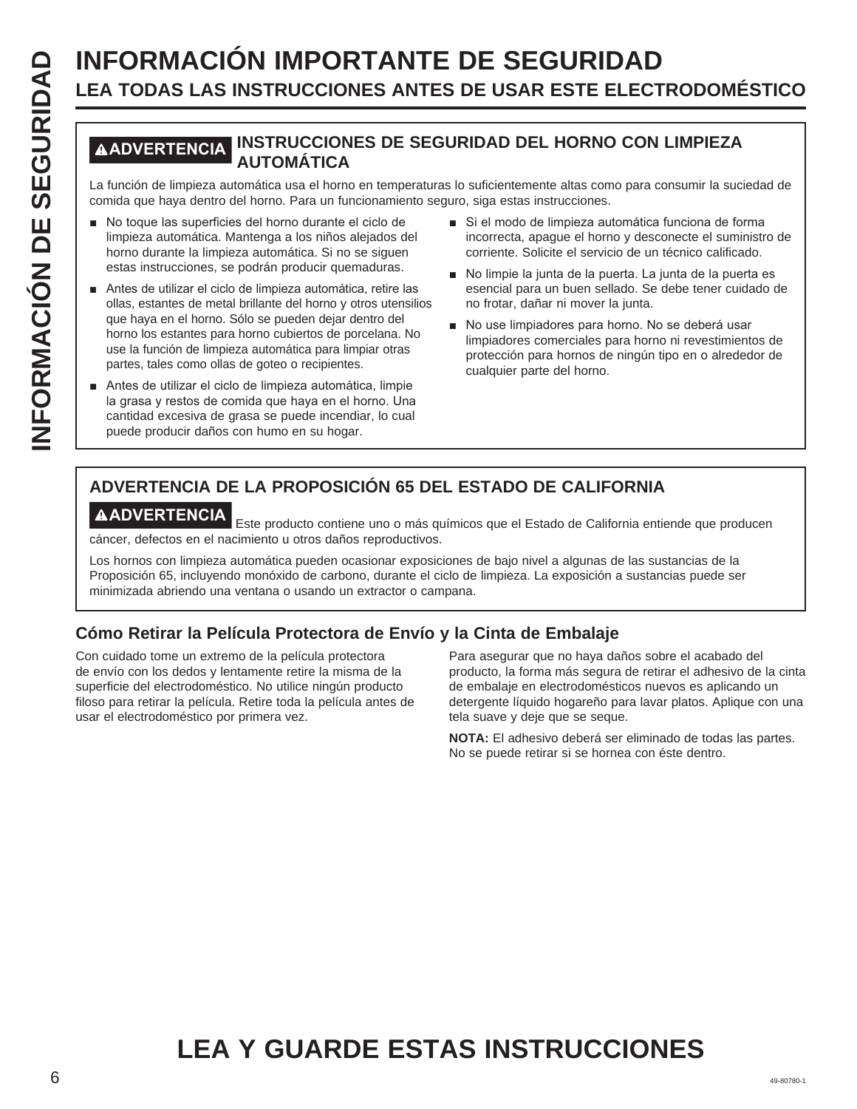# **INFORMACIÓN IMPORTANTE DE SEGURIDAD**<br> **ILEA TODAS LAS INSTRUCCIONES ANTES DE USAR ESTE ELECT<br>
MADVERTENCIAL INSTRUCCIONES DE SEGURIDAD DEL HORNO CON<br>
La función de limpieza automática usa el horno en temperaturas lo sufic LEA TODAS LAS INSTRUCCIONES ANTES DE USAR ESTE ELECTRODOMÉSTICO**

#### **ADVERTENCIA INSTRUCCIONES DE SEGURIDAD DEL HORNO CON LIMPIEZA AUTOMÁTICA**

La función de limpieza automática usa el horno en temperaturas lo suficientemente altas como para consumir la suciedad de comida que haya dentro del horno. Para un funcionamiento seguro, siga estas instrucciones.

- No toque las superficies del horno durante el ciclo de limpieza automática. Mantenga a los niños alejados del horno durante la limpieza automática. Si no se siguen estas instrucciones, se podrán producir quemaduras.
- Antes de utilizar el ciclo de limpieza automática, retire las ollas, estantes de metal brillante del horno y otros utensilios que haya en el horno. Sólo se pueden dejar dentro del horno los estantes para horno cubiertos de porcelana. No use la función de limpieza automática para limpiar otras partes, tales como ollas de goteo o recipientes.
- Antes de utilizar el ciclo de limpieza automática, limpie la grasa y restos de comida que haya en el horno. Una cantidad excesiva de grasa se puede incendiar, lo cual puede producir daños con humo en su hogar.
- Si el modo de limpieza automática funciona de forma incorrecta, apague el horno y desconecte el suministro de corriente. Solicite el servicio de un técnico calificado.
- No limpie la junta de la puerta. La junta de la puerta es esencial para un buen sellado. Se debe tener cuidado de no frotar, dañar ni mover la junta.
- No use limpiadores para horno. No se deberá usar limpiadores comerciales para horno ni revestimientos de protección para hornos de ningún tipo en o alrededor de cualquier parte del horno.

### **ADVERTENCIA DE LA PROPOSICIÓN 65 DEL ESTADO DE CALIFORNIA**

**AADVERTENCIA**<br>Este producto contiene uno o más químicos que el Estado de California entiende que producen cáncer, defectos en el nacimiento u otros daños reproductivos.

Los hornos con limpieza automática pueden ocasionar exposiciones de bajo nivel a algunas de las sustancias de la Proposición 65, incluyendo monóxido de carbono, durante el ciclo de limpieza. La exposición a sustancias puede ser minimizada abriendo una ventana o usando un extractor o campana.

#### **Cómo Retirar la Película Protectora de Envío y la Cinta de Embalaje**

Con cuidado tome un extremo de la película protectora de envío con los dedos y lentamente retire la misma de la superficie del electrodoméstico. No utilice ningún producto filoso para retirar la película. Retire toda la película antes de usar el electrodoméstico por primera vez.

Para asegurar que no haya daños sobre el acabado del producto, la forma más segura de retirar el adhesivo de la cinta de embalaje en electrodomésticos nuevos es aplicando un detergente líquido hogareño para lavar platos. Aplique con una tela suave y deje que se seque.

**NOTA:** El adhesivo deberá ser eliminado de todas las partes. No se puede retirar si se hornea con éste dentro.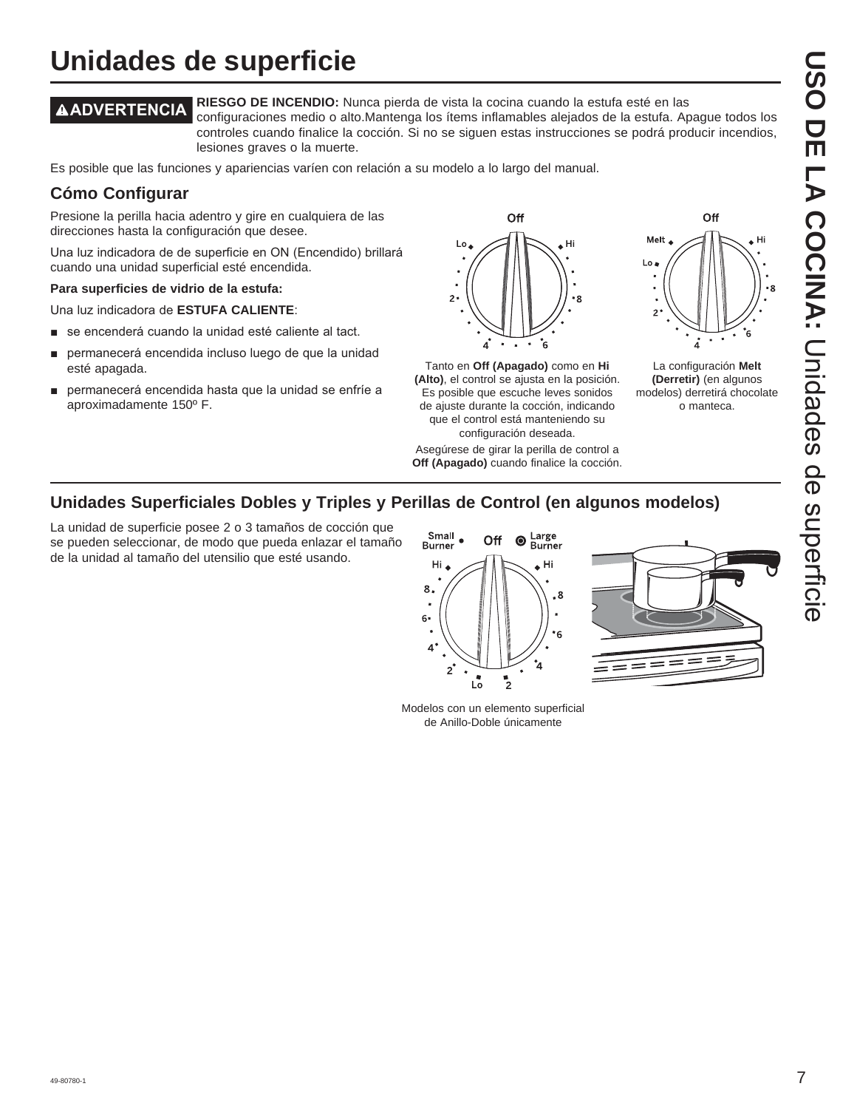# **USO DE LA COCINA:DISO DE LA COCINA: Coces de seperieire** Unidades de superficie

## **Unidades de superficie**

**ADVERTENCIA RIESGO DE INCENDIO:** Nunca pierda de vista la cocina cuando la estufa esté en las configuraciones medio o alto.Mantenga los ítems inflamables alejados de la estufa. Apague todos los controles cuando finalice la cocción. Si no se siguen estas instrucciones se podrá producir incendios,

lesiones graves o la muerte.

Es posible que las funciones y apariencias varíen con relación a su modelo a lo largo del manual.

#### **Cómo Configurar**

Presione la perilla hacia adentro y gire en cualquiera de las direcciones hasta la configuración que desee.

Una luz indicadora de de superficie en ON (Encendido) brillará cuando una unidad superficial esté encendida.

#### **Para superficies de vidrio de la estufa:**

Una luz indicadora de **ESTUFA CALIENTE:** 

- se encenderá cuando la unidad esté caliente al tact.
- permanecerá encendida incluso luego de que la unidad esté apagada.
- permanecerá encendida hasta que la unidad se enfríe a aproximadamente 150º F.



Tanto en **Off (Apagado)** como en **Hi (Alto)**, el control se ajusta en la posición. Es posible que escuche leves sonidos de ajuste durante la cocción, indicando que el control está manteniendo su configuración deseada.

Asegúrese de girar la perilla de control a **Off (Apagado)** cuando finalice la cocción.



La configuración **Melt (Derretir)** (en algunos modelos) derretirá chocolate o manteca.

#### **Unidades Superficiales Dobles y Triples y Perillas de Control (en algunos modelos)**

La unidad de superficie posee 2 o 3 tamaños de cocción que se pueden seleccionar, de modo que pueda enlazar el tamaño de la unidad al tamaño del utensilio que esté usando.



Modelos con un elemento superficial de Anillo-Doble únicamente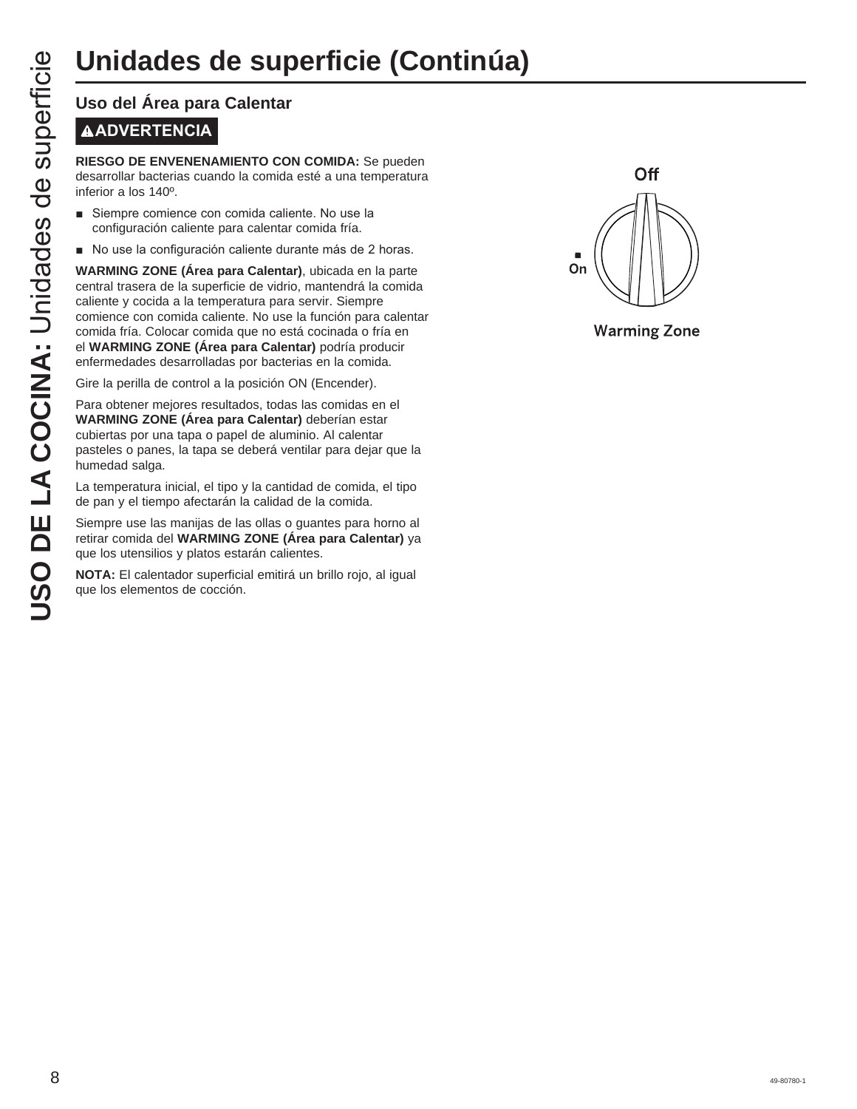## **Unidades de superficie (Continúa)**

# **ADVERTENCIA**

**RIESGO DE ENVENENAMIENTO CON COMIDA:** Se pueden desarrollar bacterias cuando la comida esté a una temperatura inferior a los 140º.

- Siempre comience con comida caliente. No use la configuración caliente para calentar comida fría.
- No use la configuración caliente durante más de 2 horas.

**UNICACES DE SUP<br>
USO del Área para Calentar<br>
MADVERTENCIA<br>
RIESGO DE ENVENENAMIENTO CO<br>
desarrollar bacterias cuando la comida<br>
inferior a los 140<sup>0</sup>.<br>
Siempre comience con comida caliente du<br>
varkMING ZONE (Área para Cal WARMING ZONE (Área para Calentar)**, ubicada en la parte central trasera de la superficie de vidrio, mantendrá la comida caliente y cocida a la temperatura para servir. Siempre comience con comida caliente. No use la función para calentar comida fría. Colocar comida que no está cocinada o fría en el **WARMING ZONE (Área para Calentar)** podría producir enfermedades desarrolladas por bacterias en la comida.

Gire la perilla de control a la posición ON (Encender).

Para obtener mejores resultados, todas las comidas en el **WARMING ZONE (Área para Calentar)** deberían estar cubiertas por una tapa o papel de aluminio. Al calentar pasteles o panes, la tapa se deberá ventilar para dejar que la humedad salga.

La temperatura inicial, el tipo y la cantidad de comida, el tipo de pan y el tiempo afectarán la calidad de la comida.

Siempre use las manijas de las ollas o guantes para horno al retirar comida del **WARMING ZONE (Área para Calentar)** ya que los utensilios y platos estarán calientes.

**NOTA:** El calentador superficial emitirá un brillo rojo, al igual que los elementos de cocción.



**Warming Zone**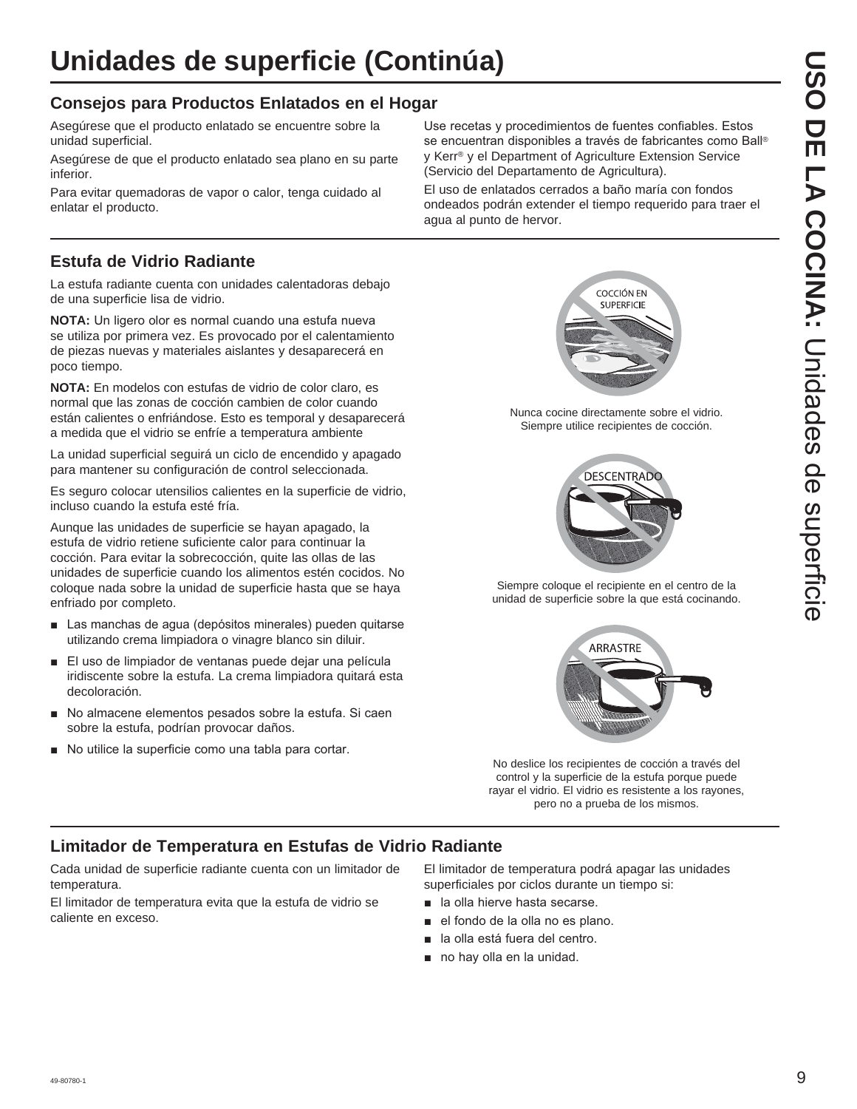#### **Consejos para Productos Enlatados en el Hogar**

Asegúrese que el producto enlatado se encuentre sobre la unidad superficial.

Asegúrese de que el producto enlatado sea plano en su parte inferior.

Para evitar quemadoras de vapor o calor, tenga cuidado al enlatar el producto.

#### **Estufa de Vidrio Radiante**

La estufa radiante cuenta con unidades calentadoras debajo de una superficie lisa de vidrio.

**NOTA:** Un ligero olor es normal cuando una estufa nueva se utiliza por primera vez. Es provocado por el calentamiento de piezas nuevas y materiales aislantes y desaparecerá en poco tiempo.

**NOTA:** En modelos con estufas de vidrio de color claro, es normal que las zonas de cocción cambien de color cuando están calientes o enfriándose. Esto es temporal y desaparecerá a medida que el vidrio se enfríe a temperatura ambiente

La unidad superficial seguirá un ciclo de encendido y apagado para mantener su configuración de control seleccionada.

Es seguro colocar utensilios calientes en la superficie de vidrio, incluso cuando la estufa esté fría.

Aunque las unidades de superficie se hayan apagado, la estufa de vidrio retiene suficiente calor para continuar la cocción. Para evitar la sobrecocción, quite las ollas de las unidades de superficie cuando los alimentos estén cocidos. No coloque nada sobre la unidad de superficie hasta que se haya enfriado por completo.

- Las manchas de agua (depósitos minerales) pueden quitarse utilizando crema limpiadora o vinagre blanco sin diluir.
- El uso de limpiador de ventanas puede dejar una película iridiscente sobre la estufa. La crema limpiadora quitará esta decoloración.
- No almacene elementos pesados sobre la estufa. Si caen sobre la estufa, podrían provocar daños.
- No utilice la superficie como una tabla para cortar.

Use recetas y procedimientos de fuentes confiables. Estos se encuentran disponibles a través de fabricantes como Ball® y Kerr® y el Department of Agriculture Extension Service (Servicio del Departamento de Agricultura).

El uso de enlatados cerrados a baño maría con fondos ondeados podrán extender el tiempo requerido para traer el agua al punto de hervor.



Nunca cocine directamente sobre el vidrio. Siempre utilice recipientes de cocción.



Siempre coloque el recipiente en el centro de la unidad de superficie sobre la que está cocinando.



No deslice los recipientes de cocción a través del control y la superficie de la estufa porque puede rayar el vidrio. El vidrio es resistente a los rayones, pero no a prueba de los mismos.

#### **Limitador de Temperatura en Estufas de Vidrio Radiante**

Cada unidad de superficie radiante cuenta con un limitador de temperatura.

El limitador de temperatura evita que la estufa de vidrio se caliente en exceso.

El limitador de temperatura podrá apagar las unidades superficiales por ciclos durante un tiempo si:

- **a** la olla hierve hasta secarse.
- el fondo de la olla no es plano.
- la olla está fuera del centro.
- $\blacksquare$  no hay olla en la unidad.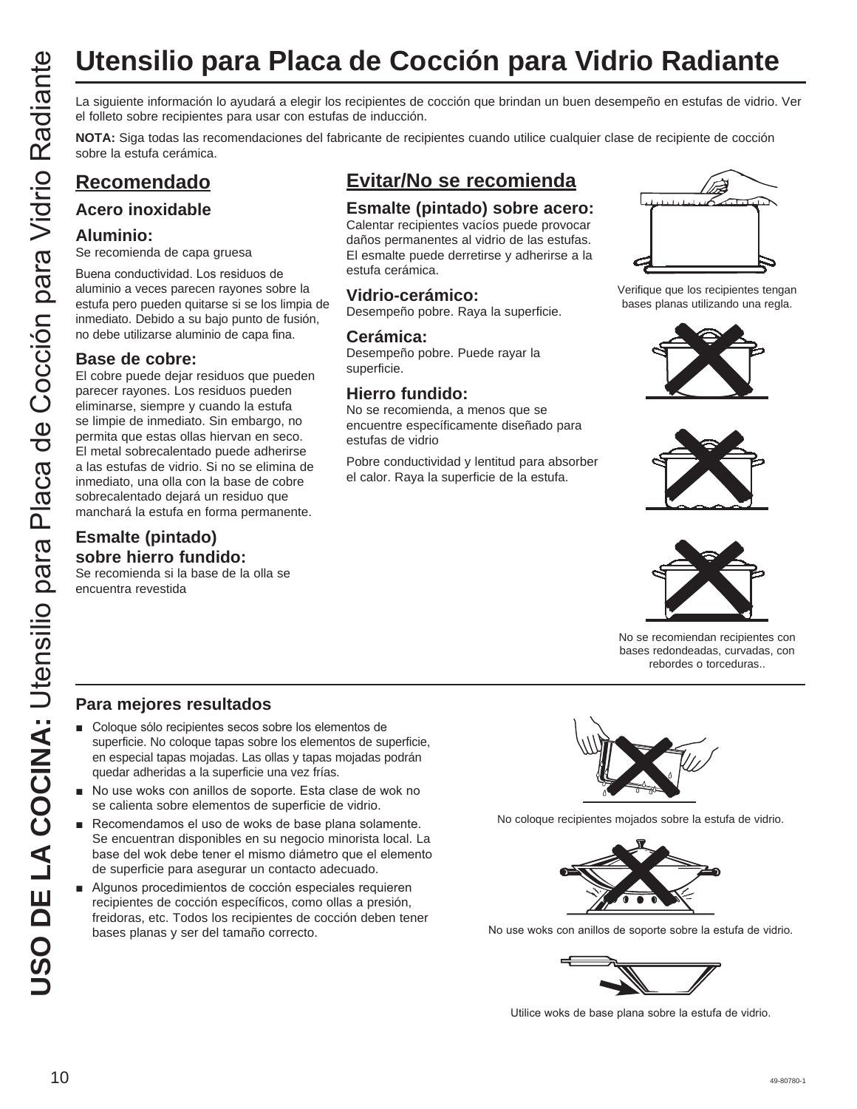# **Utensilio para Placa de Cocción para Vidrio Radiante**

el folleto sobre recipientes para usar con estufas de inducción.

**NOTA:** Siga todas las recomendaciones del fabricante de recipientes cuando utilice cualquier clase de recipiente de cocción sobre la estufa cerámica.

#### **Recomendado**

#### **Acero inoxidable**

#### **Aluminio:**

Se recomienda de capa gruesa

Buena conductividad. Los residuos de aluminio a veces parecen rayones sobre la estufa pero pueden quitarse si se los limpia de inmediato. Debido a su bajo punto de fusión, no debe utilizarse aluminio de capa fina.

#### **Base de cobre:**

**USO DE LA COCIDE DE LA COCIDE DE LA COLUMNA:**<br>
USO LA COLUMNA: COLUMNA: COLUMNA: COLUMNA: COLUMNA: COLUMNA: COLUMNA: COLUMNA: COLUMNA: COLUMNA: COLUMNA: COLUMNA: COLUMNA: COLUMNA: COLUMNA: COLUMNA: COLUMNA: COLUMNA: COLUM El cobre puede dejar residuos que pueden parecer rayones. Los residuos pueden eliminarse, siempre y cuando la estufa se limpie de inmediato. Sin embargo, no permita que estas ollas hiervan en seco. El metal sobrecalentado puede adherirse a las estufas de vidrio. Si no se elimina de inmediato, una olla con la base de cobre sobrecalentado dejará un residuo que manchará la estufa en forma permanente.

#### **Esmalte (pintado) sobre hierro fundido:**

Se recomienda si la base de la olla se encuentra revestida

### **Evitar/No se recomienda**

#### **Esmalte (pintado) sobre acero:**

Calentar recipientes vacíos puede provocar daños permanentes al vidrio de las estufas. El esmalte puede derretirse y adherirse a la estufa cerámica.

#### **Vidrio-cerámico:**

Desempeño pobre. Raya la superficie.

#### **Cerámica:**

Desempeño pobre. Puede rayar la superficie.

#### **Hierro fundido:**

No se recomienda, a menos que se encuentre específicamente diseñado para estufas de vidrio

Pobre conductividad y lentitud para absorber el calor. Raya la superficie de la estufa.



Verifique que los recipientes tengan bases planas utilizando una regla.







No se recomiendan recipientes con bases redondeadas, curvadas, con rebordes o torceduras..

#### **Para mejores resultados**

- Coloque sólo recipientes secos sobre los elementos de superficie. No coloque tapas sobre los elementos de superficie, en especial tapas mojadas. Las ollas y tapas mojadas podrán quedar adheridas a la superficie una vez frías.
- No use woks con anillos de soporte. Esta clase de wok no se calienta sobre elementos de superficie de vidrio.
- Recomendamos el uso de woks de base plana solamente. Se encuentran disponibles en su negocio minorista local. La base del wok debe tener el mismo diámetro que el elemento de superficie para asegurar un contacto adecuado.
- Algunos procedimientos de cocción especiales requieren recipientes de cocción específicos, como ollas a presión, freidoras, etc. Todos los recipientes de cocción deben tener bases planas y ser del tamaño correcto.



No coloque recipientes mojados sobre la estufa de vidrio.



No use woks con anillos de soporte sobre la estufa de vidrio.



Utilice woks de base plana sobre la estufa de vidrio.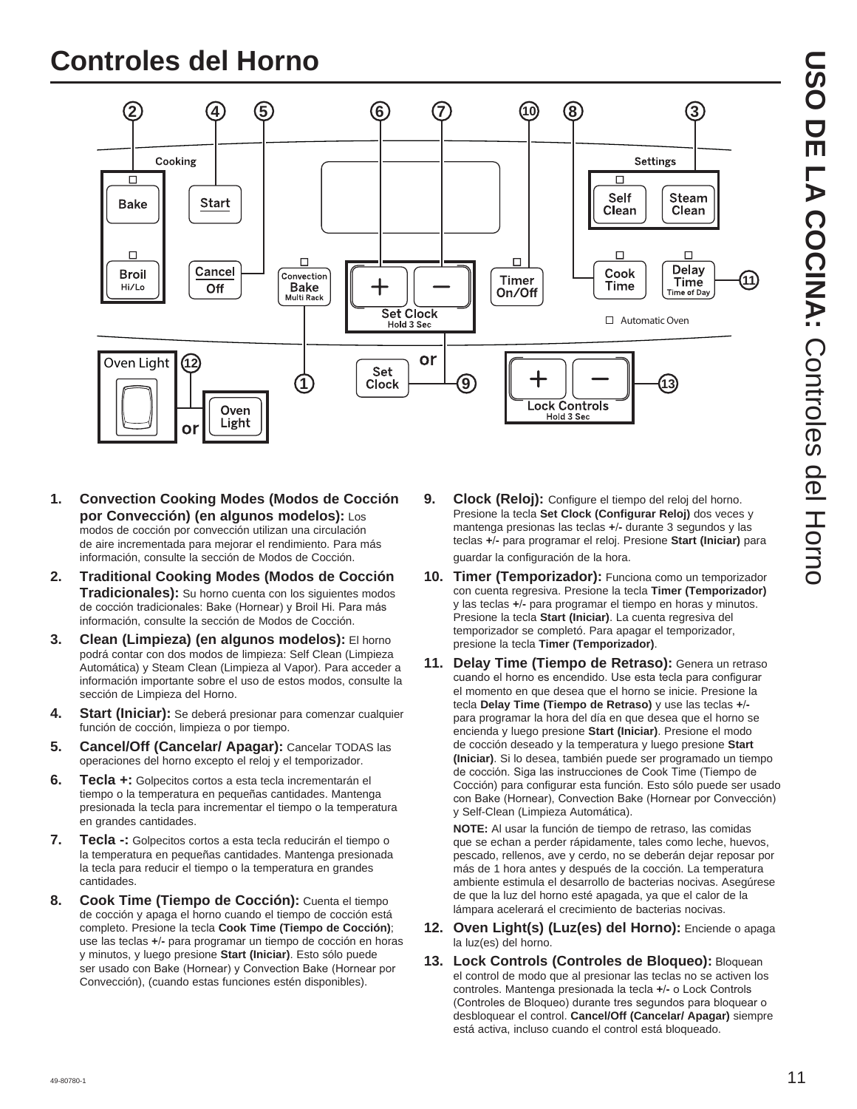## **Controles del Horno**



- **1. Convection Cooking Modes (Modos de Cocción por Convección) (en algunos modelos):** Los modos de cocción por convección utilizan una circulación de aire incrementada para mejorar el rendimiento. Para más información, consulte la sección de Modos de Cocción.
- **2. Traditional Cooking Modes (Modos de Cocción Tradicionales):** Su horno cuenta con los siguientes modos de cocción tradicionales: Bake (Hornear) y Broil Hi. Para más información, consulte la sección de Modos de Cocción.
- **3. Clean (Limpieza) (en algunos modelos):** El horno podrá contar con dos modos de limpieza: Self Clean (Limpieza Automática) y Steam Clean (Limpieza al Vapor). Para acceder a información importante sobre el uso de estos modos, consulte la sección de Limpieza del Horno.
- **4. Start (Iniciar):** Se deberá presionar para comenzar cualquier función de cocción, limpieza o por tiempo.
- **5. Cancel/Off (Cancelar/ Apagar):** Cancelar TODAS las operaciones del horno excepto el reloj y el temporizador.
- **6. Tecla +:** Golpecitos cortos a esta tecla incrementarán el tiempo o la temperatura en pequeñas cantidades. Mantenga presionada la tecla para incrementar el tiempo o la temperatura en grandes cantidades.
- **7. Tecla -:** Golpecitos cortos a esta tecla reducirán el tiempo o la temperatura en pequeñas cantidades. Mantenga presionada la tecla para reducir el tiempo o la temperatura en grandes cantidades.
- **8. Cook Time (Tiempo de Cocción):** Cuenta el tiempo de cocción y apaga el horno cuando el tiempo de cocción está completo. Presione la tecla **Cook Time (Tiempo de Cocción)** use las teclas **+-** para programar un tiempo de cocción en horas y minutos, y luego presione **Start (Iniciar)**. Esto sólo puede ser usado con Bake (Hornear) y Convection Bake (Hornear por Convección), (cuando estas funciones estén disponibles).
- **9. Clock (Reloj):** Configure el tiempo del reloj del horno. Presione la tecla **Set Clock (Configurar Reloj)** dos veces y mantenga presionas las teclas **+-** durante 3 segundos y las teclas **+-** para programar el reloj. Presione **Start (Iniciar)** para guardar la configuración de la hora.
- **10. Timer (Temporizador):** Funciona como un temporizador con cuenta regresiva. Presione la tecla **Timer (Temporizador)** y las teclas **+-** para programar el tiempo en horas y minutos. Presione la tecla **Start (Iniciar)**. La cuenta regresiva del temporizador se completó. Para apagar el temporizador, presione la tecla **Timer (Temporizador)**.
- **11. Delay Time (Tiempo de Retraso):** Genera un retraso cuando el horno es encendido. Use esta tecla para configurar el momento en que desea que el horno se inicie. Presione la tecla **Delay Time (Tiempo de Retraso)** y use las teclas **+** para programar la hora del día en que desea que el horno se encienda y luego presione **Start (Iniciar)**. Presione el modo de cocción deseado y la temperatura y luego presione **Start (Iniciar)**. Si lo desea, también puede ser programado un tiempo de cocción. Siga las instrucciones de Cook Time (Tiempo de Cocción) para configurar esta función. Esto sólo puede ser usado con Bake (Hornear), Convection Bake (Hornear por Convección) y Self-Clean (Limpieza Automática).

 **NOTE:** Al usar la función de tiempo de retraso, las comidas que se echan a perder rápidamente, tales como leche, huevos, pescado, rellenos, ave y cerdo, no se deberán dejar reposar por más de 1 hora antes y después de la cocción. La temperatura ambiente estimula el desarrollo de bacterias nocivas. Asegúrese de que la luz del horno esté apagada, ya que el calor de la lámpara acelerará el crecimiento de bacterias nocivas.

- **12. Oven Light(s) (Luz(es) del Horno):** Enciende o apaga la luz(es) del horno.
- 13. Lock Controls (Controles de Bloqueo): Bloquean el control de modo que al presionar las teclas no se activen los controles. Mantenga presionada la tecla +/- o Lock Controls (Controles de Bloqueo) durante tres segundos para bloquear o desbloquear el control. **Cancel/Off (Cancelar/ Apagar)** siempre está activa, incluso cuando el control está bloqueado.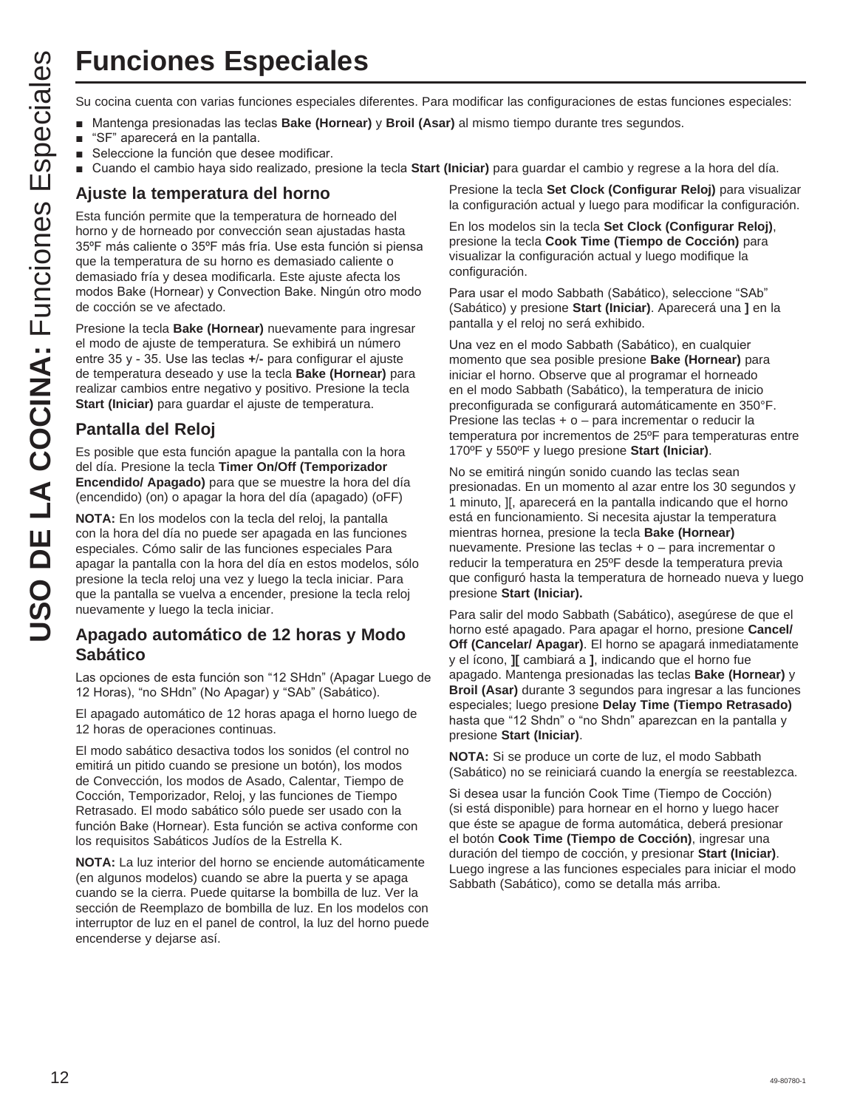## **Funciones Especiales**

- **Nantenga presionadas las teclas Bake (Hornear) y Broil (Asar) al mismo tiempo durante tres segundos.**
- "SF" aparecerá en la pantalla.
- Seleccione la función que desee modificar.
- Cuando el cambio haya sido realizado, presione la tecla **Start (Iniciar)** para guardar el cambio y regrese a la hora del día.

#### **Ajuste la temperatura del horno**

Esta función permite que la temperatura de horneado del horno y de horneado por convección sean ajustadas hasta 35°F más caliente o 35°F más fría. Use esta función si piensa que la temperatura de su horno es demasiado caliente o demasiado fría y desea modificarla. Este ajuste afecta los modos Bake (Hornear) y Convection Bake. Ningún otro modo de cocción se ve afectado.

Presione la tecla **Bake (Hornear)** nuevamente para ingresar el modo de ajuste de temperatura. Se exhibirá un número entre 35 y - 35. Use las teclas +/- para configurar el ajuste de temperatura deseado y use la tecla **Bake (Hornear)** para realizar cambios entre negativo y positivo. Presione la tecla **Start (Iniciar)** para guardar el ajuste de temperatura.

#### **Pantalla del Reloj**

Es posible que esta función apague la pantalla con la hora del día. Presione la tecla **Timer On/Off (Temporizador Encendido/ Apagado)** para que se muestre la hora del día (encendido) (on) o apagar la hora del día (apagado) (oFF)

**NOTA:** En los modelos con la tecla del reloj, la pantalla con la hora del día no puede ser apagada en las funciones especiales. Cómo salir de las funciones especiales Para apagar la pantalla con la hora del día en estos modelos, sólo presione la tecla reloj una vez y luego la tecla iniciar. Para que la pantalla se vuelva a encender, presione la tecla reloj nuevamente y luego la tecla iniciar.

#### **Apagado automático de 12 horas y Modo Sabático**

Las opciones de esta función son "12 SHdn" (Apagar Luego de 12 Horas), "no SHdn" (No Apagar) y "SAb" (Sabático).

El apagado automático de 12 horas apaga el horno luego de 12 horas de operaciones continuas.

El modo sabático desactiva todos los sonidos (el control no emitirá un pitido cuando se presione un botón), los modos de Convección, los modos de Asado, Calentar, Tiempo de Cocción, Temporizador, Reloj, y las funciones de Tiempo Retrasado. El modo sabático sólo puede ser usado con la función Bake (Hornear). Esta función se activa conforme con los requisitos Sabáticos Judíos de la Estrella K.

**NOTA:** La luz interior del horno se enciende automáticamente (en algunos modelos) cuando se abre la puerta y se apaga cuando se la cierra. Puede quitarse la bombilla de luz. Ver la sección de Reemplazo de bombilla de luz. En los modelos con interruptor de luz en el panel de control, la luz del horno puede encenderse y dejarse así.

Presione la tecla **Set Clock (Configurar Reloj)** para visualizar la configuración actual y luego para modificar la configuración.

En los modelos sin la tecla **Set Clock (Configurar Reloj)**, presione la tecla **Cook Time (Tiempo de Cocción)** para visualizar la configuración actual y luego modifique la configuración.

Para usar el modo Sabbath (Sabático), seleccione "SAb" (Sabático) y presione **Start (Iniciar)**. Aparecerá una **]** en la pantalla y el reloj no será exhibido.

Una vez en el modo Sabbath (Sabático), en cualquier momento que sea posible presione **Bake (Hornear)** para iniciar el horno. Observe que al programar el horneado en el modo Sabbath (Sabático), la temperatura de inicio preconfigurada se configurará automáticamente en 350°F. Presione las teclas + o – para incrementar o reducir la temperatura por incrementos de 25ºF para temperaturas entre 170ºF y 550ºF y luego presione **Start (Iniciar)**.

**USO THE COCINE SUBMING COCINE CONTINUES**<br> **USO COCINE ANTIFICATION COCINE CONTINUES CONTINUES CONTINUES CONTINUES CONTINUES CONTINUES CONTINUES CONTINUES CONTINUES CONTINUES CONTINUES CONTINUES CONTINUES CONTINUES CONTI** No se emitirá ningún sonido cuando las teclas sean presionadas. En un momento al azar entre los 30 segundos y 1 minuto, ][, aparecerá en la pantalla indicando que el horno está en funcionamiento. Si necesita ajustar la temperatura mientras hornea, presione la tecla **Bake (Hornear)**  nuevamente. Presione las teclas + o – para incrementar o reducir la temperatura en 25ºF desde la temperatura previa que configuró hasta la temperatura de horneado nueva y luego presione **Start (Iniciar).**

Para salir del modo Sabbath (Sabático), asegúrese de que el horno esté apagado. Para apagar el horno, presione **Cancel/ Off (Cancelar/ Apagar)**. El horno se apagará inmediatamente y el ícono, **][** cambiará a **]**, indicando que el horno fue apagado. Mantenga presionadas las teclas **Bake (Hornear)** y **Broil (Asar)** durante 3 segundos para ingresar a las funciones especiales; luego presione **Delay Time (Tiempo Retrasado)** hasta que "12 Shdn" o "no Shdn" aparezcan en la pantalla y presione **Start (Iniciar)**.

**NOTA:** Si se produce un corte de luz, el modo Sabbath (Sabático) no se reiniciará cuando la energía se reestablezca.

Si desea usar la función Cook Time (Tiempo de Cocción) (si está disponible) para hornear en el horno y luego hacer que éste se apague de forma automática, deberá presionar el botón **Cook Time (Tiempo de Cocción)**, ingresar una duración del tiempo de cocción, y presionar **Start (Iniciar)**. Luego ingrese a las funciones especiales para iniciar el modo Sabbath (Sabático), como se detalla más arriba.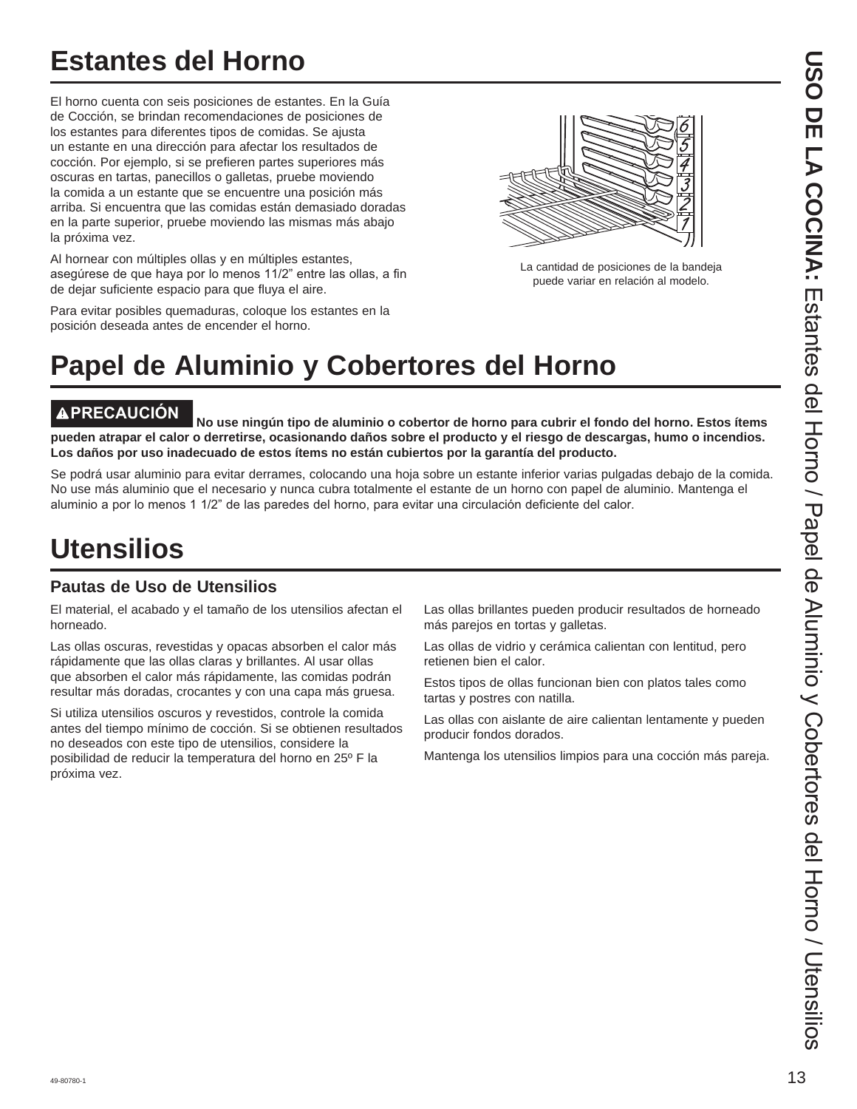## **Estantes del Horno**

El horno cuenta con seis posiciones de estantes. En la Guía de Cocción, se brindan recomendaciones de posiciones de los estantes para diferentes tipos de comidas. Se ajusta un estante en una dirección para afectar los resultados de cocción. Por ejemplo, si se prefieren partes superiores más oscuras en tartas, panecillos o galletas, pruebe moviendo la comida a un estante que se encuentre una posición más arriba. Si encuentra que las comidas están demasiado doradas en la parte superior, pruebe moviendo las mismas más abajo la próxima vez.

Al hornear con múltiples ollas y en múltiples estantes, asegúrese de que haya por lo menos 11/2" entre las ollas, a fin de dejar suficiente espacio para que fluya el aire.

Para evitar posibles quemaduras, coloque los estantes en la posición deseada antes de encender el horno.

La cantidad de posiciones de la bandeja puede variar en relación al modelo.

# **Papel de Aluminio y Cobertores del Horno**

**PRECAUCIÓN No use ningún tipo de aluminio o cobertor de horno para cubrir el fondo del horno. Estos ítems pueden atrapar el calor o derretirse, ocasionando daños sobre el producto y el riesgo de descargas, humo o incendios. Los daños por uso inadecuado de estos ítems no están cubiertos por la garantía del producto.**

Se podrá usar aluminio para evitar derrames, colocando una hoja sobre un estante inferior varias pulgadas debajo de la comida. No use más aluminio que el necesario y nunca cubra totalmente el estante de un horno con papel de aluminio. Mantenga el aluminio a por lo menos 1 1/2" de las paredes del horno, para evitar una circulación deficiente del calor.

## **Utensilios**

#### **Pautas de Uso de Utensilios**

El material, el acabado y el tamaño de los utensilios afectan el horneado.

Las ollas oscuras, revestidas y opacas absorben el calor más rápidamente que las ollas claras y brillantes. Al usar ollas que absorben el calor más rápidamente, las comidas podrán resultar más doradas, crocantes y con una capa más gruesa.

Si utiliza utensilios oscuros y revestidos, controle la comida antes del tiempo mínimo de cocción. Si se obtienen resultados no deseados con este tipo de utensilios, considere la posibilidad de reducir la temperatura del horno en 25º F la próxima vez.

Las ollas brillantes pueden producir resultados de horneado más parejos en tortas y galletas.

Las ollas de vidrio y cerámica calientan con lentitud, pero retienen bien el calor.

Estos tipos de ollas funcionan bien con platos tales como tartas y postres con natilla.

Las ollas con aislante de aire calientan lentamente y pueden producir fondos dorados.

Mantenga los utensilios limpios para una cocción más pareja.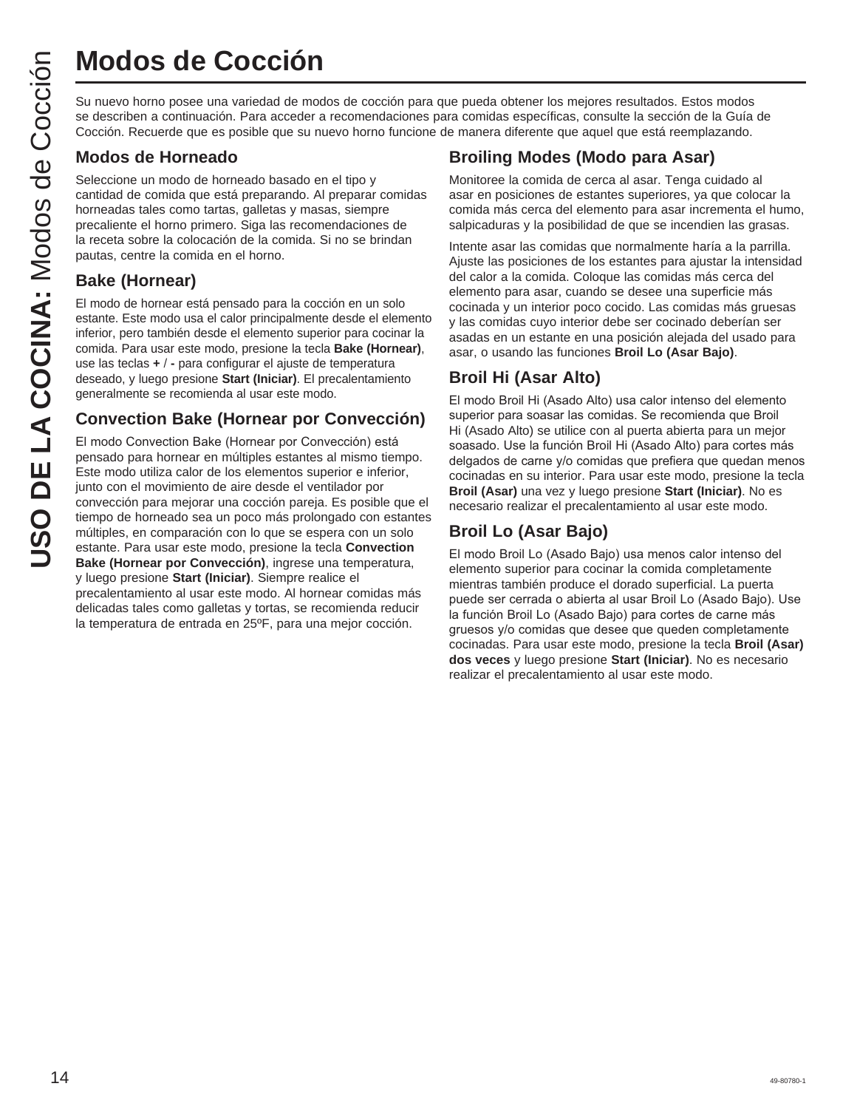Su nuevo horno posee una variedad de modos de cocción para que pueda obtener los mejores resultados. Estos modos se describen a continuación. Para acceder a recomendaciones para comidas específicas, consulte la sección de la Guía de Cocción. Recuerde que es posible que su nuevo horno funcione de manera diferente que aquel que está reemplazando.

#### **Modos de Horneado**

Seleccione un modo de horneado basado en el tipo y cantidad de comida que está preparando. Al preparar comidas horneadas tales como tartas, galletas y masas, siempre precaliente el horno primero. Siga las recomendaciones de la receta sobre la colocación de la comida. Si no se brindan pautas, centre la comida en el horno.

#### **Bake (Hornear)**

El modo de hornear está pensado para la cocción en un solo estante. Este modo usa el calor principalmente desde el elemento inferior, pero también desde el elemento superior para cocinar la comida. Para usar este modo, presione la tecla **Bake (Hornear)**, use las teclas **+-** para configurar el ajuste de temperatura deseado, y luego presione **Start (Iniciar)**. El precalentamiento generalmente se recomienda al usar este modo.

#### **Convection Bake (Hornear por Convección)**

El modo Convection Bake (Hornear por Convección) está pensado para hornear en múltiples estantes al mismo tiempo. Este modo utiliza calor de los elementos superior e inferior, junto con el movimiento de aire desde el ventilador por convección para mejorar una cocción pareja. Es posible que el tiempo de horneado sea un poco más prolongado con estantes múltiples, en comparación con lo que se espera con un solo estante. Para usar este modo, presione la tecla **Convection Bake (Hornear por Convección)**, ingrese una temperatura, y luego presione **Start (Iniciar)**. Siempre realice el precalentamiento al usar este modo. Al hornear comidas más delicadas tales como galletas y tortas, se recomienda reducir la temperatura de entrada en 25ºF, para una mejor cocción. **USO DE COCCIÓN**<br>
Su nuevo homo posee una variedad de mose<br>
se describen a continuación. Para acceder a<br>
Cocción. Recuerde que es posible que su nu<br> **Modos de Horneado**<br>
seleccione un modo de horneado basado en homograpa d

#### **Broiling Modes (Modo para Asar)**

Monitoree la comida de cerca al asar. Tenga cuidado al asar en posiciones de estantes superiores, ya que colocar la comida más cerca del elemento para asar incrementa el humo, salpicaduras y la posibilidad de que se incendien las grasas.

Intente asar las comidas que normalmente haría a la parrilla. Ajuste las posiciones de los estantes para ajustar la intensidad del calor a la comida. Coloque las comidas más cerca del elemento para asar, cuando se desee una superficie más cocinada y un interior poco cocido. Las comidas más gruesas y las comidas cuyo interior debe ser cocinado deberían ser asadas en un estante en una posición alejada del usado para asar, o usando las funciones **Broil Lo (Asar Bajo)**.

#### **Broil Hi (Asar Alto)**

El modo Broil Hi (Asado Alto) usa calor intenso del elemento superior para soasar las comidas. Se recomienda que Broil Hi (Asado Alto) se utilice con al puerta abierta para un mejor soasado. Use la función Broil Hi (Asado Alto) para cortes más delgados de carne y/o comidas que prefiera que quedan menos cocinadas en su interior. Para usar este modo, presione la tecla **Broil (Asar)** una vez y luego presione **Start (Iniciar)**. No es necesario realizar el precalentamiento al usar este modo.

#### **Broil Lo (Asar Bajo)**

El modo Broil Lo (Asado Bajo) usa menos calor intenso del elemento superior para cocinar la comida completamente mientras también produce el dorado superficial. La puerta puede ser cerrada o abierta al usar Broil Lo (Asado Bajo). Use la función Broil Lo (Asado Bajo) para cortes de carne más gruesos y/o comidas que desee que queden completamente cocinadas. Para usar este modo, presione la tecla **Broil (Asar) dos veces** y luego presione **Start (Iniciar)**. No es necesario realizar el precalentamiento al usar este modo.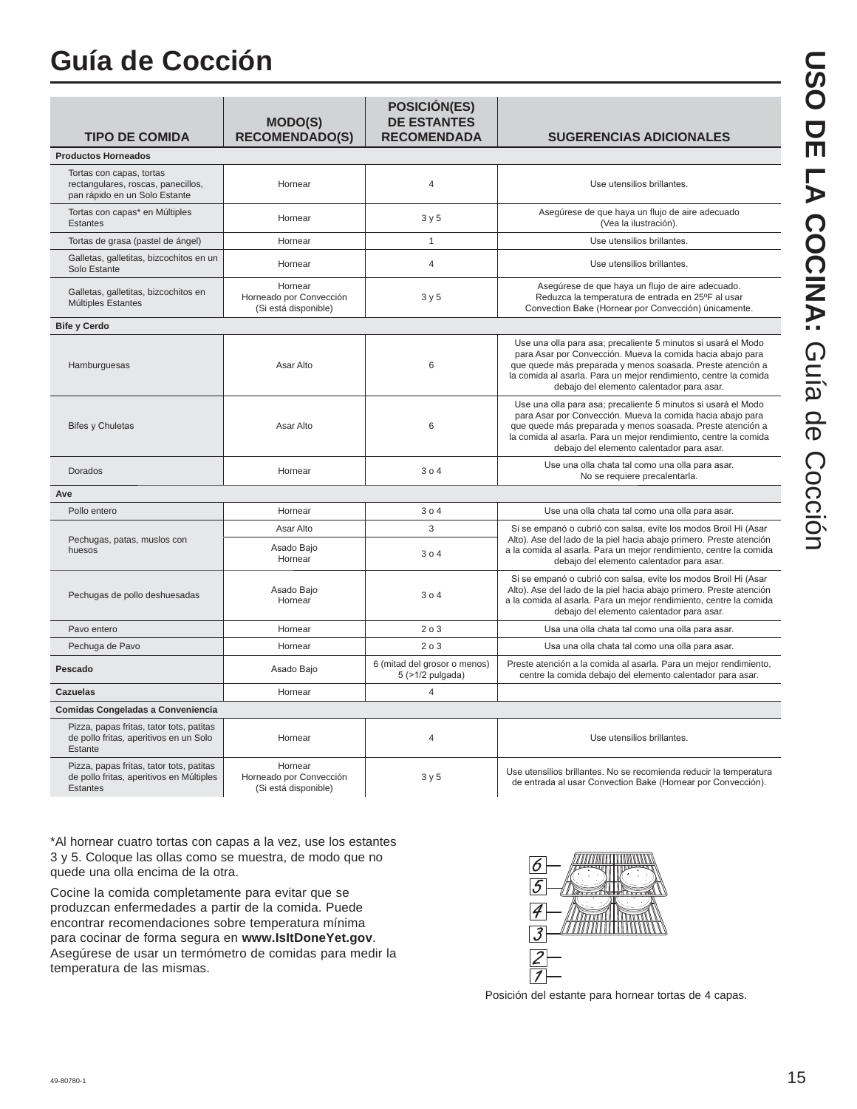## **Guía de Cocción**

| <b>TIPO DE COMIDA</b>                                                                                   | <b>MODO(S)</b><br><b>RECOMENDADO(S)</b>                    | <b>POSICIÓN(ES)</b><br><b>DE ESTANTES</b><br><b>RECOMENDADA</b> | <b>SUGERENCIAS ADICIONALES</b>                                                                                                                                                                                                                                                                             |  |  |  |
|---------------------------------------------------------------------------------------------------------|------------------------------------------------------------|-----------------------------------------------------------------|------------------------------------------------------------------------------------------------------------------------------------------------------------------------------------------------------------------------------------------------------------------------------------------------------------|--|--|--|
| <b>Productos Horneados</b>                                                                              |                                                            |                                                                 |                                                                                                                                                                                                                                                                                                            |  |  |  |
| Tortas con capas, tortas<br>rectangulares, roscas, panecillos,<br>pan rápido en un Solo Estante         | Hornear                                                    | $\overline{4}$                                                  | Use utensilios brillantes.                                                                                                                                                                                                                                                                                 |  |  |  |
| Tortas con capas* en Múltiples<br><b>Estantes</b>                                                       | Hornear                                                    | 3y5                                                             | Asegúrese de que haya un flujo de aire adecuado<br>(Vea la ilustración).                                                                                                                                                                                                                                   |  |  |  |
| Tortas de grasa (pastel de ángel)                                                                       | Hornear                                                    | $\mathbf{1}$                                                    | Use utensilios brillantes.                                                                                                                                                                                                                                                                                 |  |  |  |
| Galletas, galletitas, bizcochitos en un<br>Solo Estante                                                 | Hornear                                                    | $\overline{4}$                                                  | Use utensilios brillantes.                                                                                                                                                                                                                                                                                 |  |  |  |
| Galletas, galletitas, bizcochitos en<br>Múltiples Estantes                                              | Hornear<br>Horneado por Convección<br>(Si está disponible) | 3y5                                                             | Asegúrese de que haya un flujo de aire adecuado.<br>Reduzca la temperatura de entrada en 25°F al usar<br>Convection Bake (Hornear por Convección) únicamente.                                                                                                                                              |  |  |  |
| <b>Bife y Cerdo</b>                                                                                     |                                                            |                                                                 |                                                                                                                                                                                                                                                                                                            |  |  |  |
| Hamburguesas                                                                                            | Asar Alto                                                  | 6                                                               | Use una olla para asa; precaliente 5 minutos si usará el Modo<br>para Asar por Convección. Mueva la comida hacia abajo para<br>que quede más preparada y menos soasada. Preste atención a<br>la comida al asarla. Para un mejor rendimiento, centre la comida<br>debajo del elemento calentador para asar. |  |  |  |
| <b>Bifes y Chuletas</b>                                                                                 | Asar Alto                                                  | 6                                                               | Use una olla para asa; precaliente 5 minutos si usará el Modo<br>para Asar por Convección. Mueva la comida hacia abajo para<br>que quede más preparada y menos soasada. Preste atención a<br>la comida al asarla. Para un mejor rendimiento, centre la comida<br>debajo del elemento calentador para asar. |  |  |  |
| Dorados                                                                                                 | Hornear                                                    | 304                                                             | Use una olla chata tal como una olla para asar.<br>No se requiere precalentarla.                                                                                                                                                                                                                           |  |  |  |
| Ave                                                                                                     |                                                            |                                                                 |                                                                                                                                                                                                                                                                                                            |  |  |  |
| Pollo entero                                                                                            | Hornear                                                    | 304                                                             | Use una olla chata tal como una olla para asar.                                                                                                                                                                                                                                                            |  |  |  |
|                                                                                                         | Asar Alto                                                  | 3                                                               | Si se empanó o cubrió con salsa, evite los modos Broil Hi (Asar                                                                                                                                                                                                                                            |  |  |  |
| Pechugas, patas, muslos con<br>huesos                                                                   | Asado Bajo<br>Hornear                                      | 304                                                             | Alto). Ase del lado de la piel hacia abajo primero. Preste atención<br>a la comida al asarla. Para un mejor rendimiento, centre la comida<br>debajo del elemento calentador para asar.                                                                                                                     |  |  |  |
| Pechugas de pollo deshuesadas                                                                           | Asado Bajo<br>Hornear                                      | 304                                                             | Si se empanó o cubrió con salsa, evite los modos Broil Hi (Asar<br>Alto). Ase del lado de la piel hacia abajo primero. Preste atención<br>a la comida al asarla. Para un mejor rendimiento, centre la comida<br>debajo del elemento calentador para asar.                                                  |  |  |  |
| Pavo entero                                                                                             | Hornear                                                    | 203                                                             | Usa una olla chata tal como una olla para asar.                                                                                                                                                                                                                                                            |  |  |  |
| Pechuga de Pavo                                                                                         | Hornear                                                    | 203                                                             | Usa una olla chata tal como una olla para asar.                                                                                                                                                                                                                                                            |  |  |  |
| Pescado                                                                                                 | Asado Bajo                                                 | 6 (mitad del grosor o menos)<br>5 (>1/2 pulgada)                | Preste atención a la comida al asarla. Para un mejor rendimiento,<br>centre la comida debajo del elemento calentador para asar.                                                                                                                                                                            |  |  |  |
| <b>Cazuelas</b>                                                                                         | Hornear                                                    | 4                                                               |                                                                                                                                                                                                                                                                                                            |  |  |  |
| Comidas Congeladas a Conveniencia                                                                       |                                                            |                                                                 |                                                                                                                                                                                                                                                                                                            |  |  |  |
| Pizza, papas fritas, tator tots, patitas<br>de pollo fritas, aperitivos en un Solo<br>Estante           | Hornear                                                    | $\overline{4}$                                                  | Use utensilios brillantes.                                                                                                                                                                                                                                                                                 |  |  |  |
| Pizza, papas fritas, tator tots, patitas<br>de pollo fritas, aperitivos en Múltiples<br><b>Estantes</b> | Hornear<br>Horneado por Convección<br>(Si está disponible) | 3y5                                                             | Use utensilios brillantes. No se recomienda reducir la temperatura<br>de entrada al usar Convection Bake (Hornear por Convección).                                                                                                                                                                         |  |  |  |

\*Al hornear cuatro tortas con capas a la vez, use los estantes 3 y 5. Coloque las ollas como se muestra, de modo que no quede una olla encima de la otra.

Cocine la comida completamente para evitar que se produzcan enfermedades a partir de la comida. Puede encontrar recomendaciones sobre temperatura mínima para cocinar de forma segura en **www.IsItDoneYet.gov**. Asegúrese de usar un termómetro de comidas para medir la temperatura de las mismas.



Posición del estante para hornear tortas de 4 capas.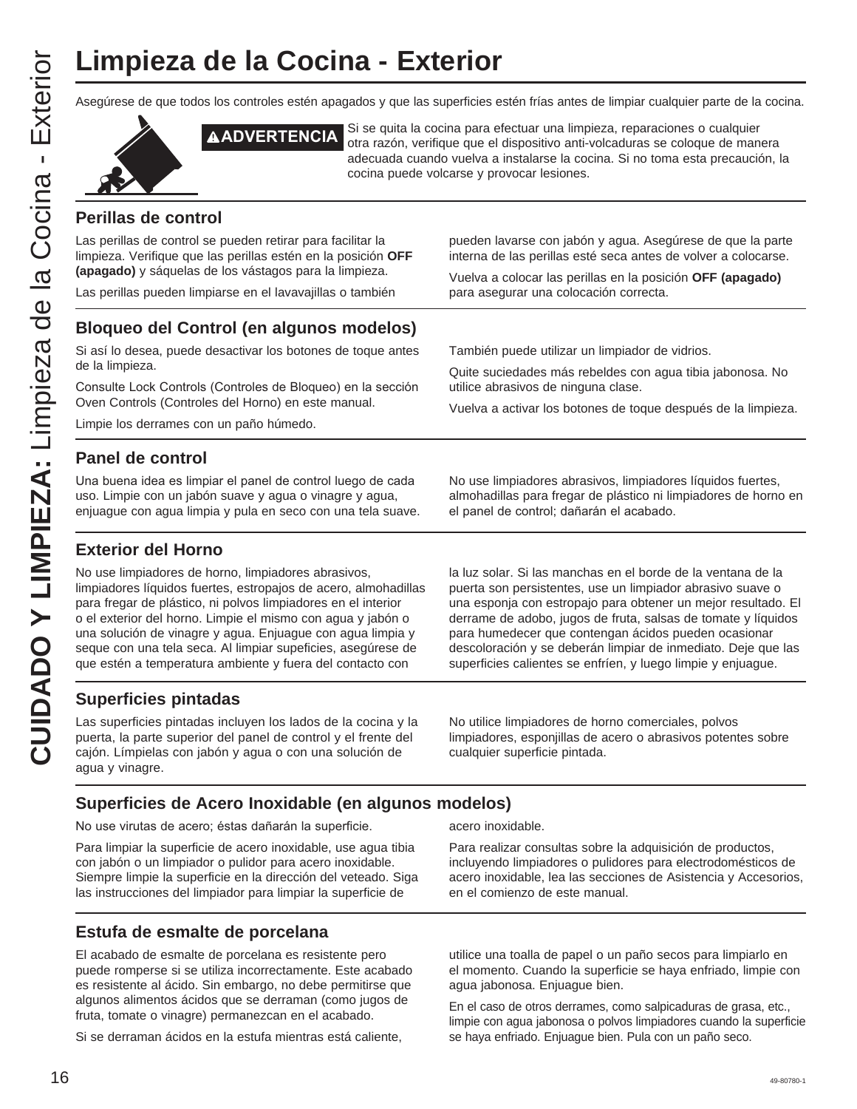Asegúrese de que todos los controles estén apagados y que las superficies estén frías antes de limpiar cualquier parte de la cocina.



**ADVERTENCIA** Si se quita la cocina para efectuar una limpieza, reparaciones o cualquier otra razón, verifique que el dispositivo anti-volcaduras se coloque de manera adecuada cuando vuelva a instalarse la cocina. Si no toma esta precaución, la cocina puede volcarse y provocar lesiones.

#### **Perillas de control**

Las perillas de control se pueden retirar para facilitar la limpieza. Verifique que las perillas estén en la posición **OFF (apagado)** y sáquelas de los vástagos para la limpieza.

Las perillas pueden limpiarse en el lavavajillas o también

pueden lavarse con jabón y agua. Asegúrese de que la parte interna de las perillas esté seca antes de volver a colocarse.

Vuelva a colocar las perillas en la posición **OFF (apagado)** para asegurar una colocación correcta.

Quite suciedades más rebeldes con agua tibia jabonosa. No

Vuelva a activar los botones de toque después de la limpieza.

También puede utilizar un limpiador de vidrios.

utilice abrasivos de ninguna clase.

#### **Bloqueo del Control (en algunos modelos)**

Si así lo desea, puede desactivar los botones de toque antes de la limpieza.

Consulte Lock Controls (Controles de Bloqueo) en la sección Oven Controls (Controles del Horno) en este manual.

Limpie los derrames con un paño húmedo.

#### **Panel de control**

Una buena idea es limpiar el panel de control luego de cada uso. Limpie con un jabón suave y agua o vinagre y agua, enjuague con agua limpia y pula en seco con una tela suave. No use limpiadores abrasivos, limpiadores líquidos fuertes, almohadillas para fregar de plástico ni limpiadores de horno en el panel de control; dañarán el acabado.

#### **Exterior del Horno**

No use limpiadores de horno, limpiadores abrasivos, limpiadores líquidos fuertes, estropajos de acero, almohadillas para fregar de plástico, ni polvos limpiadores en el interior o el exterior del horno. Limpie el mismo con agua y jabón o una solución de vinagre y agua. Enjuague con agua limpia y seque con una tela seca. Al limpiar supeficies, asegúrese de que estén a temperatura ambiente y fuera del contacto con

**Superficies pintadas**

Las superficies pintadas incluyen los lados de la cocina y la puerta, la parte superior del panel de control y el frente del cajón. Límpielas con jabón y agua o con una solución de agua y vinagre.

la luz solar. Si las manchas en el borde de la ventana de la puerta son persistentes, use un limpiador abrasivo suave o una esponja con estropajo para obtener un mejor resultado. El derrame de adobo, jugos de fruta, salsas de tomate y líquidos para humedecer que contengan ácidos pueden ocasionar descoloración y se deberán limpiar de inmediato. Deje que las superficies calientes se enfríen, y luego limpie y enjuague.

No utilice limpiadores de horno comerciales, polvos limpiadores, esponjillas de acero o abrasivos potentes sobre cualquier superficie pintada.

#### **Superficies de Acero Inoxidable (en algunos modelos)**

No use virutas de acero; éstas dañarán la superficie.

Para limpiar la superficie de acero inoxidable, use agua tibia con jabón o un limpiador o pulidor para acero inoxidable. Siempre limpie la superficie en la dirección del veteado. Siga las instrucciones del limpiador para limpiar la superficie de

#### **Estufa de esmalte de porcelana**

El acabado de esmalte de porcelana es resistente pero puede romperse si se utiliza incorrectamente. Este acabado es resistente al ácido. Sin embargo, no debe permitirse que algunos alimentos ácidos que se derraman (como jugos de fruta, tomate o vinagre) permanezcan en el acabado.

Si se derraman ácidos en la estufa mientras está caliente,

acero inoxidable.

Para realizar consultas sobre la adquisición de productos, incluyendo limpiadores o pulidores para electrodomésticos de acero inoxidable, lea las secciones de Asistencia y Accesorios, en el comienzo de este manual.

utilice una toalla de papel o un paño secos para limpiarlo en el momento. Cuando la superficie se haya enfriado, limpie con agua jabonosa. Enjuague bien.

En el caso de otros derrames, como salpicaduras de grasa, etc., limpie con agua jabonosa o polvos limpiadores cuando la superficie se haya enfriado. Enjuague bien. Pula con un paño seco.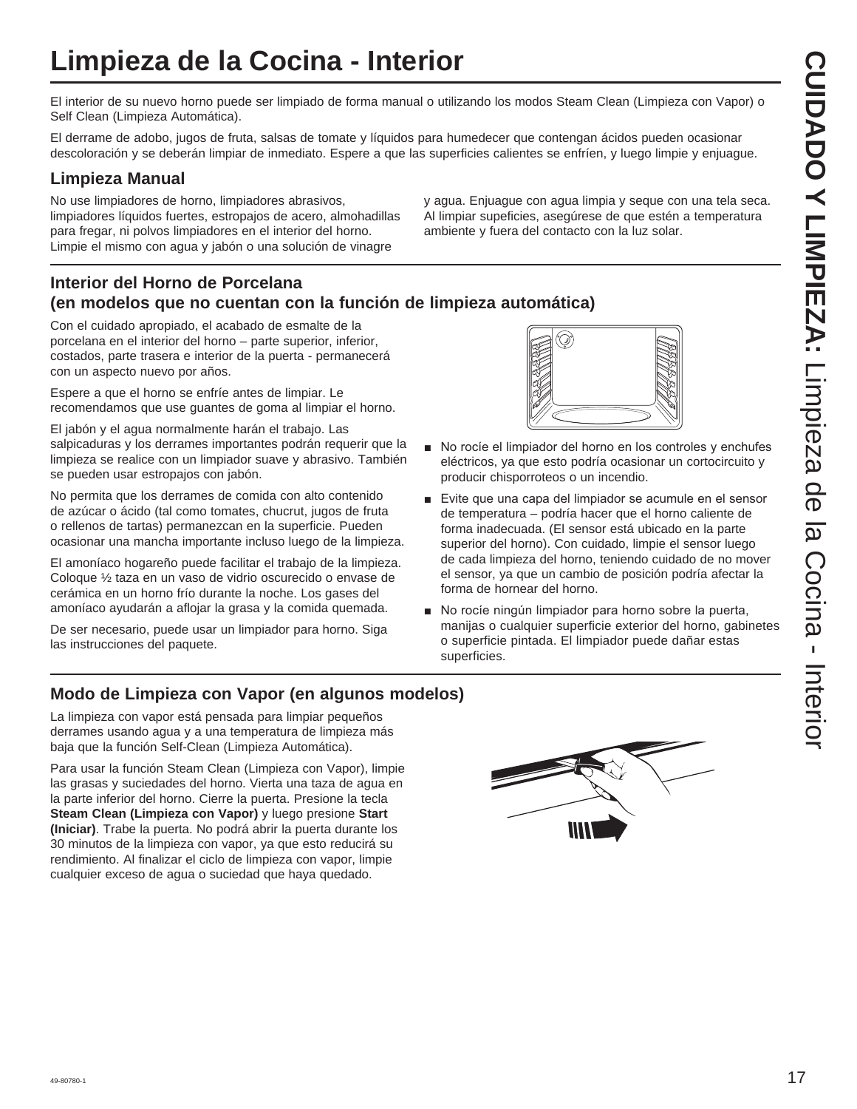## **Limpieza de la Cocina - Interior**

El interior de su nuevo horno puede ser limpiado de forma manual o utilizando los modos Steam Clean (Limpieza con Vapor) o Self Clean (Limpieza Automática).

El derrame de adobo, jugos de fruta, salsas de tomate y líquidos para humedecer que contengan ácidos pueden ocasionar descoloración y se deberán limpiar de inmediato. Espere a que las superficies calientes se enfríen, y luego limpie y enjuague.

#### **Limpieza Manual**

No use limpiadores de horno, limpiadores abrasivos, limpiadores líquidos fuertes, estropajos de acero, almohadillas para fregar, ni polvos limpiadores en el interior del horno. Limpie el mismo con agua y jabón o una solución de vinagre

y agua. Enjuague con agua limpia y seque con una tela seca. Al limpiar supeficies, asegúrese de que estén a temperatura ambiente y fuera del contacto con la luz solar.

#### **Interior del Horno de Porcelana (en modelos que no cuentan con la función de limpieza automática)**

Con el cuidado apropiado, el acabado de esmalte de la porcelana en el interior del horno – parte superior, inferior, costados, parte trasera e interior de la puerta - permanecerá con un aspecto nuevo por años.

Espere a que el horno se enfríe antes de limpiar. Le recomendamos que use guantes de goma al limpiar el horno.

El jabón y el agua normalmente harán el trabajo. Las salpicaduras y los derrames importantes podrán requerir que la limpieza se realice con un limpiador suave y abrasivo. También se pueden usar estropajos con jabón.

No permita que los derrames de comida con alto contenido de azúcar o ácido (tal como tomates, chucrut, jugos de fruta o rellenos de tartas) permanezcan en la superficie. Pueden ocasionar una mancha importante incluso luego de la limpieza.

El amoníaco hogareño puede facilitar el trabajo de la limpieza. Coloque ½ taza en un vaso de vidrio oscurecido o envase de cerámica en un horno frío durante la noche. Los gases del amoníaco ayudarán a aflojar la grasa y la comida quemada.

De ser necesario, puede usar un limpiador para horno. Siga las instrucciones del paquete.



- No rocíe el limpiador del horno en los controles y enchufes eléctricos, ya que esto podría ocasionar un cortocircuito y producir chisporroteos o un incendio.
- Evite que una capa del limpiador se acumule en el sensor de temperatura – podría hacer que el horno caliente de forma inadecuada. (El sensor está ubicado en la parte superior del horno). Con cuidado, limpie el sensor luego de cada limpieza del horno, teniendo cuidado de no mover el sensor, ya que un cambio de posición podría afectar la forma de hornear del horno.
- No rocíe ningún limpiador para horno sobre la puerta, manijas o cualquier superficie exterior del horno, gabinetes o superficie pintada. El limpiador puede dañar estas superficies.

#### **Modo de Limpieza con Vapor (en algunos modelos)**

La limpieza con vapor está pensada para limpiar pequeños derrames usando agua y a una temperatura de limpieza más baja que la función Self-Clean (Limpieza Automática).

Para usar la función Steam Clean (Limpieza con Vapor), limpie las grasas y suciedades del horno. Vierta una taza de agua en la parte inferior del horno. Cierre la puerta. Presione la tecla **Steam Clean (Limpieza con Vapor)** y luego presione **Start (Iniciar)**. Trabe la puerta. No podrá abrir la puerta durante los 30 minutos de la limpieza con vapor, ya que esto reducirá su rendimiento. Al finalizar el ciclo de limpieza con vapor, limpie cualquier exceso de agua o suciedad que haya quedado.

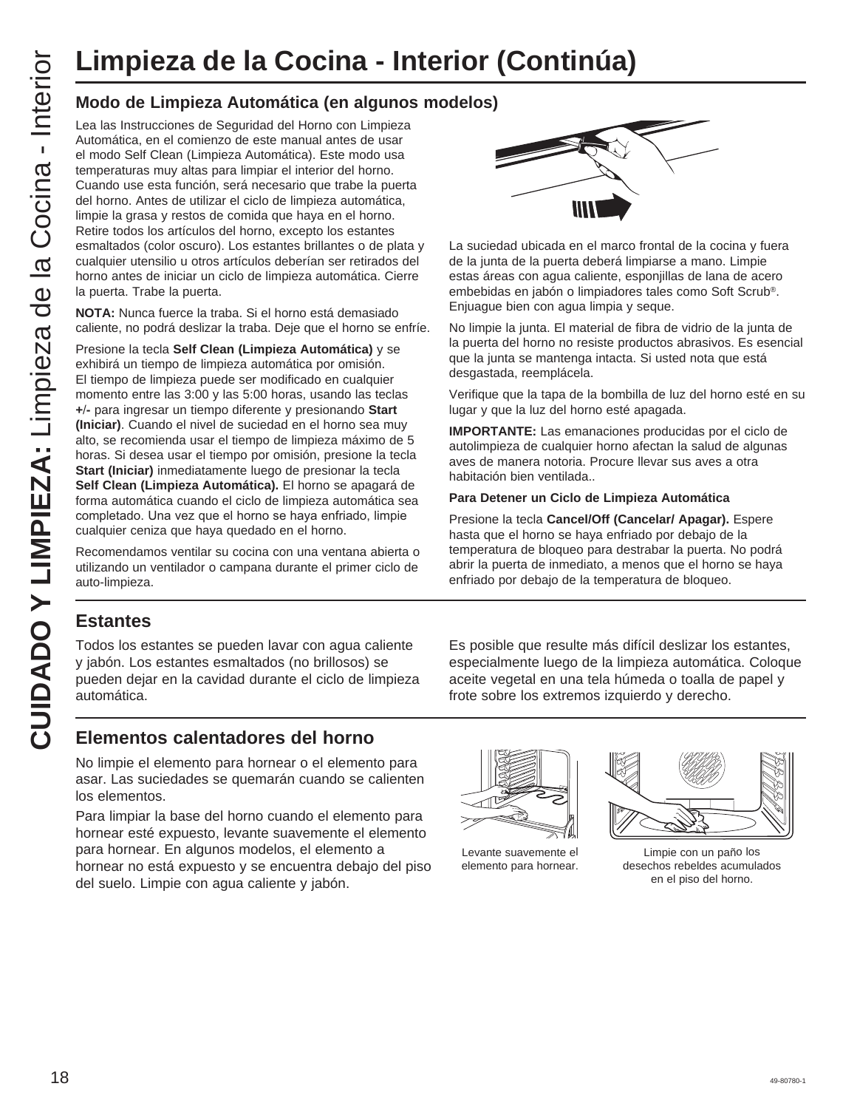#### **Modo de Limpieza Automática (en algunos modelos)**

Lea las Instrucciones de Seguridad del Horno con Limpieza Automática, en el comienzo de este manual antes de usar el modo Self Clean (Limpieza Automática). Este modo usa temperaturas muy altas para limpiar el interior del horno. Cuando use esta función, será necesario que trabe la puerta del horno. Antes de utilizar el ciclo de limpieza automática, limpie la grasa y restos de comida que haya en el horno. Retire todos los artículos del horno, excepto los estantes esmaltados (color oscuro). Los estantes brillantes o de plata y cualquier utensilio u otros artículos deberían ser retirados del horno antes de iniciar un ciclo de limpieza automática. Cierre la puerta. Trabe la puerta.

**NOTA:** Nunca fuerce la traba. Si el horno está demasiado caliente, no podrá deslizar la traba. Deje que el horno se enfríe.

Presione la tecla **Self Clean (Limpieza Automática)** y se exhibirá un tiempo de limpieza automática por omisión. El tiempo de limpieza puede ser modificado en cualquier momento entre las 3:00 y las 5:00 horas, usando las teclas **+-** para ingresar un tiempo diferente y presionando **Start (Iniciar)**. Cuando el nivel de suciedad en el horno sea muy alto, se recomienda usar el tiempo de limpieza máximo de 5 horas. Si desea usar el tiempo por omisión, presione la tecla **Start (Iniciar)** inmediatamente luego de presionar la tecla **Self Clean (Limpieza Automática).** El horno se apagará de forma automática cuando el ciclo de limpieza automática sea completado. Una vez que el horno se haya enfriado, limpie cualquier ceniza que haya quedado en el horno. CUIMPIEZA: de la Cocina - Interior (Continúa)<br>
CUIMPIEZA: Modo de Limpieza Automática (en algunos modelos)<br>
Automática en al composto es especialmente de la correspondente de la correspondente de la contenúa de la conten

Recomendamos ventilar su cocina con una ventana abierta o utilizando un ventilador o campana durante el primer ciclo de auto-limpieza.



La suciedad ubicada en el marco frontal de la cocina y fuera de la junta de la puerta deberá limpiarse a mano. Limpie estas áreas con agua caliente, esponjillas de lana de acero embebidas en jabón o limpiadores tales como Soft Scrub®. Enjuague bien con agua limpia y seque.

No limpie la junta. El material de fibra de vidrio de la junta de la puerta del horno no resiste productos abrasivos. Es esencial que la junta se mantenga intacta. Si usted nota que está desgastada, reemplácela.

Verifique que la tapa de la bombilla de luz del horno esté en su lugar y que la luz del horno esté apagada.

**IMPORTANTE:** Las emanaciones producidas por el ciclo de autolimpieza de cualquier horno afectan la salud de algunas aves de manera notoria. Procure llevar sus aves a otra habitación bien ventilada..

#### **Para Detener un Ciclo de Limpieza Automática**

Presione la tecla **Cancel/Off (Cancelar/ Apagar).** Espere hasta que el horno se haya enfriado por debajo de la temperatura de bloqueo para destrabar la puerta. No podrá abrir la puerta de inmediato, a menos que el horno se haya enfriado por debajo de la temperatura de bloqueo.

#### **Estantes**

Todos los estantes se pueden lavar con agua caliente y jabón. Los estantes esmaltados (no brillosos) se pueden dejar en la cavidad durante el ciclo de limpieza automática.

Es posible que resulte más difícil deslizar los estantes, especialmente luego de la limpieza automática. Coloque aceite vegetal en una tela húmeda o toalla de papel y frote sobre los extremos izquierdo y derecho.

#### **Elementos calentadores del horno**

No limpie el elemento para hornear o el elemento para asar. Las suciedades se quemarán cuando se calienten los elementos.

Para limpiar la base del horno cuando el elemento para hornear esté expuesto, levante suavemente el elemento para hornear. En algunos modelos, el elemento a hornear no está expuesto y se encuentra debajo del piso del suelo. Limpie con agua caliente y jabón.

Levante suavemente el elemento para hornear.



Limpie con un paño los desechos rebeldes acumulados en el piso del horno.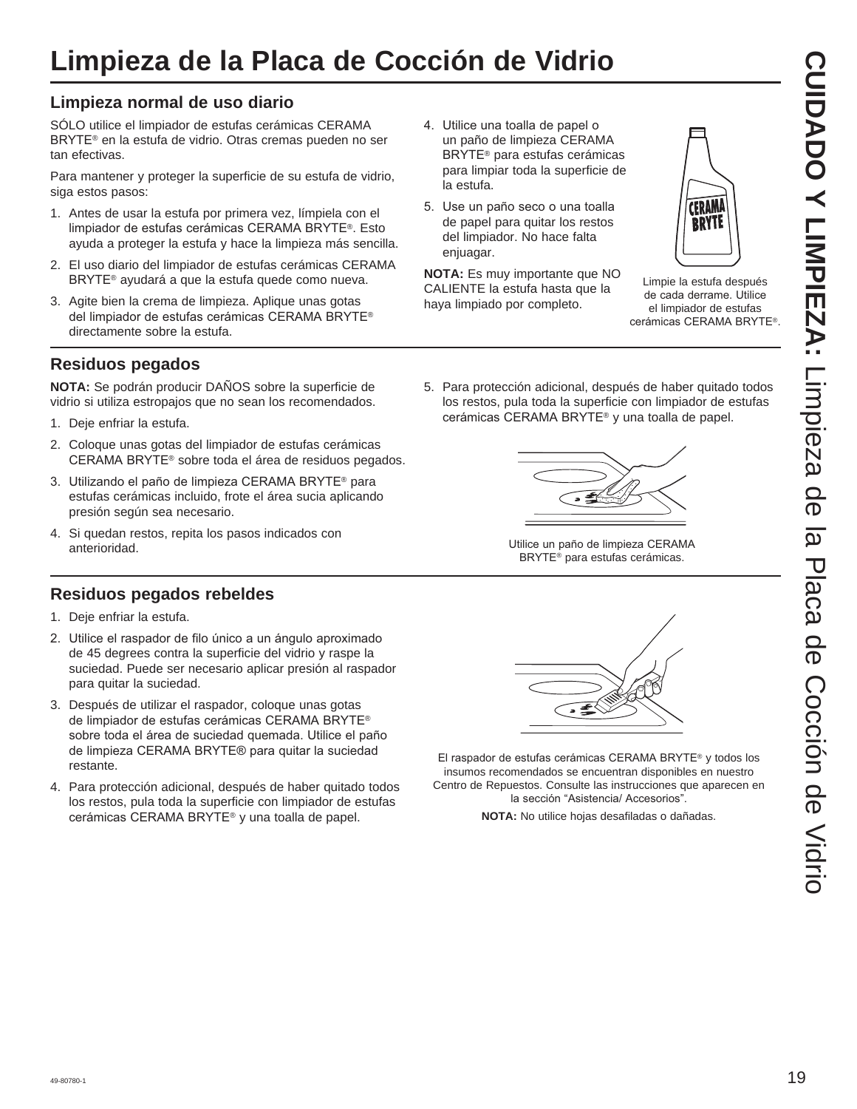## **Limpieza de la Placa de Cocción de Vidrio**

#### **Limpieza normal de uso diario**

SÓLO utilice el limpiador de estufas cerámicas CERAMA BRYTE<sup>®</sup> en la estufa de vidrio. Otras cremas pueden no ser tan efectivas.

Para mantener y proteger la superficie de su estufa de vidrio, siga estos pasos:

- 1. Antes de usar la estufa por primera vez, límpiela con el limpiador de estufas cerámicas CERAMA BRYTE®. Esto ayuda a proteger la estufa y hace la limpieza más sencilla.
- 2. El uso diario del limpiador de estufas cerámicas CERAMA BRYTE<sup>®</sup> ayudará a que la estufa quede como nueva.
- 3. Agite bien la crema de limpieza. Aplique unas gotas del limpiador de estufas cerámicas CERAMA BRYTE® directamente sobre la estufa.

#### **Residuos pegados**

**NOTA:** Se podrán producir DAÑOS sobre la superficie de vidrio si utiliza estropajos que no sean los recomendados.

- 1. Deje enfriar la estufa.
- 2. Coloque unas gotas del limpiador de estufas cerámicas CERAMA BRYTE<sup>®</sup> sobre toda el área de residuos pegados.
- 3. Utilizando el paño de limpieza CERAMA BRYTE® para estufas cerámicas incluido, frote el área sucia aplicando presión según sea necesario.
- 4. Si quedan restos, repita los pasos indicados con anterioridad.

#### **Residuos pegados rebeldes**

- 1. Deje enfriar la estufa.
- 2. Utilice el raspador de filo único a un ángulo aproximado de 45 degrees contra la superficie del vidrio y raspe la suciedad. Puede ser necesario aplicar presión al raspador para quitar la suciedad.
- 3. Después de utilizar el raspador, coloque unas gotas de limpiador de estufas cerámicas CERAMA BRYTE® sobre toda el área de suciedad quemada. Utilice el paño de limpieza CERAMA BRYTE® para quitar la suciedad restante.
- 4. Para protección adicional, después de haber quitado todos los restos, pula toda la superficie con limpiador de estufas cerámicas CERAMA BRYTE® y una toalla de papel.
- 4. Utilice una toalla de papel o un paño de limpieza CERAMA BRYTE<sup>®</sup> para estufas cerámicas para limpiar toda la superficie de la estufa.
- 5. Use un paño seco o una toalla de papel para quitar los restos del limpiador. No hace falta enjuagar.

**NOTA:** Es muy importante que NO CALIENTE la estufa hasta que la haya limpiado por completo.



Limpie la estufa después de cada derrame. Utilice el limpiador de estufas cerámicas CERAMA BRYTE®

5. Para protección adicional, después de haber quitado todos los restos, pula toda la superficie con limpiador de estufas cerámicas CERAMA BRYTE® y una toalla de papel.



Utilice un paño de limpieza CERAMA BRYTE<sup>®</sup> para estufas cerámicas.



El raspador de estufas cerámicas CERAMA BRYTE® y todos los insumos recomendados se encuentran disponibles en nuestro Centro de Repuestos. Consulte las instrucciones que aparecen en la sección "Asistencia/ Accesorios".

**NOTA:** No utilice hojas desafiladas o dañadas.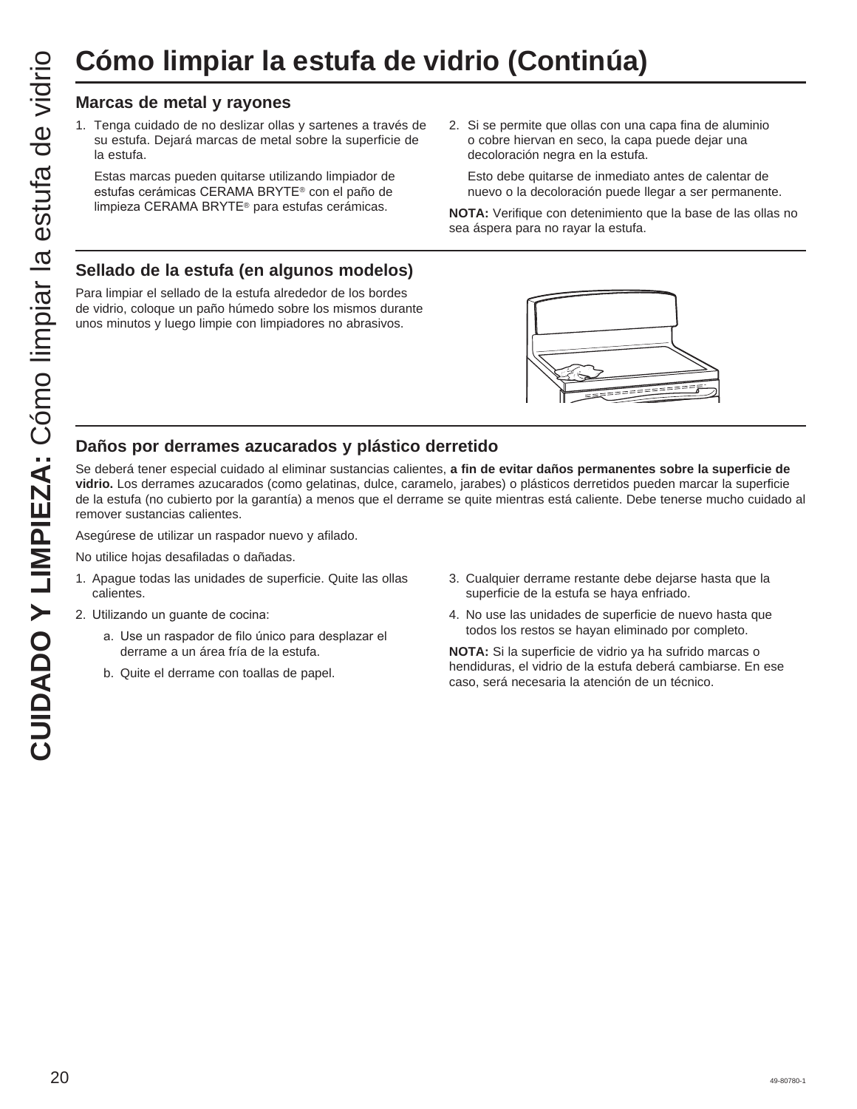# **Cómo limpiar la estufa de vidrio (Continúa)**

1. Tenga cuidado de no deslizar ollas y sartenes a través de su estufa. Dejará marcas de metal sobre la superficie de la estufa.

 Estas marcas pueden quitarse utilizando limpiador de estufas cerámicas CERAMA BRYTE® con el paño de limpieza CERAMA BRYTE<sup>®</sup> para estufas cerámicas.

2. Si se permite que ollas con una capa fina de aluminio o cobre hiervan en seco, la capa puede dejar una decoloración negra en la estufa.

 Esto debe quitarse de inmediato antes de calentar de nuevo o la decoloración puede llegar a ser permanente.

**NOTA:** Verifique con detenimiento que la base de las ollas no sea áspera para no rayar la estufa.

#### **Sellado de la estufa (en algunos modelos)**

Para limpiar el sellado de la estufa alrededor de los bordes de vidrio, coloque un paño húmedo sobre los mismos durante unos minutos y luego limpie con limpiadores no abrasivos.



#### **Daños por derrames azucarados y plástico derretido**

20 49-80780-1 **CUIDADO Y LIMPIEZA:** Cómo limpiar la estufa de vidrio **Marcas de metal y rayones** Se deberá tener especial cuidado al eliminar sustancias calientes, **a fin de evitar daños permanentes sobre la superficie de vidrio.** Los derrames azucarados (como gelatinas, dulce, caramelo, jarabes) o plásticos derretidos pueden marcar la superficie de la estufa (no cubierto por la garantía) a menos que el derrame se quite mientras está caliente. Debe tenerse mucho cuidado al remover sustancias calientes.

Asegúrese de utilizar un raspador nuevo y afilado.

No utilice hojas desafiladas o dañadas.

- 1. Apague todas las unidades de superficie. Quite las ollas calientes.
- 2. Utilizando un guante de cocina:
	- a. Use un raspador de filo único para desplazar el derrame a un área fría de la estufa.
	- b. Quite el derrame con toallas de papel.
- 3. Cualquier derrame restante debe dejarse hasta que la superficie de la estufa se haya enfriado.
- 4. No use las unidades de superficie de nuevo hasta que todos los restos se hayan eliminado por completo.

**NOTA:** Si la superficie de vidrio ya ha sufrido marcas o hendiduras, el vidrio de la estufa deberá cambiarse. En ese caso, será necesaria la atención de un técnico.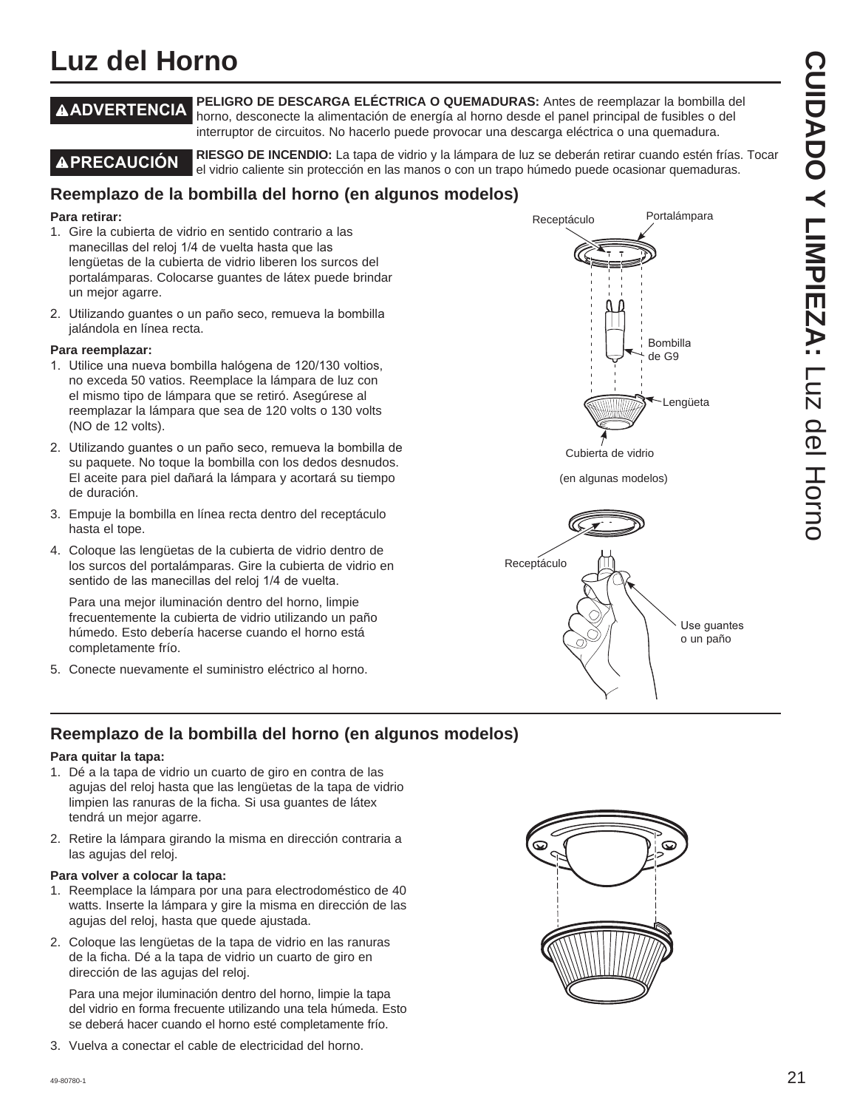## **Luz del Horno**

**ADVERTENCIA PELIGRO DE DESCARGA ELÉCTRICA O QUEMADURAS:** Antes de reemplazar la bombilla del horno, desconecte la alimentación de energía al horno desde el panel principal de fusibles o del interruptor de circuitos. No hacerlo puede provocar una descarga eléctrica o una quemadura.

**A PRECAUCIÓN** RIESGO DE INCENDIO: La tapa de vidrio y la lámpara de luz se deberán retirar cuando estén frías. Tocar el vidrio caliente sin protección en las manos o con un trapo húmedo puede ocasionar quemaduras.

#### **Reemplazo de la bombilla del horno (en algunos modelos)**

#### **Para retirar:**

- 1. Gire la cubierta de vidrio en sentido contrario a las manecillas del reloj 1/4 de vuelta hasta que las lengüetas de la cubierta de vidrio liberen los surcos del portalámparas. Colocarse guantes de látex puede brindar un mejor agarre.
- 2. Utilizando guantes o un paño seco, remueva la bombilla jalándola en línea recta.

#### **Para reemplazar:**

- 1. Utilice una nueva bombilla halógena de 120/130 voltios, no exceda 50 vatios. Reemplace la lámpara de luz con el mismo tipo de lámpara que se retiró. Asegúrese al reemplazar la lámpara que sea de 120 volts o 130 volts (NO de 12 volts).
- 2. Utilizando quantes o un paño seco, remueva la bombilla de su paquete. No toque la bombilla con los dedos desnudos. El aceite para piel dañará la lámpara y acortará su tiempo de duración.
- 3. Empuje la bombilla en línea recta dentro del receptáculo hasta el tope.
- 4. Coloque las lengüetas de la cubierta de vidrio dentro de los surcos del portalámparas. Gire la cubierta de vidrio en sentido de las manecillas del reloj 1/4 de vuelta.

 Para una mejor iluminación dentro del horno, limpie frecuentemente la cubierta de vidrio utilizando un paño húmedo. Esto debería hacerse cuando el horno está completamente frío.

5. Conecte nuevamente el suministro eléctrico al horno.



(en algunas modelos)



#### **Reemplazo de la bombilla del horno (en algunos modelos)**

#### **Para quitar la tapa:**

- 1. Dé a la tapa de vidrio un cuarto de giro en contra de las agujas del reloj hasta que las lengüetas de la tapa de vidrio limpien las ranuras de la ficha. Si usa guantes de látex tendrá un mejor agarre.
- 2. Retire la lámpara girando la misma en dirección contraria a las agujas del reloj.

#### **Para volver a colocar la tapa:**

- 1. Reemplace la lámpara por una para electrodoméstico de 40 watts. Inserte la lámpara y gire la misma en dirección de las agujas del reloj, hasta que quede ajustada.
- 2. Coloque las lengüetas de la tapa de vidrio en las ranuras de la ficha. Dé a la tapa de vidrio un cuarto de giro en dirección de las agujas del reloj.

 Para una mejor iluminación dentro del horno, limpie la tapa del vidrio en forma frecuente utilizando una tela húmeda. Esto se deberá hacer cuando el horno esté completamente frío.

3. Vuelva a conectar el cable de electricidad del horno.

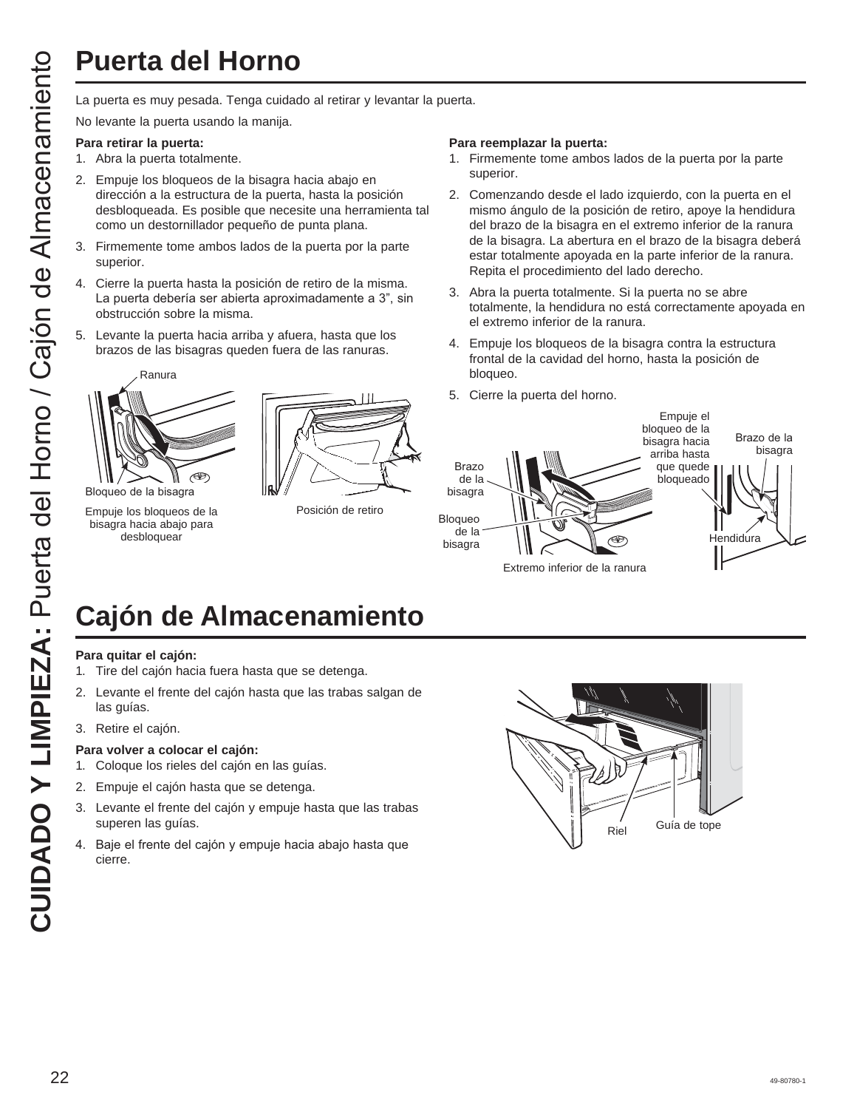La puerta es muy pesada. Tenga cuidado al retirar y levantar la puerta.

No levante la puerta usando la manija.

#### **Para retirar la puerta:**

- 1. Abra la puerta totalmente.
- 2. Empuje los bloqueos de la bisagra hacia abajo en dirección a la estructura de la puerta, hasta la posición desbloqueada. Es posible que necesite una herramienta tal como un destornillador pequeño de punta plana.
- 3. Firmemente tome ambos lados de la puerta por la parte superior.
- 4. Cierre la puerta hasta la posición de retiro de la misma. La puerta debería ser abierta aproximadamente a 3", sin obstrucción sobre la misma.
- 5. Levante la puerta hacia arriba y afuera, hasta que los brazos de las bisagras queden fuera de las ranuras.



Empuje los bloqueos de la bisagra hacia abajo para desbloquear



Posición de retiro

#### **Para reemplazar la puerta:**

- 1. Firmemente tome ambos lados de la puerta por la parte superior.
- 2. Comenzando desde el lado izquierdo, con la puerta en el mismo ángulo de la posición de retiro, apoye la hendidura del brazo de la bisagra en el extremo inferior de la ranura de la bisagra. La abertura en el brazo de la bisagra deberá estar totalmente apoyada en la parte inferior de la ranura. Repita el procedimiento del lado derecho.
- 3. Abra la puerta totalmente. Si la puerta no se abre totalmente, la hendidura no está correctamente apoyada en el extremo inferior de la ranura.
- 4. Empuje los bloqueos de la bisagra contra la estructura frontal de la cavidad del horno, hasta la posición de bloqueo.
- 5. Cierre la puerta del horno.



# **Cajón de Almacenamiento**

#### **Para quitar el cajón:**

- 1. Tire del cajón hacia fuera hasta que se detenga.
- 2. Levante el frente del cajón hasta que las trabas salgan de las guías.
- 3. Retire el cajón.

#### **Para volver a colocar el cajón:**

- 1. Coloque los rieles del cajón en las guías.
- 2. Empuje el cajón hasta que se detenga.
- 3. Levante el frente del cajón y empuje hasta que las trabas superen las guías.
- 4. Baje el frente del cajón y empuje hacia abajo hasta que cierre.

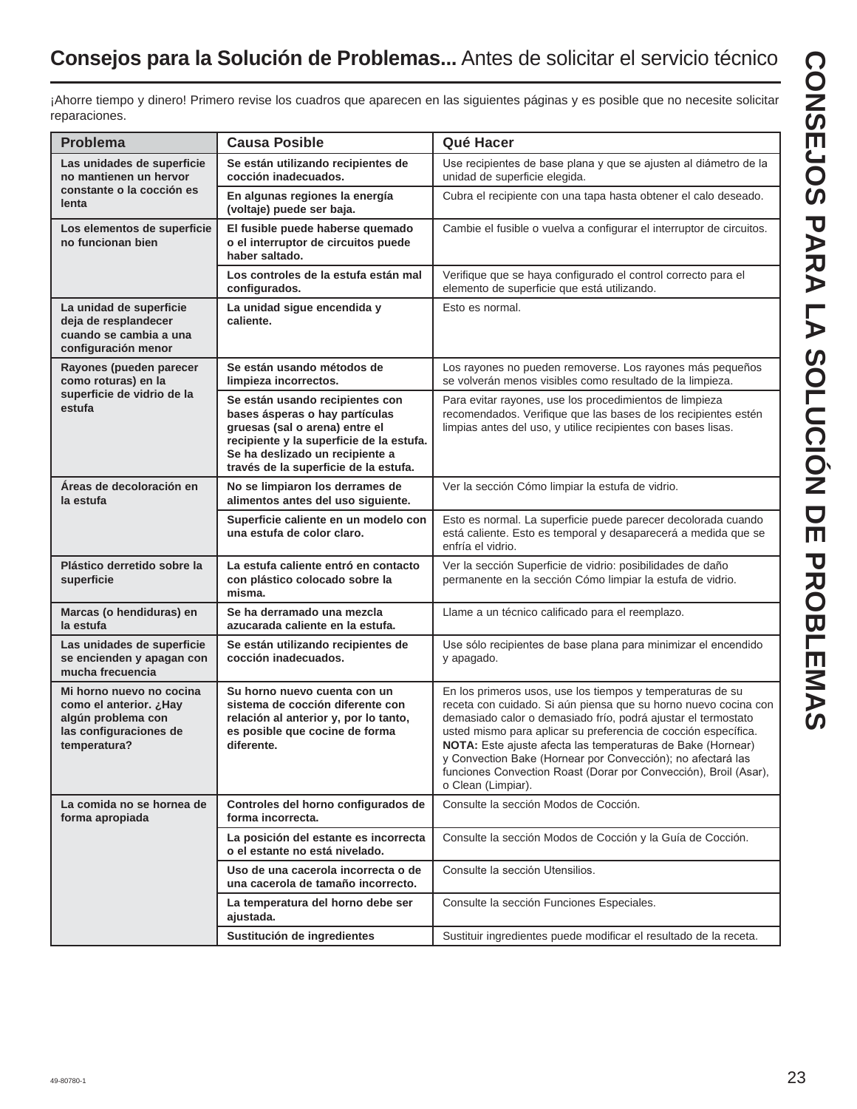## **Consejos para la Solución de Problemas...** Antes de solicitar el servicio técnico

¡Ahorre tiempo y dinero! Primero revise los cuadros que aparecen en las siguientes páginas y es posible que no necesite solicitar reparaciones.

| <b>Problema</b>                                                                                                    | <b>Causa Posible</b>                                                                                                                                                                                                        | Qué Hacer                                                                                                                                                                                                                                                                                                                                                                                                                                                                                |  |  |  |  |  |
|--------------------------------------------------------------------------------------------------------------------|-----------------------------------------------------------------------------------------------------------------------------------------------------------------------------------------------------------------------------|------------------------------------------------------------------------------------------------------------------------------------------------------------------------------------------------------------------------------------------------------------------------------------------------------------------------------------------------------------------------------------------------------------------------------------------------------------------------------------------|--|--|--|--|--|
| Las unidades de superficie<br>no mantienen un hervor                                                               | Se están utilizando recipientes de<br>cocción inadecuados.                                                                                                                                                                  | Use recipientes de base plana y que se ajusten al diámetro de la<br>unidad de superficie elegida.                                                                                                                                                                                                                                                                                                                                                                                        |  |  |  |  |  |
| constante o la cocción es<br>lenta                                                                                 | En algunas regiones la energía<br>(voltaje) puede ser baja.                                                                                                                                                                 | Cubra el recipiente con una tapa hasta obtener el calo deseado.                                                                                                                                                                                                                                                                                                                                                                                                                          |  |  |  |  |  |
| Los elementos de superficie<br>no funcionan bien                                                                   | El fusible puede haberse quemado<br>o el interruptor de circuitos puede<br>haber saltado.                                                                                                                                   | Cambie el fusible o vuelva a configurar el interruptor de circuitos.                                                                                                                                                                                                                                                                                                                                                                                                                     |  |  |  |  |  |
|                                                                                                                    | Los controles de la estufa están mal<br>configurados.                                                                                                                                                                       | Verifique que se haya configurado el control correcto para el<br>elemento de superficie que está utilizando.                                                                                                                                                                                                                                                                                                                                                                             |  |  |  |  |  |
| La unidad de superficie<br>deja de resplandecer<br>cuando se cambia a una<br>configuración menor                   | La unidad sique encendida y<br>caliente.                                                                                                                                                                                    | Esto es normal.                                                                                                                                                                                                                                                                                                                                                                                                                                                                          |  |  |  |  |  |
| Rayones (pueden parecer<br>como roturas) en la                                                                     | Se están usando métodos de<br>limpieza incorrectos.                                                                                                                                                                         | Los rayones no pueden removerse. Los rayones más pequeños<br>se volverán menos visibles como resultado de la limpieza.                                                                                                                                                                                                                                                                                                                                                                   |  |  |  |  |  |
| superficie de vidrio de la<br>estufa                                                                               | Se están usando recipientes con<br>bases ásperas o hay partículas<br>gruesas (sal o arena) entre el<br>recipiente y la superficie de la estufa.<br>Se ha deslizado un recipiente a<br>través de la superficie de la estufa. | Para evitar rayones, use los procedimientos de limpieza<br>recomendados. Verifique que las bases de los recipientes estén<br>limpias antes del uso, y utilice recipientes con bases lisas.                                                                                                                                                                                                                                                                                               |  |  |  |  |  |
| Áreas de decoloración en<br>la estufa                                                                              | No se limpiaron los derrames de<br>alimentos antes del uso siguiente.                                                                                                                                                       | Ver la sección Cómo limpiar la estufa de vidrio.                                                                                                                                                                                                                                                                                                                                                                                                                                         |  |  |  |  |  |
|                                                                                                                    | Superficie caliente en un modelo con<br>una estufa de color claro.                                                                                                                                                          | Esto es normal. La superficie puede parecer decolorada cuando<br>está caliente. Esto es temporal y desaparecerá a medida que se<br>enfría el vidrio.                                                                                                                                                                                                                                                                                                                                     |  |  |  |  |  |
| Plástico derretido sobre la<br>superficie                                                                          | La estufa caliente entró en contacto<br>con plástico colocado sobre la<br>misma.                                                                                                                                            | Ver la sección Superficie de vidrio: posibilidades de daño<br>permanente en la sección Cómo limpiar la estufa de vidrio.                                                                                                                                                                                                                                                                                                                                                                 |  |  |  |  |  |
| Marcas (o hendiduras) en<br>la estufa                                                                              | Se ha derramado una mezcla<br>azucarada caliente en la estufa.                                                                                                                                                              | Llame a un técnico calificado para el reemplazo.                                                                                                                                                                                                                                                                                                                                                                                                                                         |  |  |  |  |  |
| Las unidades de superficie<br>se encienden y apagan con<br>mucha frecuencia                                        | Se están utilizando recipientes de<br>cocción inadecuados.                                                                                                                                                                  | Use sólo recipientes de base plana para minimizar el encendido<br>y apagado.                                                                                                                                                                                                                                                                                                                                                                                                             |  |  |  |  |  |
| Mi horno nuevo no cocina<br>como el anterior. ¿Hay<br>algún problema con<br>las configuraciones de<br>temperatura? | Su horno nuevo cuenta con un<br>sistema de cocción diferente con<br>relación al anterior y, por lo tanto,<br>es posible que cocine de forma<br>diferente.                                                                   | En los primeros usos, use los tiempos y temperaturas de su<br>receta con cuidado. Si aún piensa que su horno nuevo cocina con<br>demasiado calor o demasiado frío, podrá ajustar el termostato<br>usted mismo para aplicar su preferencia de cocción específica.<br>NOTA: Este ajuste afecta las temperaturas de Bake (Hornear)<br>y Convection Bake (Hornear por Convección); no afectará las<br>funciones Convection Roast (Dorar por Convección), Broil (Asar),<br>o Clean (Limpiar). |  |  |  |  |  |
| La comida no se hornea de<br>forma apropiada                                                                       | Controles del horno configurados de<br>forma incorrecta.                                                                                                                                                                    | Consulte la sección Modos de Cocción.                                                                                                                                                                                                                                                                                                                                                                                                                                                    |  |  |  |  |  |
|                                                                                                                    | La posición del estante es incorrecta<br>o el estante no está nivelado.                                                                                                                                                     | Consulte la sección Modos de Cocción y la Guía de Cocción.                                                                                                                                                                                                                                                                                                                                                                                                                               |  |  |  |  |  |
|                                                                                                                    | Uso de una cacerola incorrecta o de<br>una cacerola de tamaño incorrecto.                                                                                                                                                   | Consulte la sección Utensilios.                                                                                                                                                                                                                                                                                                                                                                                                                                                          |  |  |  |  |  |
|                                                                                                                    | La temperatura del horno debe ser<br>ajustada.                                                                                                                                                                              | Consulte la sección Funciones Especiales.                                                                                                                                                                                                                                                                                                                                                                                                                                                |  |  |  |  |  |
|                                                                                                                    | Sustitución de ingredientes                                                                                                                                                                                                 | Sustituir ingredientes puede modificar el resultado de la receta.                                                                                                                                                                                                                                                                                                                                                                                                                        |  |  |  |  |  |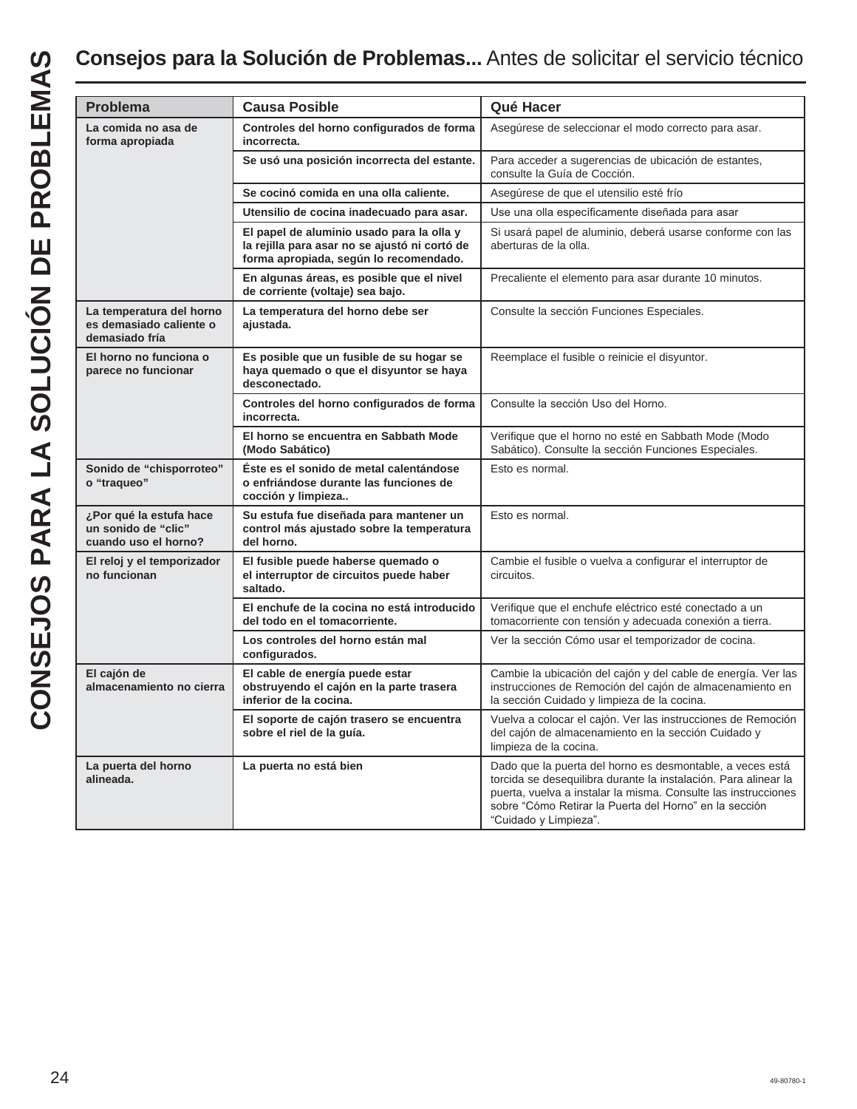| La comida no asa de<br>forma apropiada                                 | <b>Causa Posible</b>                                                                                                                 | Qué Hacer                                                                                                                                                                                                                                                                         |  |  |  |  |
|------------------------------------------------------------------------|--------------------------------------------------------------------------------------------------------------------------------------|-----------------------------------------------------------------------------------------------------------------------------------------------------------------------------------------------------------------------------------------------------------------------------------|--|--|--|--|
|                                                                        | Controles del horno configurados de forma<br>incorrecta.                                                                             | Asegúrese de seleccionar el modo correcto para asar.                                                                                                                                                                                                                              |  |  |  |  |
|                                                                        | Se usó una posición incorrecta del estante.                                                                                          | Para acceder a sugerencias de ubicación de estantes,<br>consulte la Guía de Cocción.                                                                                                                                                                                              |  |  |  |  |
|                                                                        | Se cocinó comida en una olla caliente.                                                                                               | Asegúrese de que el utensilio esté frío                                                                                                                                                                                                                                           |  |  |  |  |
|                                                                        | Utensilio de cocina inadecuado para asar.                                                                                            | Use una olla específicamente diseñada para asar                                                                                                                                                                                                                                   |  |  |  |  |
|                                                                        | El papel de aluminio usado para la olla y<br>la rejilla para asar no se ajustó ni cortó de<br>forma apropiada, según lo recomendado. | Si usará papel de aluminio, deberá usarse conforme con las<br>aberturas de la olla.                                                                                                                                                                                               |  |  |  |  |
|                                                                        | En algunas áreas, es posible que el nivel<br>de corriente (voltaje) sea bajo.                                                        | Precaliente el elemento para asar durante 10 minutos.                                                                                                                                                                                                                             |  |  |  |  |
| La temperatura del horno<br>es demasiado caliente o<br>demasiado fría  | La temperatura del horno debe ser<br>ajustada.                                                                                       | Consulte la sección Funciones Especiales.                                                                                                                                                                                                                                         |  |  |  |  |
| El horno no funciona o<br>parece no funcionar                          | Es posible que un fusible de su hogar se<br>haya quemado o que el disyuntor se haya<br>desconectado.                                 | Reemplace el fusible o reinicie el disyuntor.                                                                                                                                                                                                                                     |  |  |  |  |
|                                                                        | Controles del horno configurados de forma<br>incorrecta.                                                                             | Consulte la sección Uso del Horno.                                                                                                                                                                                                                                                |  |  |  |  |
|                                                                        | El horno se encuentra en Sabbath Mode<br>(Modo Sabático)                                                                             | Verifique que el horno no esté en Sabbath Mode (Modo<br>Sabático). Consulte la sección Funciones Especiales.                                                                                                                                                                      |  |  |  |  |
| Sonido de "chisporroteo"<br>o "traqueo"                                | Éste es el sonido de metal calentándose<br>o enfriándose durante las funciones de<br>cocción y limpieza                              | Esto es normal.                                                                                                                                                                                                                                                                   |  |  |  |  |
| ¿Por qué la estufa hace<br>un sonido de "clic"<br>cuando uso el horno? | Su estufa fue diseñada para mantener un<br>control más ajustado sobre la temperatura<br>del horno.                                   | Esto es normal.                                                                                                                                                                                                                                                                   |  |  |  |  |
| El reloj y el temporizador<br>no funcionan                             | El fusible puede haberse quemado o<br>el interruptor de circuitos puede haber<br>saltado.                                            | Cambie el fusible o vuelva a configurar el interruptor de<br>circuitos.                                                                                                                                                                                                           |  |  |  |  |
|                                                                        | El enchufe de la cocina no está introducido<br>del todo en el tomacorriente.                                                         | Verifique que el enchufe eléctrico esté conectado a un<br>tomacorriente con tensión y adecuada conexión a tierra.                                                                                                                                                                 |  |  |  |  |
|                                                                        | Los controles del horno están mal<br>configurados.                                                                                   | Ver la sección Cómo usar el temporizador de cocina.                                                                                                                                                                                                                               |  |  |  |  |
| El cajón de<br>almacenamiento no cierra                                | El cable de energía puede estar<br>obstruyendo el cajón en la parte trasera<br>inferior de la cocina.                                | Cambie la ubicación del cajón y del cable de energía. Ver las<br>instrucciones de Remoción del cajón de almacenamiento en<br>la sección Cuidado y limpieza de la cocina.                                                                                                          |  |  |  |  |
|                                                                        | El soporte de cajón trasero se encuentra<br>sobre el riel de la guía.                                                                | Vuelva a colocar el cajón. Ver las instrucciones de Remoción<br>del cajón de almacenamiento en la sección Cuidado y<br>limpieza de la cocina.                                                                                                                                     |  |  |  |  |
| La puerta del horno<br>alineada.                                       | La puerta no está bien                                                                                                               | Dado que la puerta del horno es desmontable, a veces está<br>torcida se desequilibra durante la instalación. Para alinear la<br>puerta, vuelva a instalar la misma. Consulte las instrucciones<br>sobre "Cómo Retirar la Puerta del Horno" en la sección<br>"Cuidado y Limpieza". |  |  |  |  |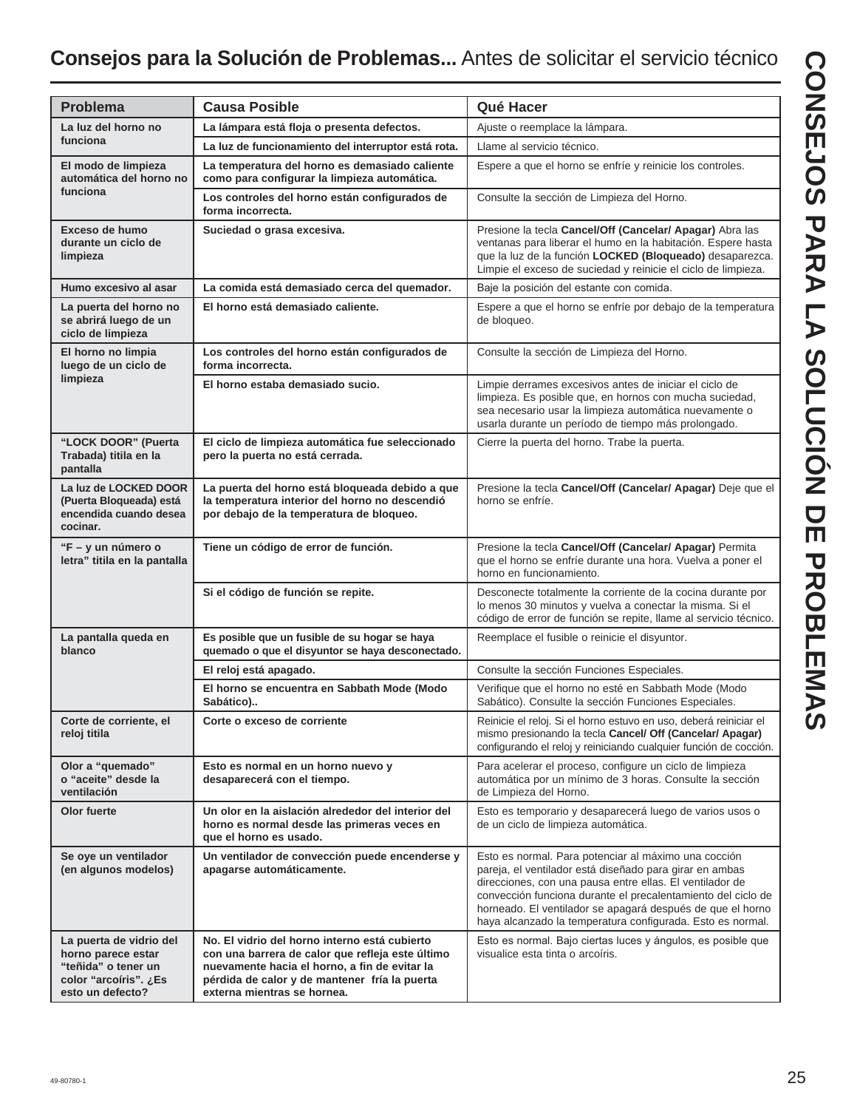## **Consejos para la Solución de Problemas...** Antes de solicitar el servicio técnico

| <b>Problema</b>                                                                                                   | <b>Causa Posible</b>                                                                                                                                                                                                               | Qué Hacer                                                                                                                                                                                                                                                                                                                                                               |  |  |  |  |
|-------------------------------------------------------------------------------------------------------------------|------------------------------------------------------------------------------------------------------------------------------------------------------------------------------------------------------------------------------------|-------------------------------------------------------------------------------------------------------------------------------------------------------------------------------------------------------------------------------------------------------------------------------------------------------------------------------------------------------------------------|--|--|--|--|
| La luz del horno no<br>funciona                                                                                   | La lámpara está floja o presenta defectos.                                                                                                                                                                                         | Ajuste o reemplace la lámpara.                                                                                                                                                                                                                                                                                                                                          |  |  |  |  |
|                                                                                                                   | La luz de funcionamiento del interruptor está rota.                                                                                                                                                                                | Llame al servicio técnico.                                                                                                                                                                                                                                                                                                                                              |  |  |  |  |
| El modo de limpieza<br>automática del horno no<br>funciona                                                        | La temperatura del horno es demasiado caliente<br>como para configurar la limpieza automática.                                                                                                                                     | Espere a que el horno se enfríe y reinicie los controles.                                                                                                                                                                                                                                                                                                               |  |  |  |  |
|                                                                                                                   | Los controles del horno están configurados de<br>forma incorrecta.                                                                                                                                                                 | Consulte la sección de Limpieza del Horno.                                                                                                                                                                                                                                                                                                                              |  |  |  |  |
| Exceso de humo<br>durante un ciclo de<br>limpieza                                                                 | Suciedad o grasa excesiva.                                                                                                                                                                                                         | Presione la tecla Cancel/Off (Cancelar/ Apagar) Abra las<br>ventanas para liberar el humo en la habitación. Espere hasta<br>que la luz de la función LOCKED (Bloqueado) desaparezca.<br>Limpie el exceso de suciedad y reinicie el ciclo de limpieza.                                                                                                                   |  |  |  |  |
| Humo excesivo al asar                                                                                             | La comida está demasiado cerca del quemador.                                                                                                                                                                                       | Baje la posición del estante con comida.                                                                                                                                                                                                                                                                                                                                |  |  |  |  |
| La puerta del horno no<br>se abrirá luego de un<br>ciclo de limpieza                                              | El horno está demasiado caliente.                                                                                                                                                                                                  | Espere a que el horno se enfríe por debajo de la temperatura<br>de bloqueo.                                                                                                                                                                                                                                                                                             |  |  |  |  |
| El horno no limpia<br>luego de un ciclo de                                                                        | Los controles del horno están configurados de<br>forma incorrecta.                                                                                                                                                                 | Consulte la sección de Limpieza del Horno.                                                                                                                                                                                                                                                                                                                              |  |  |  |  |
| limpieza                                                                                                          | El horno estaba demasiado sucio.                                                                                                                                                                                                   | Limpie derrames excesivos antes de iniciar el ciclo de<br>limpieza. Es posible que, en hornos con mucha suciedad,<br>sea necesario usar la limpieza automática nuevamente o<br>usarla durante un período de tiempo más prolongado.                                                                                                                                      |  |  |  |  |
| "LOCK DOOR" (Puerta<br>Trabada) titila en la<br>pantalla                                                          | El ciclo de limpieza automática fue seleccionado<br>pero la puerta no está cerrada.                                                                                                                                                | Cierre la puerta del horno. Trabe la puerta.                                                                                                                                                                                                                                                                                                                            |  |  |  |  |
| La luz de LOCKED DOOR<br>(Puerta Bloqueada) está<br>encendida cuando desea<br>cocinar.                            | La puerta del horno está bloqueada debido a que<br>la temperatura interior del horno no descendió<br>por debajo de la temperatura de bloqueo.                                                                                      | Presione la tecla Cancel/Off (Cancelar/ Apagar) Deje que el<br>horno se enfríe.                                                                                                                                                                                                                                                                                         |  |  |  |  |
| "F - y un número o<br>letra" titila en la pantalla                                                                | Tiene un código de error de función.                                                                                                                                                                                               | Presione la tecla Cancel/Off (Cancelar/ Apagar) Permita<br>que el horno se enfríe durante una hora. Vuelva a poner el<br>horno en funcionamiento.                                                                                                                                                                                                                       |  |  |  |  |
|                                                                                                                   | Si el código de función se repite.                                                                                                                                                                                                 | Desconecte totalmente la corriente de la cocina durante por<br>lo menos 30 minutos y vuelva a conectar la misma. Si el<br>código de error de función se repite, llame al servicio técnico.                                                                                                                                                                              |  |  |  |  |
| La pantalla queda en<br>blanco                                                                                    | Es posible que un fusible de su hogar se haya<br>quemado o que el disyuntor se haya desconectado.                                                                                                                                  | Reemplace el fusible o reinicie el disyuntor.                                                                                                                                                                                                                                                                                                                           |  |  |  |  |
|                                                                                                                   | El reloj está apagado.                                                                                                                                                                                                             | Consulte la sección Funciones Especiales.                                                                                                                                                                                                                                                                                                                               |  |  |  |  |
|                                                                                                                   | El horno se encuentra en Sabbath Mode (Modo<br>Sabático)                                                                                                                                                                           | Verifique que el horno no esté en Sabbath Mode (Modo<br>Sabático). Consulte la sección Funciones Especiales.                                                                                                                                                                                                                                                            |  |  |  |  |
| Corte de corriente, el<br>reloj titila                                                                            | Corte o exceso de corriente                                                                                                                                                                                                        | Reinicie el reloj. Si el horno estuvo en uso, deberá reiniciar el<br>mismo presionando la tecla Cancel/ Off (Cancelar/ Apagar)<br>configurando el reloj y reiniciando cualquier función de cocción.                                                                                                                                                                     |  |  |  |  |
| Olor a "quemado"<br>o "aceite" desde la<br>ventilación                                                            | Esto es normal en un horno nuevo y<br>desaparecerá con el tiempo.                                                                                                                                                                  | Para acelerar el proceso, configure un ciclo de limpieza<br>automática por un mínimo de 3 horas. Consulte la sección<br>de Limpieza del Horno.                                                                                                                                                                                                                          |  |  |  |  |
| Olor fuerte                                                                                                       | Un olor en la aislación alrededor del interior del<br>horno es normal desde las primeras veces en<br>que el horno es usado.                                                                                                        | Esto es temporario y desaparecerá luego de varios usos o<br>de un ciclo de limpieza automática.                                                                                                                                                                                                                                                                         |  |  |  |  |
| Se oye un ventilador<br>(en algunos modelos)                                                                      | Un ventilador de convección puede encenderse y<br>apagarse automáticamente.                                                                                                                                                        | Esto es normal. Para potenciar al máximo una cocción<br>pareja, el ventilador está diseñado para girar en ambas<br>direcciones, con una pausa entre ellas. El ventilador de<br>convección funciona durante el precalentamiento del ciclo de<br>horneado. El ventilador se apagará después de que el horno<br>haya alcanzado la temperatura configurada. Esto es normal. |  |  |  |  |
| La puerta de vidrio del<br>horno parece estar<br>"teñida" o tener un<br>color "arcoíris". ¿Es<br>esto un defecto? | No. El vidrio del horno interno está cubierto<br>con una barrera de calor que refleja este último<br>nuevamente hacia el horno, a fin de evitar la<br>pérdida de calor y de mantener fría la puerta<br>externa mientras se hornea. | Esto es normal. Bajo ciertas luces y ángulos, es posible que<br>visualice esta tinta o arcoíris.                                                                                                                                                                                                                                                                        |  |  |  |  |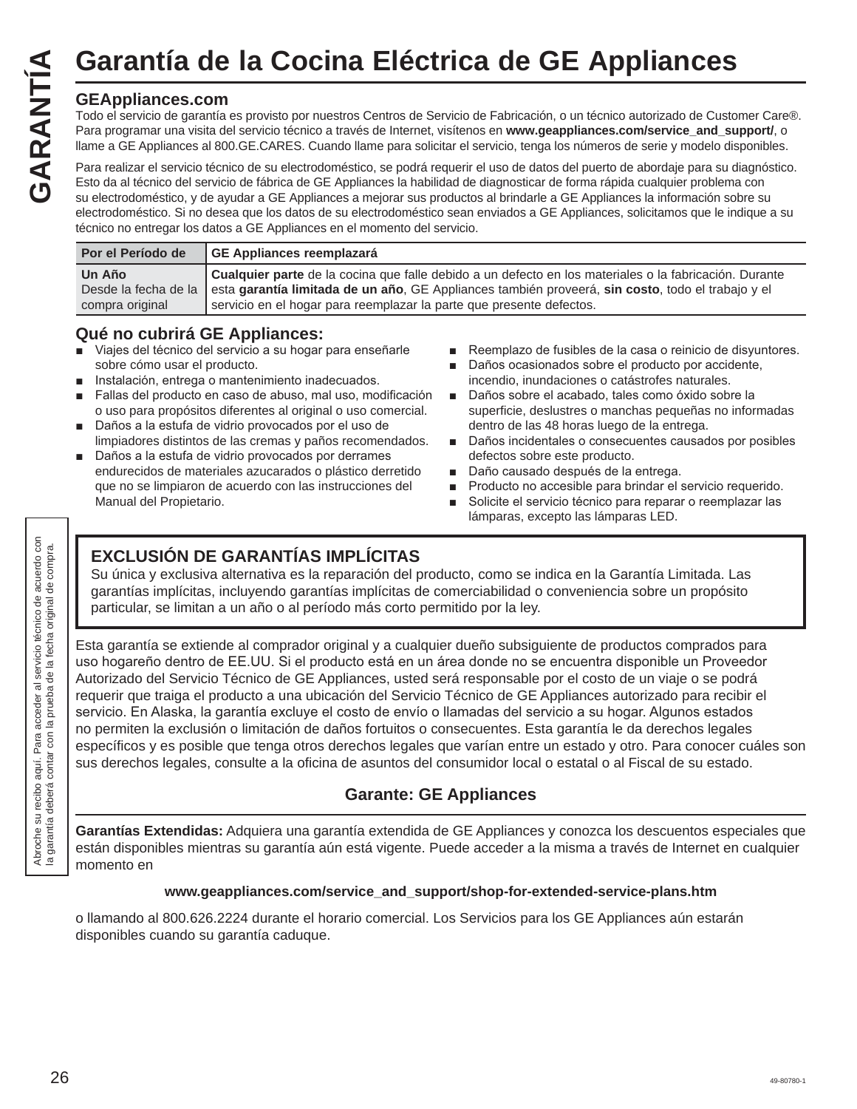#### **GEAppliances.com**

Todo el servicio de garantía es provisto por nuestros Centros de Servicio de Fabricación, o un técnico autorizado de Customer Care®. Para programar una visita del servicio técnico a través de Internet, visítenos en **www.geappliances.com/service\_and\_support/**, o llame a GE Appliances al 800.GE.CARES. Cuando llame para solicitar el servicio, tenga los números de serie y modelo disponibles. Garantía de la Cocina Eléctrica de GE Appliances<br>
Todo el servicio de sprovisto por nuestros Centros de Servicio de Fabricación, o un técnico autorizado de Custo<br>
Para programar una visita del servicio técnico a través de

Para realizar el servicio técnico de su electrodoméstico, se podrá requerir el uso de datos del puerto de abordaje para su diagnóstico. Esto da al técnico del servicio de fábrica de GE Appliances la habilidad de diagnosticar de forma rápida cualquier problema con su electrodoméstico, y de ayudar a GE Appliances a mejorar sus productos al brindarle a GE Appliances la información sobre su electrodoméstico. Si no desea que los datos de su electrodoméstico sean enviados a GE Appliances, solicitamos que le indique a su técnico no entregar los datos a GE Appliances en el momento del servicio.

| Por el Período de | GE Appliances reemplazará                                                                                              |
|-------------------|------------------------------------------------------------------------------------------------------------------------|
| Un Año            | <b>Cualquier parte</b> de la cocina que falle debido a un defecto en los materiales o la fabricación. Durante          |
|                   | Desde la fecha de la esta garantía limitada de un año, GE Appliances también proveerá, sin costo, todo el trabajo y el |
| compra original   | servicio en el hogar para reemplazar la parte que presente defectos.                                                   |

#### **Qué no cubrirá GE Appliances:**

- Viajes del técnico del servicio a su hogar para enseñarle sobre cómo usar el producto.
- Instalación, entrega o mantenimiento inadecuados.
- Fallas del producto en caso de abuso, mal uso, modificación o uso para propósitos diferentes al original o uso comercial.
- Daños a la estufa de vidrio provocados por el uso de limpiadores distintos de las cremas y paños recomendados.
- Daños a la estufa de vidrio provocados por derrames endurecidos de materiales azucarados o plástico derretido que no se limpiaron de acuerdo con las instrucciones del Manual del Propietario.
- Reemplazo de fusibles de la casa o reinicio de disyuntores.
- Daños ocasionados sobre el producto por accidente, incendio, inundaciones o catástrofes naturales.
- Daños sobre el acabado, tales como óxido sobre la superficie, deslustres o manchas pequeñas no informadas dentro de las 48 horas luego de la entrega.
- Daños incidentales o consecuentes causados por posibles defectos sobre este producto.
- Daño causado después de la entrega.
- Producto no accesible para brindar el servicio requerido.
- Solicite el servicio técnico para reparar o reemplazar las lámparas, excepto las lámparas LED.

#### **EXCLUSIÓN DE GARANTÍAS IMPLÍCITAS**

Su única y exclusiva alternativa es la reparación del producto, como se indica en la Garantía Limitada. Las garantías implícitas, incluyendo garantías implícitas de comerciabilidad o conveniencia sobre un propósito particular, se limitan a un año o al período más corto permitido por la ley.

Esta garantía se extiende al comprador original y a cualquier dueño subsiguiente de productos comprados para uso hogareño dentro de EE.UU. Si el producto está en un área donde no se encuentra disponible un Proveedor Autorizado del Servicio Técnico de GE Appliances, usted será responsable por el costo de un viaje o se podrá requerir que traiga el producto a una ubicación del Servicio Técnico de GE Appliances autorizado para recibir el servicio. En Alaska, la garantía excluye el costo de envío o llamadas del servicio a su hogar. Algunos estados no permiten la exclusión o limitación de daños fortuitos o consecuentes. Esta garantía le da derechos legales específicos y es posible que tenga otros derechos legales que varían entre un estado y otro. Para conocer cuáles son sus derechos legales, consulte a la oficina de asuntos del consumidor local o estatal o al Fiscal de su estado.

#### **Garante: GE Appliances**

**Garantías Extendidas:** Adquiera una garantía extendida de GE Appliances y conozca los descuentos especiales que están disponibles mientras su garantía aún está vigente. Puede acceder a la misma a través de Internet en cualquier momento en

#### **www.geappliances.com/service\_and\_support/shop-for-extended-service-plans.htm**

o llamando al 800.626.2224 durante el horario comercial. Los Servicios para los GE Appliances aún estarán disponibles cuando su garantía caduque.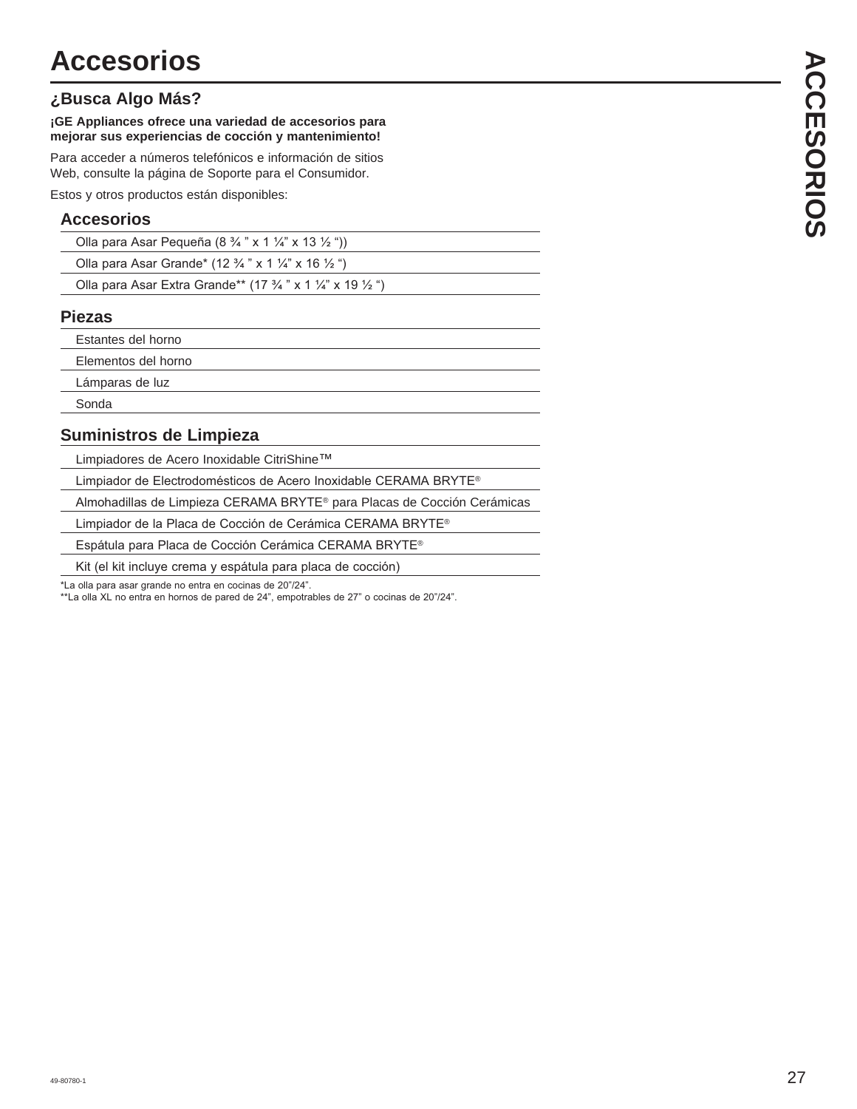#### **¿Busca Algo Más?**

#### **¡GE Appliances ofrece una variedad de accesorios para mejorar sus experiencias de cocción y mantenimiento!**

Para acceder a números telefónicos e información de sitios Web, consulte la página de Soporte para el Consumidor.

Estos y otros productos están disponibles:

#### **Accesorios**

| Olla para Asar Pequeña (8 $\frac{3}{4}$ " x 1 $\frac{1}{4}$ " x 13 $\frac{1}{2}$ ")  |  |
|--------------------------------------------------------------------------------------|--|
| Olla para Asar Grande* (12 $\frac{3}{4}$ " x 1 $\frac{1}{4}$ " x 16 $\frac{1}{2}$ ") |  |

|  | Olla para Asar Extra Grande** (17 3/4 " x 1 1/4" x 19 1/2 ") |  |  |  |  |  |
|--|--------------------------------------------------------------|--|--|--|--|--|
|  |                                                              |  |  |  |  |  |

#### **Piezas**

Estantes del horno

Elementos del horno

Lámparas de luz

Sonda

#### **Suministros de Limpieza**

Limpiadores de Acero Inoxidable CitriShine™

Limpiador de Electrodomésticos de Acero Inoxidable CERAMA BRYTE®

Almohadillas de Limpieza CERAMA BRYTE® para Placas de Cocción Cerámicas

Limpiador de la Placa de Cocción de Cerámica CERAMA BRYTE®

Espátula para Placa de Cocción Cerámica CERAMA BRYTE®

Kit (el kit incluye crema y espátula para placa de cocción)

\*La olla para asar grande no entra en cocinas de 20"/24".

\*La olla XL no entra en hornos de pared de 24", empotrables de 27" o cocinas de 20"/24".